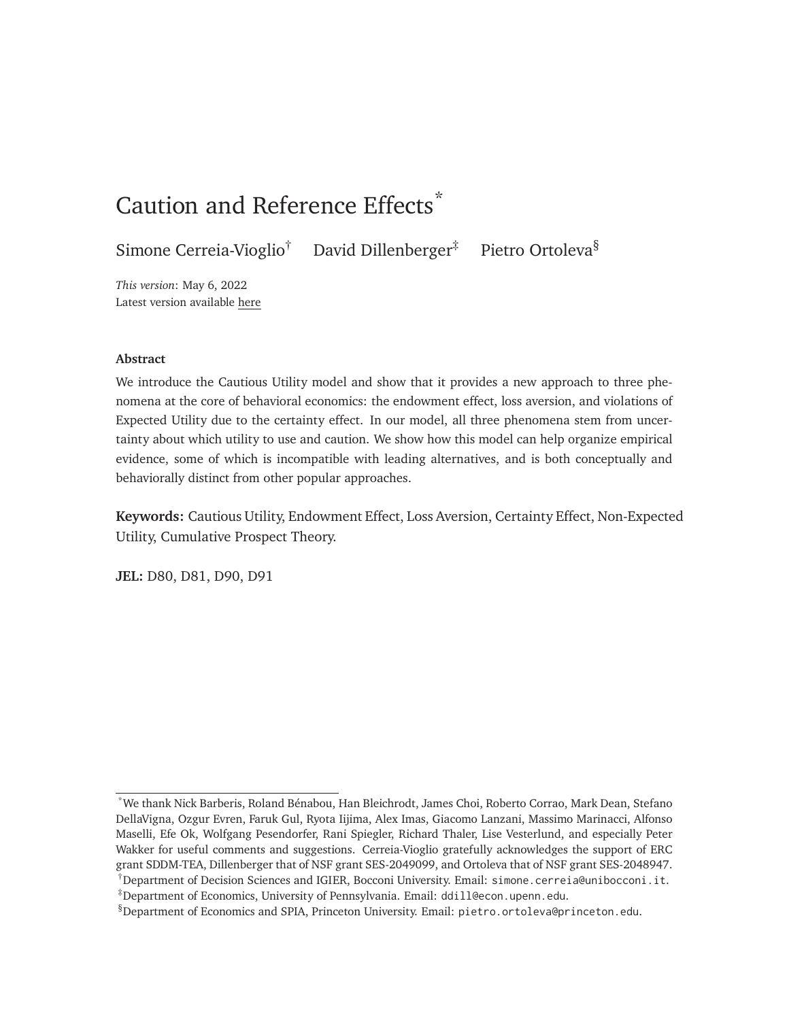# Caution and Reference Effects<sup>\*</sup>

Simone Cerreia-Vioglio<sup>†</sup> David Dillenberger<sup>‡</sup> Pietro Ortoleva<sup>§</sup>

*This version*: May 6, 2022 Latest version available [here](http://pietroortoleva.com/papers/CautiousUtility.pdf)

#### **Abstract**

We introduce the Cautious Utility model and show that it provides a new approach to three phenomena at the core of behavioral economics: the endowment effect, loss aversion, and violations of Expected Utility due to the certainty effect. In our model, all three phenomena stem from uncertainty about which utility to use and caution. We show how this model can help organize empirical evidence, some of which is incompatible with leading alternatives, and is both conceptually and behaviorally distinct from other popular approaches.

**Keywords:** Cautious Utility, Endowment Effect, Loss Aversion, Certainty Effect, Non-Expected Utility, Cumulative Prospect Theory.

**JEL:** D80, D81, D90, D91

<sup>\*</sup>We thank Nick Barberis, Roland Bénabou, Han Bleichrodt, James Choi, Roberto Corrao, Mark Dean, Stefano DellaVigna, Ozgur Evren, Faruk Gul, Ryota Iijima, Alex Imas, Giacomo Lanzani, Massimo Marinacci, Alfonso Maselli, Efe Ok, Wolfgang Pesendorfer, Rani Spiegler, Richard Thaler, Lise Vesterlund, and especially Peter Wakker for useful comments and suggestions. Cerreia-Vioglio gratefully acknowledges the support of ERC grant SDDM-TEA, Dillenberger that of NSF grant SES-2049099, and Ortoleva that of NSF grant SES-2048947.

<sup>†</sup>Department of Decision Sciences and IGIER, Bocconi University. Email: [simone.cerreia@unibocconi.it](mailto:simone.cerreia@unibocconi.it). ‡Department of Economics, University of Pennsylvania. Email: [ddill@econ.upenn.edu](mailto:ddill@econ.upenn.edu).

<sup>§</sup>Department of Economics and SPIA, Princeton University. Email: [pietro.ortoleva@princeton.edu](mailto:pietro.ortoleva@princeton.edu).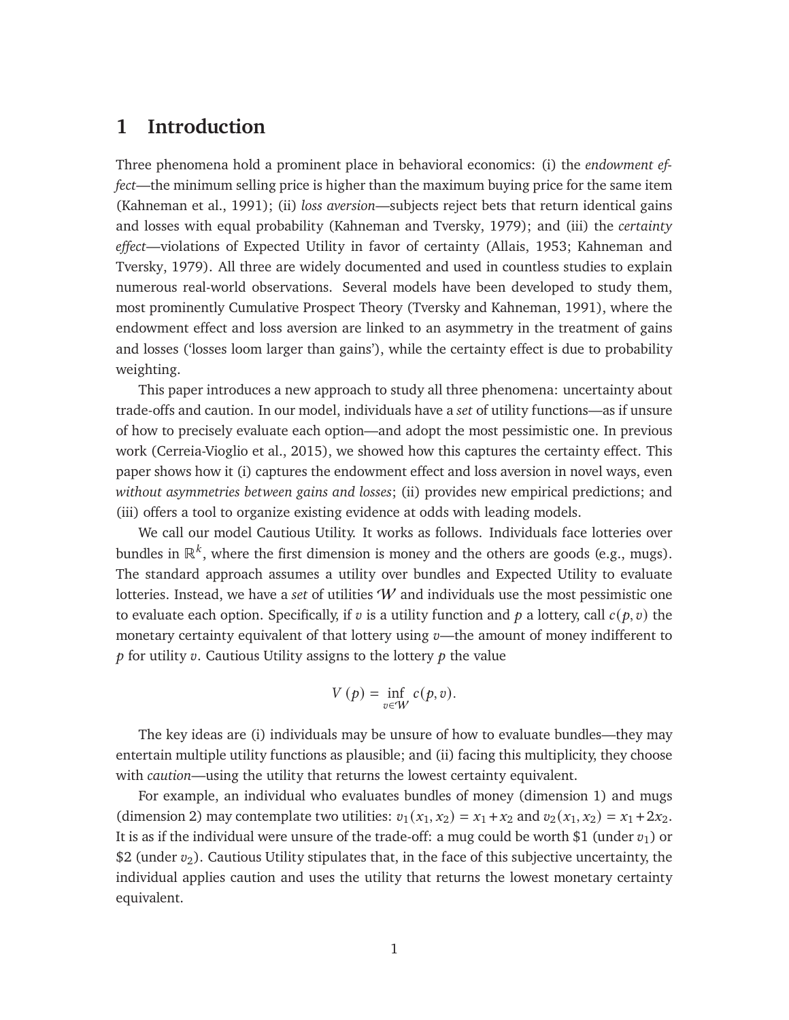### **1 Introduction**

Three phenomena hold a prominent place in behavioral economics: (i) the *endowment effect*—the minimum selling price is higher than the maximum buying price for the same item [\(Kahneman et al., 1991\)](#page-46-0); (ii) *loss aversion*—subjects reject bets that return identical gains and losses with equal probability [\(Kahneman and Tversky, 1979\)](#page-46-1); and (iii) the *certainty effect*—violations of Expected Utility in favor of certainty [\(Allais, 1953;](#page-43-0) [Kahneman and](#page-46-1) [Tversky, 1979\)](#page-46-1). All three are widely documented and used in countless studies to explain numerous real-world observations. Several models have been developed to study them, most prominently Cumulative Prospect Theory [\(Tversky and Kahneman, 1991\)](#page-47-0), where the endowment effect and loss aversion are linked to an asymmetry in the treatment of gains and losses ('losses loom larger than gains'), while the certainty effect is due to probability weighting.

This paper introduces a new approach to study all three phenomena: uncertainty about trade-offs and caution. In our model, individuals have a *set* of utility functions—as if unsure of how to precisely evaluate each option—and adopt the most pessimistic one. In previous work [\(Cerreia-Vioglio et al., 2015\)](#page-44-0), we showed how this captures the certainty effect. This paper shows how it (i) captures the endowment effect and loss aversion in novel ways, even *without asymmetries between gains and losses*; (ii) provides new empirical predictions; and (iii) offers a tool to organize existing evidence at odds with leading models.

We call our model Cautious Utility. It works as follows. Individuals face lotteries over bundles in  $\mathbb{R}^k$ , where the first dimension is money and the others are goods (e.g., mugs). The standard approach assumes a utility over bundles and Expected Utility to evaluate lotteries. Instead, we have a *set* of utilities W and individuals use the most pessimistic one to evaluate each option. Specifically, if  $v$  is a utility function and  $p$  a lottery, call  $c(p, v)$  the monetary certainty equivalent of that lottery using  $v$ —the amount of money indifferent to  $\dot{p}$  for utility  $\dot{v}$ . Cautious Utility assigns to the lottery  $\dot{p}$  the value

$$
V(p) = \inf_{v \in W} c(p, v).
$$

The key ideas are (i) individuals may be unsure of how to evaluate bundles—they may entertain multiple utility functions as plausible; and (ii) facing this multiplicity, they choose with *caution*—using the utility that returns the lowest certainty equivalent.

For example, an individual who evaluates bundles of money (dimension 1) and mugs (dimension 2) may contemplate two utilities:  $v_1(x_1, x_2) = x_1 + x_2$  and  $v_2(x_1, x_2) = x_1 + 2x_2$ . It is as if the individual were unsure of the trade-off: a mug could be worth \$1 (under  $v_1$ ) or \$2 (under  $v_2$ ). Cautious Utility stipulates that, in the face of this subjective uncertainty, the individual applies caution and uses the utility that returns the lowest monetary certainty equivalent.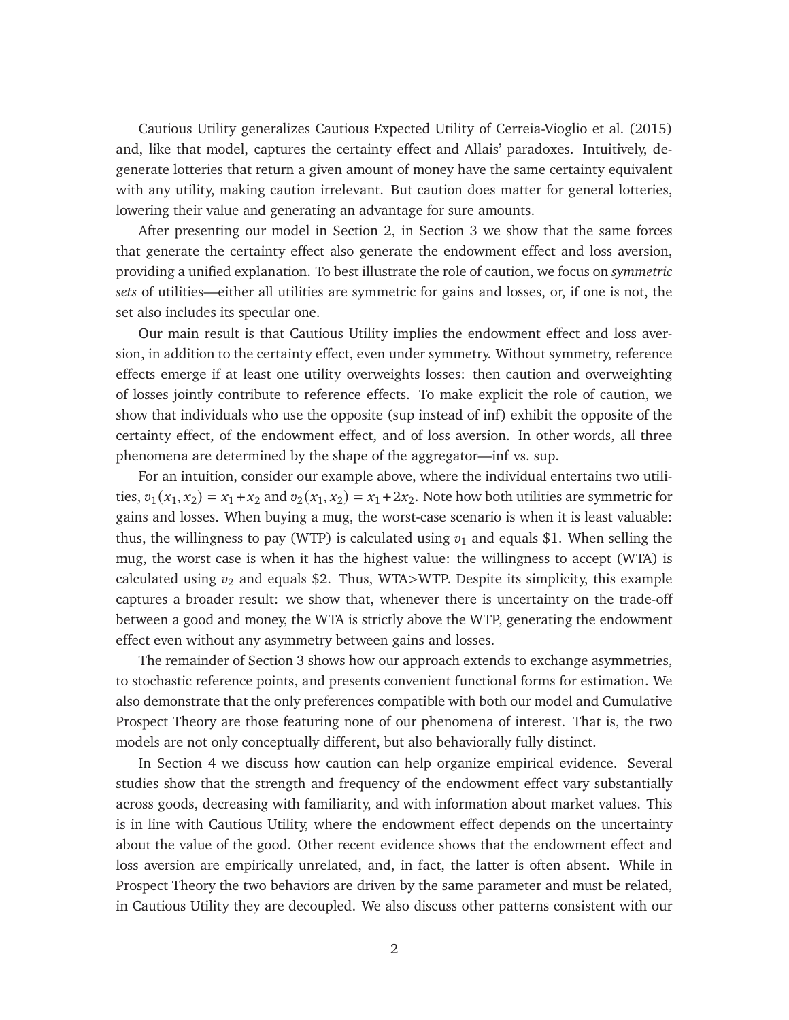Cautious Utility generalizes Cautious Expected Utility of [Cerreia-Vioglio et al.](#page-44-0) [\(2015\)](#page-44-0) and, like that model, captures the certainty effect and Allais' paradoxes. Intuitively, degenerate lotteries that return a given amount of money have the same certainty equivalent with any utility, making caution irrelevant. But caution does matter for general lotteries, lowering their value and generating an advantage for sure amounts.

After presenting our model in Section [2,](#page-5-0) in Section [3](#page-7-0) we show that the same forces that generate the certainty effect also generate the endowment effect and loss aversion, providing a unified explanation. To best illustrate the role of caution, we focus on *symmetric sets* of utilities—either all utilities are symmetric for gains and losses, or, if one is not, the set also includes its specular one.

Our main result is that Cautious Utility implies the endowment effect and loss aversion, in addition to the certainty effect, even under symmetry. Without symmetry, reference effects emerge if at least one utility overweights losses: then caution and overweighting of losses jointly contribute to reference effects. To make explicit the role of caution, we show that individuals who use the opposite (sup instead of inf) exhibit the opposite of the certainty effect, of the endowment effect, and of loss aversion. In other words, all three phenomena are determined by the shape of the aggregator—inf vs. sup.

For an intuition, consider our example above, where the individual entertains two utilities,  $v_1(x_1, x_2) = x_1 + x_2$  and  $v_2(x_1, x_2) = x_1 + 2x_2$ . Note how both utilities are symmetric for gains and losses. When buying a mug, the worst-case scenario is when it is least valuable: thus, the willingness to pay (WTP) is calculated using  $v_1$  and equals \$1. When selling the mug, the worst case is when it has the highest value: the willingness to accept (WTA) is calculated using  $v_2$  and equals \$2. Thus, WTA>WTP. Despite its simplicity, this example captures a broader result: we show that, whenever there is uncertainty on the trade-off between a good and money, the WTA is strictly above the WTP, generating the endowment effect even without any asymmetry between gains and losses.

The remainder of Section [3](#page-7-0) shows how our approach extends to exchange asymmetries, to stochastic reference points, and presents convenient functional forms for estimation. We also demonstrate that the only preferences compatible with both our model and Cumulative Prospect Theory are those featuring none of our phenomena of interest. That is, the two models are not only conceptually different, but also behaviorally fully distinct.

In Section [4](#page-18-0) we discuss how caution can help organize empirical evidence. Several studies show that the strength and frequency of the endowment effect vary substantially across goods, decreasing with familiarity, and with information about market values. This is in line with Cautious Utility, where the endowment effect depends on the uncertainty about the value of the good. Other recent evidence shows that the endowment effect and loss aversion are empirically unrelated, and, in fact, the latter is often absent. While in Prospect Theory the two behaviors are driven by the same parameter and must be related, in Cautious Utility they are decoupled. We also discuss other patterns consistent with our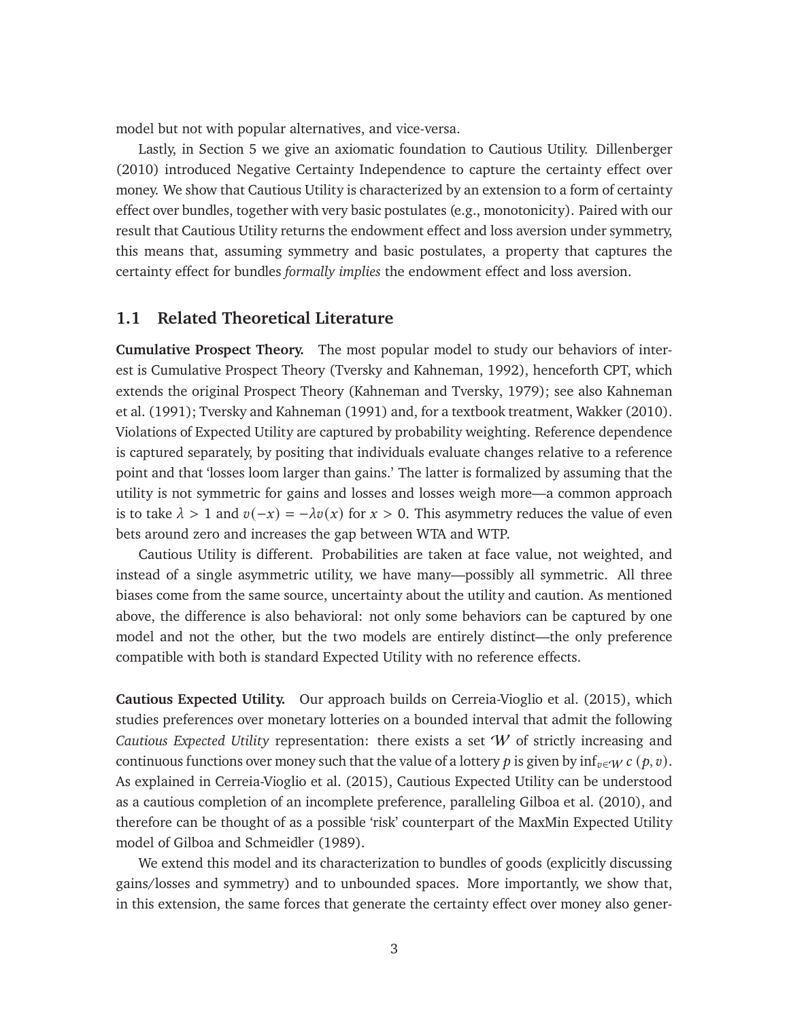model but not with popular alternatives, and vice-versa.

Lastly, in Section [5](#page-21-0) we give an axiomatic foundation to Cautious Utility. [Dillenberger](#page-44-1) [\(2010\)](#page-44-1) introduced Negative Certainty Independence to capture the certainty effect over money. We show that Cautious Utility is characterized by an extension to a form of certainty effect over bundles, together with very basic postulates (e.g., monotonicity). Paired with our result that Cautious Utility returns the endowment effect and loss aversion under symmetry, this means that, assuming symmetry and basic postulates, a property that captures the certainty effect for bundles *formally implies* the endowment effect and loss aversion.

### <span id="page-3-0"></span>**1.1 Related Theoretical Literature**

**Cumulative Prospect Theory.** The most popular model to study our behaviors of interest is Cumulative Prospect Theory [\(Tversky and Kahneman, 1992\)](#page-47-1), henceforth CPT, which extends the original Prospect Theory [\(Kahneman and Tversky, 1979\)](#page-46-1); see also [Kahneman](#page-46-0) [et al.](#page-46-0) [\(1991\)](#page-46-0); [Tversky and Kahneman](#page-47-0) [\(1991\)](#page-47-0) and, for a textbook treatment, [Wakker](#page-47-2) [\(2010\)](#page-47-2). Violations of Expected Utility are captured by probability weighting. Reference dependence is captured separately, by positing that individuals evaluate changes relative to a reference point and that 'losses loom larger than gains.' The latter is formalized by assuming that the utility is not symmetric for gains and losses and losses weigh more—a common approach is to take  $\lambda > 1$  and  $v(-x) = -\lambda v(x)$  for  $x > 0$ . This asymmetry reduces the value of even bets around zero and increases the gap between WTA and WTP.

Cautious Utility is different. Probabilities are taken at face value, not weighted, and instead of a single asymmetric utility, we have many—possibly all symmetric. All three biases come from the same source, uncertainty about the utility and caution. As mentioned above, the difference is also behavioral: not only some behaviors can be captured by one model and not the other, but the two models are entirely distinct—the only preference compatible with both is standard Expected Utility with no reference effects.

**Cautious Expected Utility.** Our approach builds on [Cerreia-Vioglio et al.](#page-44-0) [\(2015\)](#page-44-0), which studies preferences over monetary lotteries on a bounded interval that admit the following *Cautious Expected Utility* representation: there exists a set W of strictly increasing and continuous functions over money such that the value of a lottery p is given by inf<sub> $v \in W$ </sub>  $c$  ( $p, v$ ). As explained in [Cerreia-Vioglio et al.](#page-44-0) [\(2015\)](#page-44-0), Cautious Expected Utility can be understood as a cautious completion of an incomplete preference, paralleling [Gilboa et al.](#page-45-0) [\(2010\)](#page-45-0), and therefore can be thought of as a possible 'risk' counterpart of the MaxMin Expected Utility model of [Gilboa and Schmeidler](#page-45-1) [\(1989\)](#page-45-1).

We extend this model and its characterization to bundles of goods (explicitly discussing gains/losses and symmetry) and to unbounded spaces. More importantly, we show that, in this extension, the same forces that generate the certainty effect over money also gener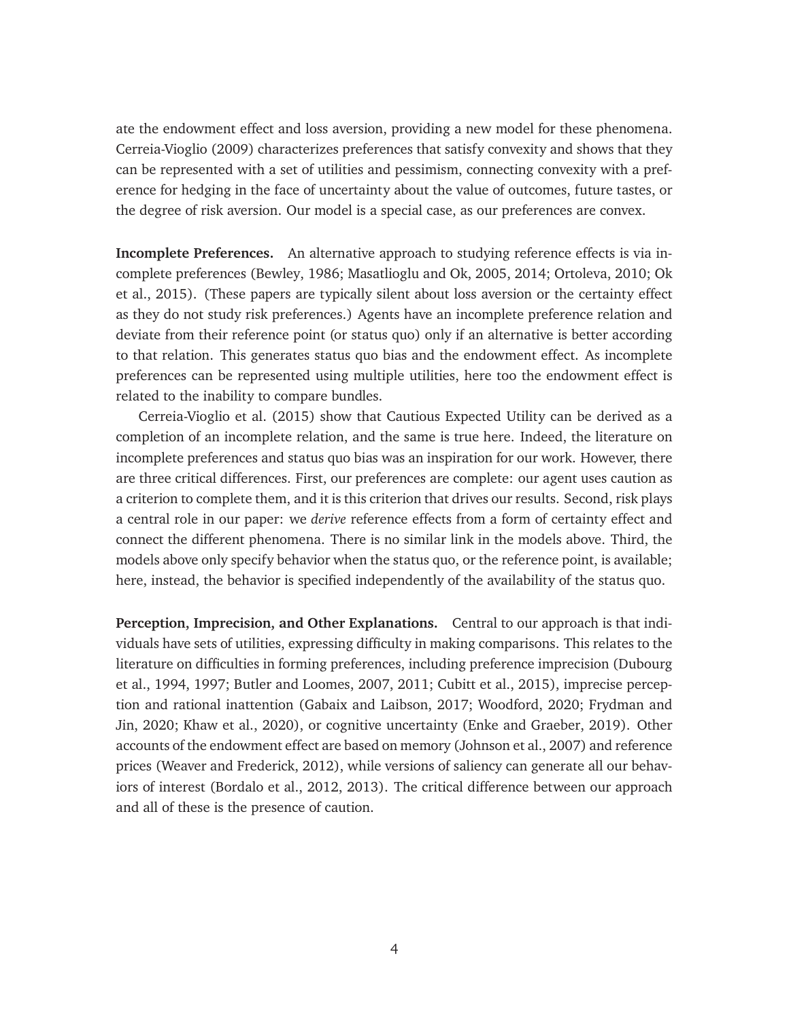ate the endowment effect and loss aversion, providing a new model for these phenomena. [Cerreia-Vioglio](#page-44-2) [\(2009\)](#page-44-2) characterizes preferences that satisfy convexity and shows that they can be represented with a set of utilities and pessimism, connecting convexity with a preference for hedging in the face of uncertainty about the value of outcomes, future tastes, or the degree of risk aversion. Our model is a special case, as our preferences are convex.

**Incomplete Preferences.** An alternative approach to studying reference effects is via incomplete preferences [\(Bewley, 1986;](#page-43-1) [Masatlioglu and Ok, 2005,](#page-46-2) [2014;](#page-47-3) [Ortoleva, 2010;](#page-47-4) [Ok](#page-47-5) [et al., 2015\)](#page-47-5). (These papers are typically silent about loss aversion or the certainty effect as they do not study risk preferences.) Agents have an incomplete preference relation and deviate from their reference point (or status quo) only if an alternative is better according to that relation. This generates status quo bias and the endowment effect. As incomplete preferences can be represented using multiple utilities, here too the endowment effect is related to the inability to compare bundles.

[Cerreia-Vioglio et al.](#page-44-0) [\(2015\)](#page-44-0) show that Cautious Expected Utility can be derived as a completion of an incomplete relation, and the same is true here. Indeed, the literature on incomplete preferences and status quo bias was an inspiration for our work. However, there are three critical differences. First, our preferences are complete: our agent uses caution as a criterion to complete them, and it is this criterion that drives our results. Second, risk plays a central role in our paper: we *derive* reference effects from a form of certainty effect and connect the different phenomena. There is no similar link in the models above. Third, the models above only specify behavior when the status quo, or the reference point, is available; here, instead, the behavior is specified independently of the availability of the status quo.

**Perception, Imprecision, and Other Explanations.** Central to our approach is that individuals have sets of utilities, expressing difficulty in making comparisons. This relates to the literature on difficulties in forming preferences, including preference imprecision [\(Dubourg](#page-45-2) [et al., 1994,](#page-45-2) [1997;](#page-45-3) [Butler and Loomes, 2007,](#page-43-2) [2011;](#page-44-3) [Cubitt et al., 2015\)](#page-44-4), imprecise perception and rational inattention [\(Gabaix and Laibson, 2017;](#page-45-4) [Woodford, 2020;](#page-48-0) [Frydman and](#page-45-5) [Jin, 2020;](#page-45-5) [Khaw et al., 2020\)](#page-46-3), or cognitive uncertainty [\(Enke and Graeber, 2019\)](#page-45-6). Other accounts of the endowment effect are based on memory [\(Johnson et al., 2007\)](#page-46-4) and reference prices [\(Weaver and Frederick, 2012\)](#page-47-6), while versions of saliency can generate all our behaviors of interest [\(Bordalo et al., 2012,](#page-43-3) [2013\)](#page-43-4). The critical difference between our approach and all of these is the presence of caution.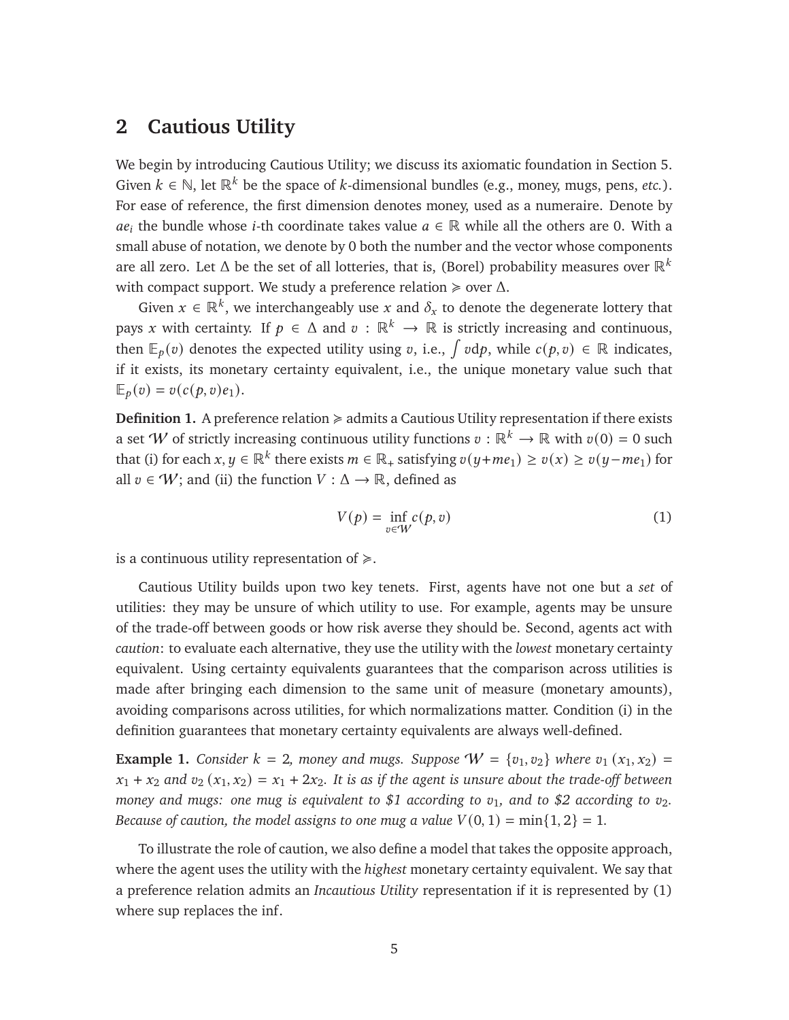### <span id="page-5-0"></span>**2 Cautious Utility**

We begin by introducing Cautious Utility; we discuss its axiomatic foundation in Section [5.](#page-21-0) Given  $k \in \mathbb{N}$ , let  $\mathbb{R}^k$  be the space of k-dimensional bundles (e.g., money, mugs, pens, *etc.*). For ease of reference, the first dimension denotes money, used as a numeraire. Denote by  $ae_i$  the bundle whose *i*-th coordinate takes value  $a \in \mathbb{R}$  while all the others are 0. With a small abuse of notation, we denote by 0 both the number and the vector whose components are all zero. Let  $\Delta$  be the set of all lotteries, that is, (Borel) probability measures over  $\mathbb{R}^k$ with compact support. We study a preference relation  $\geq$  over  $\Delta$ .

Given  $x \in \mathbb{R}^k$ , we interchangeably use x and  $\delta_x$  to denote the degenerate lottery that pays x with certainty. If  $p \in \Delta$  and  $v : \mathbb{R}^k \to \mathbb{R}$  is strictly increasing and continuous, then  $\mathbb{E}_p(v)$  denotes the expected utility using v, i.e.,  $\int v dp$ , while  $c(p, v) \in \mathbb{R}$  indicates, if it exists, its monetary certainty equivalent, i.e., the unique monetary value such that  $\mathbb{E}_p(v) = v(c(p, v)e_1).$ 

<span id="page-5-3"></span>**Definition 1.** A preference relation  $\geq$  admits a Cautious Utility representation if there exists a set W of strictly increasing continuous utility functions  $v : \mathbb{R}^k \to \mathbb{R}$  with  $v(0) = 0$  such that (i) for each  $x, y \in \mathbb{R}^k$  there exists  $m \in \mathbb{R}_+$  satisfying  $v(y+me_1) \ge v(x) \ge v(y-me_1)$  for all  $v \in W$ ; and (ii) the function  $V : \Delta \rightarrow \mathbb{R}$ , defined as

<span id="page-5-1"></span>
$$
V(p) = \inf_{v \in W} c(p, v)
$$
 (1)

is a continuous utility representation of  $\geq$ .

Cautious Utility builds upon two key tenets. First, agents have not one but a *set* of utilities: they may be unsure of which utility to use. For example, agents may be unsure of the trade-off between goods or how risk averse they should be. Second, agents act with *caution*: to evaluate each alternative, they use the utility with the *lowest* monetary certainty equivalent. Using certainty equivalents guarantees that the comparison across utilities is made after bringing each dimension to the same unit of measure (monetary amounts), avoiding comparisons across utilities, for which normalizations matter. Condition (i) in the definition guarantees that monetary certainty equivalents are always well-defined.

<span id="page-5-2"></span>**Example 1.** *Consider*  $k = 2$ *, money and mugs. Suppose*  $W = \{v_1, v_2\}$  *where*  $v_1(x_1, x_2) =$  $x_1 + x_2$  and  $v_2(x_1, x_2) = x_1 + 2x_2$ . It is as if the agent is unsure about the trade-off between *money and mugs: one mug is equivalent to* \$1 according to  $v_1$ *, and to \$2 according to*  $v_2$ *. Because of caution, the model assigns to one mug a value*  $V(0, 1) = min\{1, 2\} = 1$ .

To illustrate the role of caution, we also define a model that takes the opposite approach, where the agent uses the utility with the *highest* monetary certainty equivalent. We say that a preference relation admits an *Incautious Utility* representation if it is represented by [\(1\)](#page-5-1) where sup replaces the inf.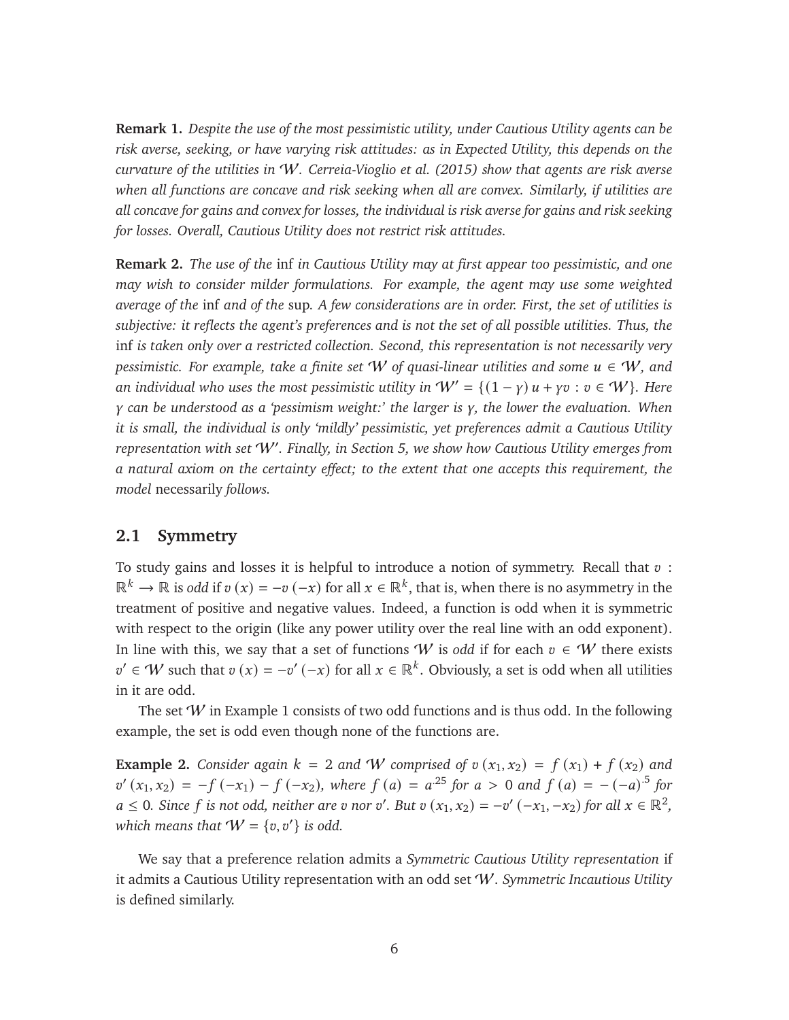**Remark 1.** *Despite the use of the most pessimistic utility, under Cautious Utility agents can be risk averse, seeking, or have varying risk attitudes: as in Expected Utility, this depends on the curvature of the utilities in* W*. [Cerreia-Vioglio et al.](#page-44-0) [\(2015\)](#page-44-0) show that agents are risk averse when all functions are concave and risk seeking when all are convex. Similarly, if utilities are all concave for gains and convex for losses, the individual is risk averse for gains and risk seeking for losses. Overall, Cautious Utility does not restrict risk attitudes.*

**Remark 2.** *The use of the* inf *in Cautious Utility may at first appear too pessimistic, and one may wish to consider milder formulations. For example, the agent may use some weighted average of the* inf *and of the* sup*. A few considerations are in order. First, the set of utilities is subjective: it reflects the agent's preferences and is not the set of all possible utilities. Thus, the* inf *is taken only over a restricted collection. Second, this representation is not necessarily very pessimistic. For example, take a finite set*  $W$  *of quasi-linear utilities and some*  $u \in W$ *, and an individual who uses the most pessimistic utility in*  $W' = \{(1 - \gamma) u + \gamma v : v \in W\}$ *. Here* 𝛾 *can be understood as a 'pessimism weight:' the larger is* 𝛾*, the lower the evaluation. When it is small, the individual is only 'mildly' pessimistic, yet preferences admit a Cautious Utility representation with set* W<sup>0</sup> *. Finally, in Section [5,](#page-21-0) we show how Cautious Utility emerges from a natural axiom on the certainty effect; to the extent that one accepts this requirement, the model* necessarily *follows.*

#### **2.1 Symmetry**

To study gains and losses it is helpful to introduce a notion of symmetry. Recall that  $v$ :  $\mathbb{R}^k \to \mathbb{R}$  is *odd* if  $v(x) = -v(-x)$  for all  $x \in \mathbb{R}^k$ , that is, when there is no asymmetry in the treatment of positive and negative values. Indeed, a function is odd when it is symmetric with respect to the origin (like any power utility over the real line with an odd exponent). In line with this, we say that a set of functions W is *odd* if for each  $v \in W$  there exists  $v' \in W$  such that  $v(x) = -v'(-x)$  for all  $x \in \mathbb{R}^k$ . Obviously, a set is odd when all utilities in it are odd.

The set  $W$  in Example [1](#page-5-2) consists of two odd functions and is thus odd. In the following example, the set is odd even though none of the functions are.

<span id="page-6-0"></span>**Example 2.** *Consider again*  $k = 2$  *and W comprised of*  $v(x_1, x_2) = f(x_1) + f(x_2)$  *and*  $v'(x_1, x_2) = -f(-x_1) - f(-x_2)$ , where  $f(a) = a^{25}$  for  $a > 0$  and  $f(a) = -(-a)^{5}$  for  $a \leq 0$ . Since f is not odd, neither are v nor v'. But v  $(x_1, x_2) = -v'(-x_1, -x_2)$  for all  $x \in \mathbb{R}^2$ , which means that  $W = \{v, v'\}$  is odd.

We say that a preference relation admits a *Symmetric Cautious Utility representation* if it admits a Cautious Utility representation with an odd set W. *Symmetric Incautious Utility* is defined similarly.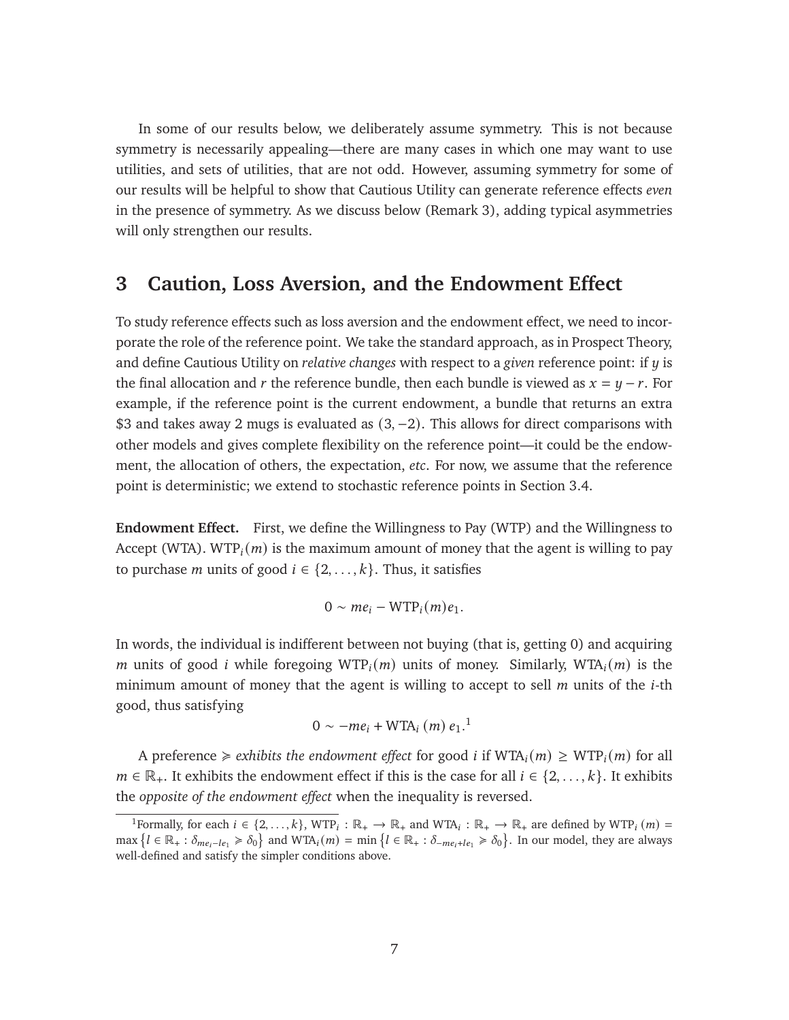In some of our results below, we deliberately assume symmetry. This is not because symmetry is necessarily appealing—there are many cases in which one may want to use utilities, and sets of utilities, that are not odd. However, assuming symmetry for some of our results will be helpful to show that Cautious Utility can generate reference effects *even* in the presence of symmetry. As we discuss below (Remark [3\)](#page-10-0), adding typical asymmetries will only strengthen our results.

### <span id="page-7-0"></span>**3 Caution, Loss Aversion, and the Endowment Effect**

To study reference effects such as loss aversion and the endowment effect, we need to incorporate the role of the reference point. We take the standard approach, as in Prospect Theory, and define Cautious Utility on *relative changes* with respect to a *given* reference point: if  $y$  is the final allocation and r the reference bundle, then each bundle is viewed as  $x = y - r$ . For example, if the reference point is the current endowment, a bundle that returns an extra \$3 and takes away 2 mugs is evaluated as  $(3, -2)$ . This allows for direct comparisons with other models and gives complete flexibility on the reference point—it could be the endowment, the allocation of others, the expectation, *etc*. For now, we assume that the reference point is deterministic; we extend to stochastic reference points in Section [3.4.](#page-15-0)

**Endowment Effect.** First, we define the Willingness to Pay (WTP) and the Willingness to Accept (WTA). WTP<sub>i</sub> $(m)$  is the maximum amount of money that the agent is willing to pay to purchase *m* units of good  $i \in \{2, ..., k\}$ . Thus, it satisfies

$$
0 \sim me_i - WTP_i(m)e_1.
$$

In words, the individual is indifferent between not buying (that is, getting 0) and acquiring *m* units of good *i* while foregoing WTP<sub>i</sub> $(m)$  units of money. Similarly, WTA<sub>i</sub> $(m)$  is the minimum amount of money that the agent is willing to accept to sell  $m$  units of the  $i$ -th good, thus satisfying

$$
0 \sim -me_i + \text{WTA}_i \ (m) \ e_1.
$$
<sup>1</sup>

A preference  $\geq$  *exhibits the endowment effect* for good *i* if WTA<sub>*i*</sub>(*m*)  $\geq$  WTP<sub>*i*</sub>(*m*) for all  $m \in \mathbb{R}_+$ . It exhibits the endowment effect if this is the case for all  $i \in \{2, \ldots, k\}$ . It exhibits the *opposite of the endowment effect* when the inequality is reversed.

<span id="page-7-1"></span><sup>&</sup>lt;sup>1</sup>Formally, for each  $i \in \{2, ..., k\}$ , WTP<sub>i</sub>:  $\mathbb{R}_+ \to \mathbb{R}_+$  and WTA<sub>i</sub>:  $\mathbb{R}_+ \to \mathbb{R}_+$  are defined by WTP<sub>i</sub>  $(m)$  =  $\text{max } \{l \in \mathbb{R}_+ : \delta_{me_i-l} \geq \delta_0\}$  and  $\text{WTA}_i(m) = \min \{l \in \mathbb{R}_+ : \delta_{me_i + le_1} \geq \delta_0\}$ . In our model, they are always well-defined and satisfy the simpler conditions above.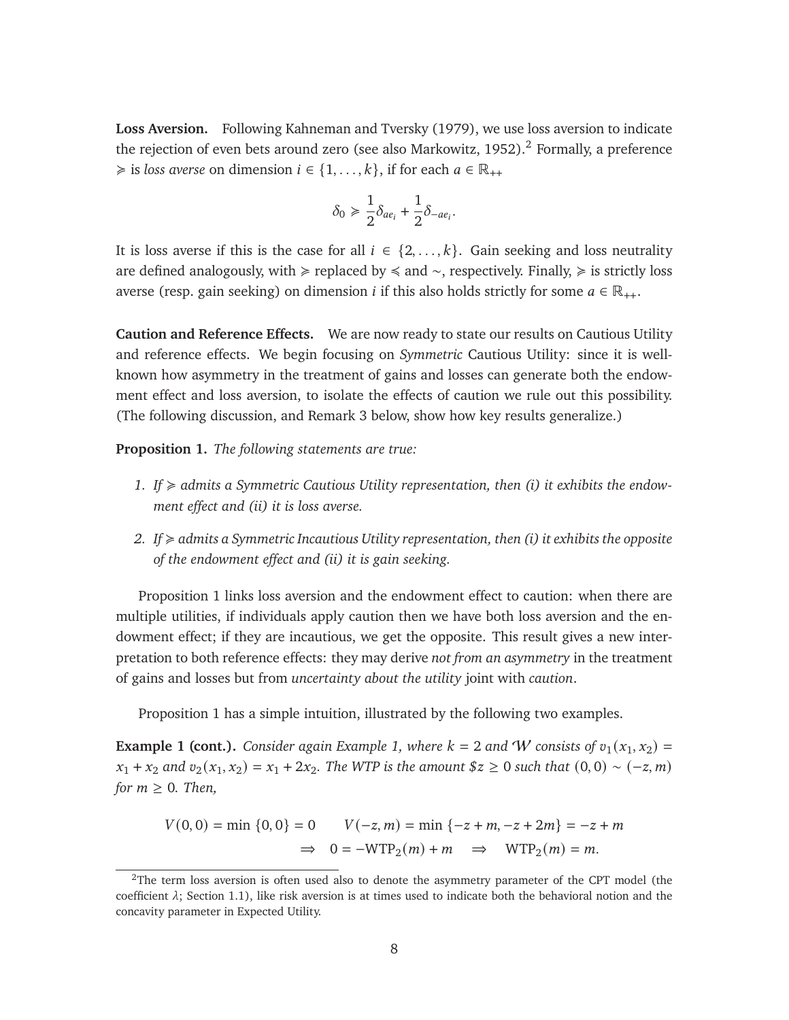**Loss Aversion.** Following [Kahneman and Tversky](#page-46-1) [\(1979\)](#page-46-1), we use loss aversion to indicate the rejection of even bets around zero (see also [Markowitz, 1952\)](#page-46-5).<sup>[2](#page-8-0)</sup> Formally, a preference  $\geq$  is *loss averse* on dimension  $i \in \{1, ..., k\}$ , if for each  $a \in \mathbb{R}_{++}$ 

$$
\delta_0 \geq \frac{1}{2}\delta_{ae_i} + \frac{1}{2}\delta_{-ae_i}.
$$

It is loss averse if this is the case for all  $i \in \{2, ..., k\}$ . Gain seeking and loss neutrality are defined analogously, with  $\geq$  replaced by  $\leq$  and ∼, respectively. Finally,  $\geq$  is strictly loss averse (resp. gain seeking) on dimension *i* if this also holds strictly for some  $a \in \mathbb{R}_{++}$ .

**Caution and Reference Effects.** We are now ready to state our results on Cautious Utility and reference effects. We begin focusing on *Symmetric* Cautious Utility: since it is wellknown how asymmetry in the treatment of gains and losses can generate both the endowment effect and loss aversion, to isolate the effects of caution we rule out this possibility. (The following discussion, and Remark [3](#page-10-0) below, show how key results generalize.)

<span id="page-8-1"></span>**Proposition 1.** *The following statements are true:*

- 1. If  $\geq$  admits a Symmetric Cautious Utility representation, then (i) it exhibits the endow*ment effect and (ii) it is loss averse.*
- *2.* If  $\geq$  admits a Symmetric Incautious Utility representation, then (i) it exhibits the opposite *of the endowment effect and (ii) it is gain seeking.*

Proposition [1](#page-8-1) links loss aversion and the endowment effect to caution: when there are multiple utilities, if individuals apply caution then we have both loss aversion and the endowment effect; if they are incautious, we get the opposite. This result gives a new interpretation to both reference effects: they may derive *not from an asymmetry* in the treatment of gains and losses but from *uncertainty about the utility* joint with *caution*.

Proposition [1](#page-8-1) has a simple intuition, illustrated by the following two examples.

**Example 1 (cont.).** *Consider again Example [1,](#page-5-2) where*  $k = 2$  *and* W *consists of*  $v_1(x_1, x_2) =$  $x_1 + x_2$  and  $v_2(x_1, x_2) = x_1 + 2x_2$ . The WTP is the amount  $$z \geq 0$  such that  $(0, 0) \sim (-z, m)$ *for*  $m \geq 0$ *. Then,* 

$$
V(0,0) = \min \{0, 0\} = 0 \qquad V(-z, m) = \min \{-z + m, -z + 2m\} = -z + m
$$
  

$$
\Rightarrow 0 = -WTP_2(m) + m \qquad \Rightarrow \quad WTP_2(m) = m.
$$

<span id="page-8-0"></span> $2$ The term loss aversion is often used also to denote the asymmetry parameter of the CPT model (the coefficient  $\lambda$ ; Section [1.1\)](#page-3-0), like risk aversion is at times used to indicate both the behavioral notion and the concavity parameter in Expected Utility.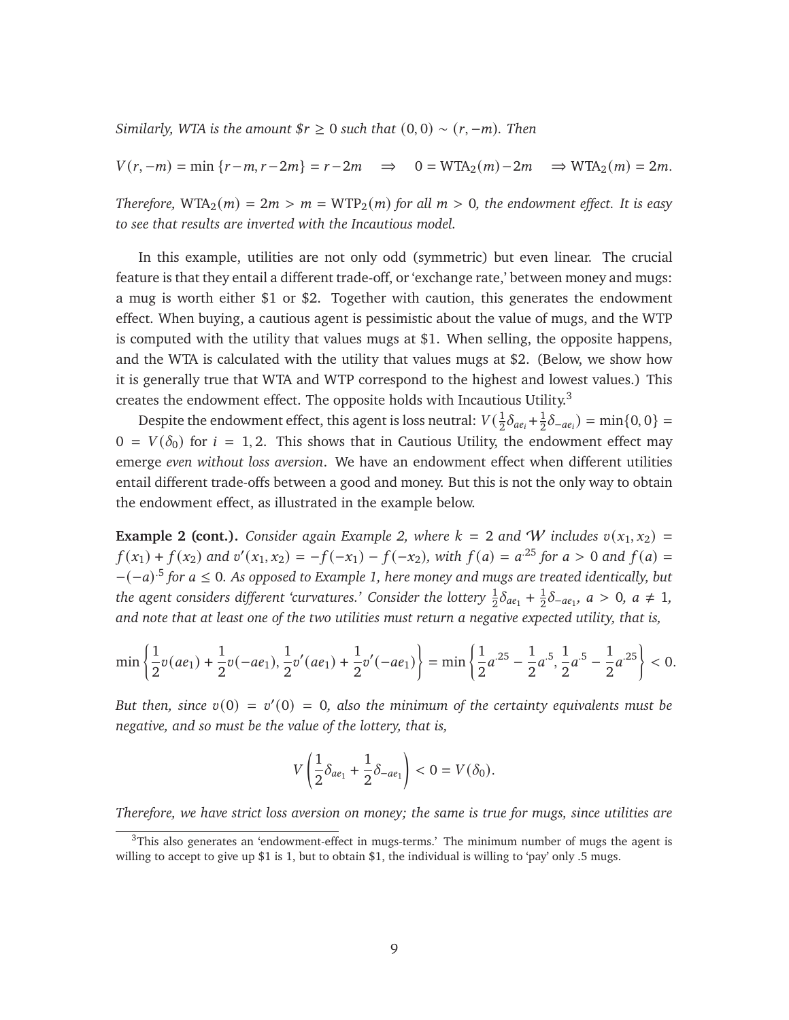*Similarly, WTA is the amount*  $\frac{fr}{r} \geq 0$  *such that*  $(0, 0) \sim (r, -m)$ *. Then* 

$$
V(r, -m) = \min\{r - m, r - 2m\} = r - 2m \implies 0 = \text{WTA}_2(m) - 2m \implies \text{WTA}_2(m) = 2m.
$$

*Therefore,*  $WTA_2(m) = 2m > m = WTP_2(m)$  *for all*  $m > 0$ *, the endowment effect. It is easy to see that results are inverted with the Incautious model.*

In this example, utilities are not only odd (symmetric) but even linear. The crucial feature is that they entail a different trade-off, or 'exchange rate,' between money and mugs: a mug is worth either \$1 or \$2. Together with caution, this generates the endowment effect. When buying, a cautious agent is pessimistic about the value of mugs, and the WTP is computed with the utility that values mugs at \$1. When selling, the opposite happens, and the WTA is calculated with the utility that values mugs at \$2. (Below, we show how it is generally true that WTA and WTP correspond to the highest and lowest values.) This creates the endowment effect. The opposite holds with Incautious Utility.<sup>[3](#page-9-0)</sup>

Despite the endowment effect, this agent is loss neutral:  $V(\frac{1}{2})$  $\frac{1}{2}\delta_{ae_i} + \frac{1}{2}$  $\frac{1}{2}\delta_{-ae_i}$ ) = min{0, 0} =  $0 = V(\delta_0)$  for  $i = 1, 2$ . This shows that in Cautious Utility, the endowment effect may emerge *even without loss aversion*. We have an endowment effect when different utilities entail different trade-offs between a good and money. But this is not the only way to obtain the endowment effect, as illustrated in the example below.

**Example 2 (cont.).** *Consider again Example [2,](#page-6-0) where*  $k = 2$  *and W includes*  $v(x_1, x_2) =$  $f(x_1) + f(x_2)$  and  $v'(x_1, x_2) = -f(-x_1) - f(-x_2)$ , with  $f(a) = a^{25}$  for  $a > 0$  and  $f(a) =$ −(−𝑎) .5 *for* 𝑎 ≤ 0*. As opposed to Example [1,](#page-5-2) here money and mugs are treated identically, but* the agent considers different 'curvatures.' Consider the lottery  $\frac{1}{2} \delta_{a e_1} + \frac{1}{2}$  $\frac{1}{2}\delta_{-ae_1}, a > 0, a \neq 1,$ *and note that at least one of the two utilities must return a negative expected utility, that is,*

$$
\min\left\{\frac{1}{2}v(ae_1)+\frac{1}{2}v(-ae_1),\frac{1}{2}v'(ae_1)+\frac{1}{2}v'(-ae_1)\right\}=\min\left\{\frac{1}{2}a^{-25}-\frac{1}{2}a^{-5},\frac{1}{2}a^{-5}-\frac{1}{2}a^{-25}\right\}<0.
$$

But then, since  $v(0) = v'(0) = 0$ , also the minimum of the certainty equivalents must be *negative, and so must be the value of the lottery, that is,*

$$
V\left(\frac{1}{2}\delta_{ae_1}+\frac{1}{2}\delta_{-ae_1}\right)<0=V(\delta_0).
$$

*Therefore, we have strict loss aversion on money; the same is true for mugs, since utilities are*

<span id="page-9-0"></span> $3$ This also generates an 'endowment-effect in mugs-terms.' The minimum number of mugs the agent is willing to accept to give up \$1 is 1, but to obtain \$1, the individual is willing to 'pay' only .5 mugs.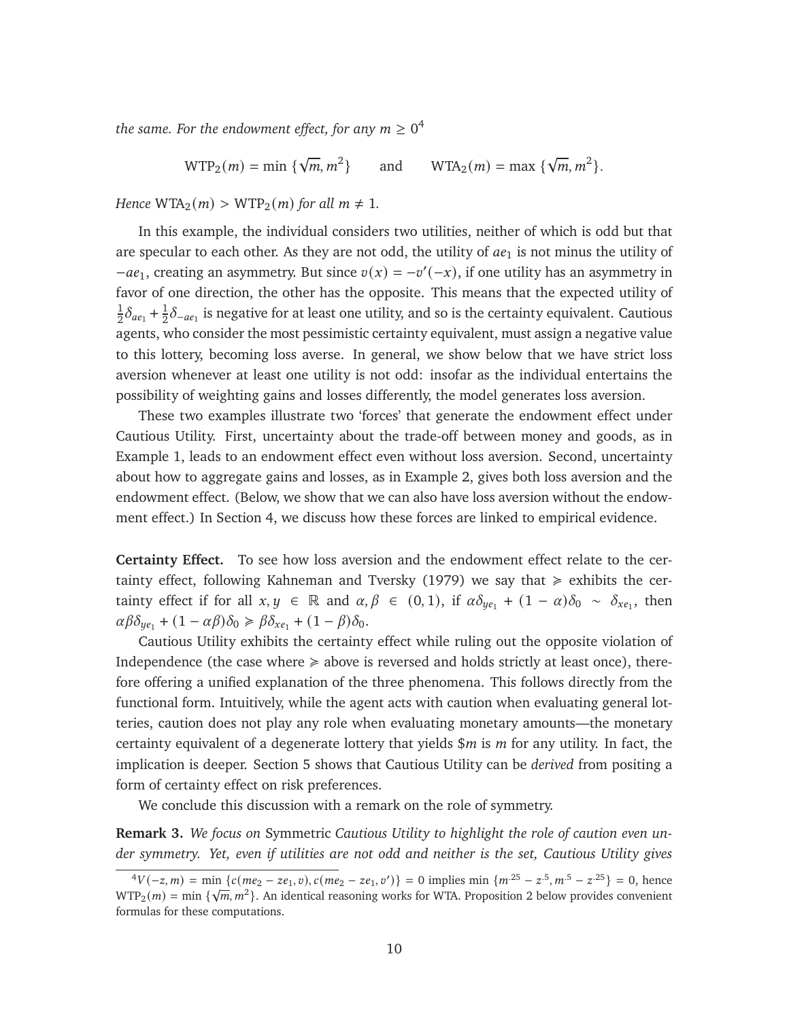the same. For the endowment effect, for any  $m\geq 0^4$  $m\geq 0^4$ 

 $WTP_2(m) = \min \left\{ \sqrt{m}, m^2 \right\}$ } and  $WTA_2(m) = \max {\{\sqrt{m}, m^2\}}.$ 

*Hence*  $WTA_2(m) > WTP_2(m)$  *for all*  $m \neq 1$ *.* 

In this example, the individual considers two utilities, neither of which is odd but that are specular to each other. As they are not odd, the utility of  $ae<sub>1</sub>$  is not minus the utility of  $-e_1$ , creating an asymmetry. But since  $v(x) = -v'(-x)$ , if one utility has an asymmetry in favor of one direction, the other has the opposite. This means that the expected utility of 1  $\frac{1}{2}\delta_{ae_1} + \frac{1}{2}$  $\frac{1}{2}\delta_{-ae_1}$  is negative for at least one utility, and so is the certainty equivalent. Cautious agents, who consider the most pessimistic certainty equivalent, must assign a negative value to this lottery, becoming loss averse. In general, we show below that we have strict loss aversion whenever at least one utility is not odd: insofar as the individual entertains the possibility of weighting gains and losses differently, the model generates loss aversion.

These two examples illustrate two 'forces' that generate the endowment effect under Cautious Utility. First, uncertainty about the trade-off between money and goods, as in Example [1,](#page-5-2) leads to an endowment effect even without loss aversion. Second, uncertainty about how to aggregate gains and losses, as in Example [2,](#page-6-0) gives both loss aversion and the endowment effect. (Below, we show that we can also have loss aversion without the endowment effect.) In Section [4,](#page-18-0) we discuss how these forces are linked to empirical evidence.

**Certainty Effect.** To see how loss aversion and the endowment effect relate to the cer-tainty effect, following [Kahneman and Tversky](#page-46-1) [\(1979\)](#page-46-1) we say that  $\geq$  exhibits the certainty effect if for all  $x, y \in \mathbb{R}$  and  $\alpha, \beta \in (0, 1)$ , if  $\alpha \delta_{\psi_{e_1}} + (1 - \alpha) \delta_0 \sim \delta_{\chi_{e_1}}$ , then  $\alpha\beta\delta_{y_{e_1}} + (1 - \alpha\beta)\delta_0 \geq \beta\delta_{x_{e_1}} + (1 - \beta)\delta_0.$ 

Cautious Utility exhibits the certainty effect while ruling out the opposite violation of Independence (the case where  $\geq$  above is reversed and holds strictly at least once), therefore offering a unified explanation of the three phenomena. This follows directly from the functional form. Intuitively, while the agent acts with caution when evaluating general lotteries, caution does not play any role when evaluating monetary amounts—the monetary certainty equivalent of a degenerate lottery that yields  $\frac{m}{m}$  is *m* for any utility. In fact, the implication is deeper. Section [5](#page-21-0) shows that Cautious Utility can be *derived* from positing a form of certainty effect on risk preferences.

We conclude this discussion with a remark on the role of symmetry.

<span id="page-10-0"></span>**Remark 3.** *We focus on* Symmetric *Cautious Utility to highlight the role of caution even under symmetry. Yet, even if utilities are not odd and neither is the set, Cautious Utility gives*

<span id="page-10-1"></span> ${}^{4}V(-z,m) = \min \{c(me_2 - ze_1, v), c(me_2 - ze_1, v')\} = 0$  implies min  $\{m^{25} - z^{5}, m^{5} - z^{25}\} = 0$ , hence  $WTP_2(m) = min \{\sqrt{m}, m^2\}$ . An identical reasoning works for WTA. Proposition [2](#page-11-0) below provides convenient formulas for these computations.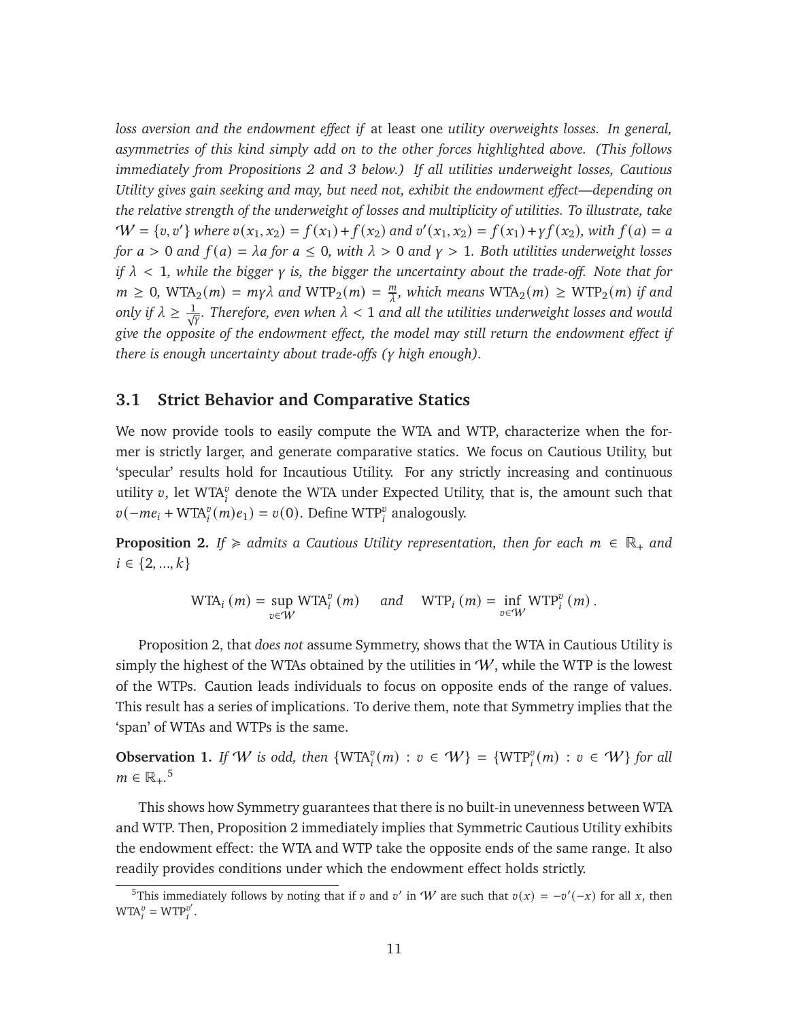*loss aversion and the endowment effect if* at least one *utility overweights losses. In general, asymmetries of this kind simply add on to the other forces highlighted above. (This follows immediately from Propositions [2](#page-11-0) and [3](#page-12-0) below.) If all utilities underweight losses, Cautious Utility gives gain seeking and may, but need not, exhibit the endowment effect—depending on the relative strength of the underweight of losses and multiplicity of utilities. To illustrate, take*  $W = \{v, v'\}$  where  $v(x_1, x_2) = f(x_1) + f(x_2)$  and  $v'(x_1, x_2) = f(x_1) + \gamma f(x_2)$ , with  $f(a) = a$ *for*  $a > 0$  *and*  $f(a) = \lambda a$  *for*  $a \le 0$ *, with*  $\lambda > 0$  *and*  $\gamma > 1$ *. Both utilities underweight losses if*  $\lambda$  < 1, while the bigger  $\gamma$  is, the bigger the uncertainty about the trade-off. Note that for  $m \geq 0$ , WTA<sub>2</sub> $(m) = m\gamma\lambda$  and WTP<sub>2</sub> $(m) = \frac{m\gamma}{\lambda}$  $\frac{m}{\lambda}$ , which means  $\text{WTA}_2(m) \geq \text{WTP}_2(m)$  if and only if  $\lambda \geq \frac{1}{\sqrt{N}}$ . Therefore, even when  $\lambda < 1$  and all the utilities underweight losses and would *give the opposite of the endowment effect, the model may still return the endowment effect if there is enough uncertainty about trade-offs (*𝛾 *high enough).*

### **3.1 Strict Behavior and Comparative Statics**

We now provide tools to easily compute the WTA and WTP, characterize when the former is strictly larger, and generate comparative statics. We focus on Cautious Utility, but 'specular' results hold for Incautious Utility. For any strictly increasing and continuous utility  $v$ , let WTA $_i^v$  denote the WTA under Expected Utility, that is, the amount such that  $v(-me_i + WTA_i^v(m)e_1) = v(0)$ . Define WTP<sup>*i*</sup> analogously.

<span id="page-11-0"></span>**Proposition 2.** *If*  $\geq$  admits a Cautious Utility representation, then for each  $m \in \mathbb{R}_+$  and  $i \in \{2, ..., k\}$ 

$$
\text{WTA}_{i}(m) = \sup_{v \in W} \text{WTA}_{i}^{v}(m) \quad \text{and} \quad \text{WTP}_{i}(m) = \inf_{v \in W} \text{WTP}_{i}^{v}(m).
$$

Proposition [2,](#page-11-0) that *does not* assume Symmetry, shows that the WTA in Cautious Utility is simply the highest of the WTAs obtained by the utilities in  $W$ , while the WTP is the lowest of the WTPs. Caution leads individuals to focus on opposite ends of the range of values. This result has a series of implications. To derive them, note that Symmetry implies that the 'span' of WTAs and WTPs is the same.

**Observation 1.** *If* W *is odd, then*  $\{WTA_i^v(m) : v \in W\}$  =  $\{WTP_i^v(m) : v \in W\}$  *for all*  $m \in \mathbb{R}_+$ .<sup>[5](#page-11-1)</sup>

This shows how Symmetry guarantees that there is no built-in unevenness between WTA and WTP. Then, Proposition [2](#page-11-0) immediately implies that Symmetric Cautious Utility exhibits the endowment effect: the WTA and WTP take the opposite ends of the same range. It also readily provides conditions under which the endowment effect holds strictly.

<span id="page-11-2"></span><span id="page-11-1"></span><sup>&</sup>lt;sup>5</sup>This immediately follows by noting that if v and v' in 'W' are such that  $v(x) = -v'(-x)$  for all x, then  $WTA_i^v = WTP_i^{v'}$ .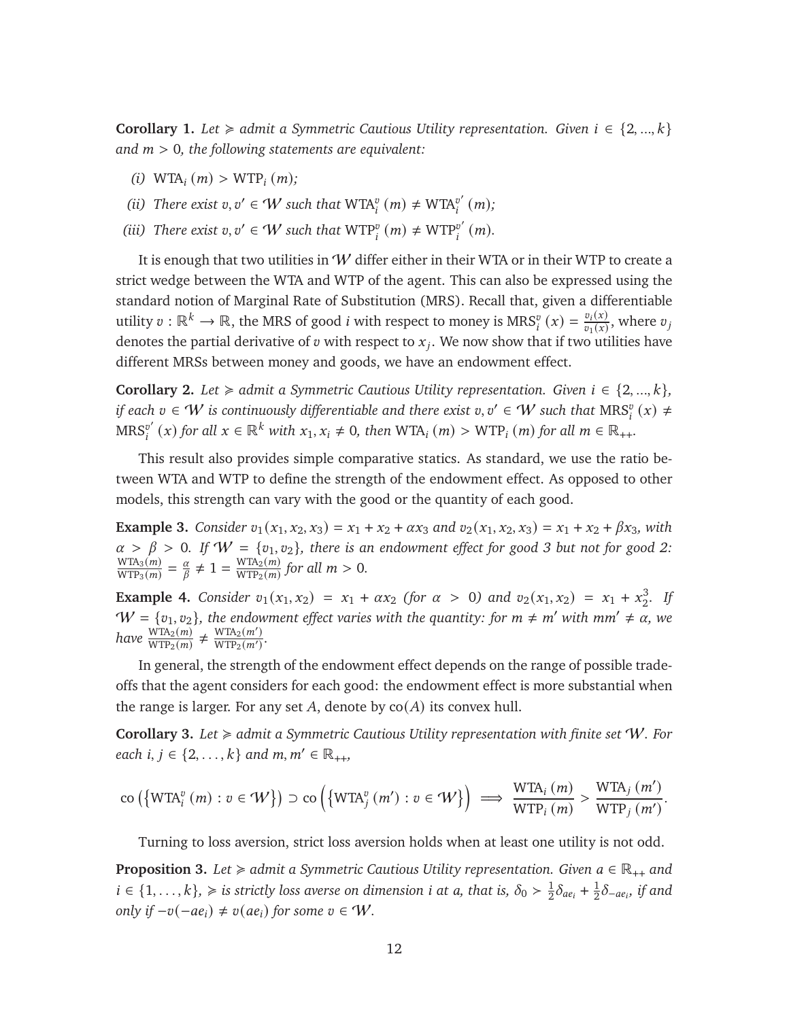**Corollary 1.** *Let*  $\geq$  *admit a Symmetric Cautious Utility representation. Given*  $i \in \{2, ..., k\}$ *and* 𝑚 > 0*, the following statements are equivalent:*

- *(i)* WTA<sub>*i*</sub>  $(m) > WTP_i(m)$ ;
- (*ii*) *There exist*  $v, v' \in W$  *such that*  $WTA_i^v(m) \neq WTA_i^{v'}$  $_{i}^{v'}(m);$
- (*iii*) *There exist*  $v, v' \in W$  *such that*  $WTP_i^v(m) \neq WTP_i^{v'}$  $_{i}^{v'}(m).$

It is enough that two utilities in  $W$  differ either in their WTA or in their WTP to create a strict wedge between the WTA and WTP of the agent. This can also be expressed using the standard notion of Marginal Rate of Substitution (MRS). Recall that, given a differentiable utility  $v : \mathbb{R}^k \to \mathbb{R}$ , the MRS of good *i* with respect to money is  $MRS_i^v(x) = \frac{v_i(x)}{v_1(x)}$  $\frac{v_i(x)}{v_1(x)}$ , where  $v_j$ denotes the partial derivative of v with respect to  $x_j$ . We now show that if two utilities have different MRSs between money and goods, we have an endowment effect.

<span id="page-12-1"></span>**Corollary 2.** *Let*  $\geq$  *admit a Symmetric Cautious Utility representation. Given*  $i \in \{2, ..., k\}$ *, if each*  $v \in W$  *is continuously differentiable and there exist*  $v, v' \in W$  *such that*  $\mathrm{MRS}_i^v(x) \neq 0$  $\mathrm{MRS}^{v'}$  $\mathbb{P}_i^{(v')}(x)$  for all  $x \in \mathbb{R}^k$  with  $x_1, x_i \neq 0$ , then WTA<sub>i</sub>  $(m) > WTP_i$   $(m)$  for all  $m \in \mathbb{R}_{++}$ .

This result also provides simple comparative statics. As standard, we use the ratio between WTA and WTP to define the strength of the endowment effect. As opposed to other models, this strength can vary with the good or the quantity of each good.

**Example 3.** *Consider*  $v_1(x_1, x_2, x_3) = x_1 + x_2 + \alpha x_3$  *and*  $v_2(x_1, x_2, x_3) = x_1 + x_2 + \beta x_3$ *, with*  $\alpha > \beta > 0$ . If  $W = \{v_1, v_2\}$ , there is an endowment effect for good 3 but not for good 2:  $WTA_3(m)$  $\frac{\text{WTA}_3(m)}{\text{WTP}_3(m)} = \frac{\alpha}{\beta}$  $\frac{\alpha}{\beta} \neq 1 = \frac{\text{WTA}_2(m)}{\text{WTP}_2(m)}$  $\frac{\text{WTA}_2(m)}{\text{WTP}_2(m)}$  for all  $m > 0$ .

**Example 4.** *Consider*  $v_1(x_1, x_2) = x_1 + \alpha x_2$  *(for*  $\alpha > 0$ *)* and  $v_2(x_1, x_2) = x_1 + x_2^3$ 2 *. If*  $W = \{v_1, v_2\}$ , the endowment effect varies with the quantity: for  $m \neq m'$  with  $mm' \neq \alpha$ , we  $have \frac{WTA_2(m)}{WTP_2(m)} \neq \frac{WTA_2(m')}{WTP_2(m')}$  $\frac{W \ln 2(m)}{W \Gamma P_2(m')}$ .

In general, the strength of the endowment effect depends on the range of possible tradeoffs that the agent considers for each good: the endowment effect is more substantial when the range is larger. For any set A, denote by  $co(A)$  its convex hull.

<span id="page-12-2"></span>**Corollary 3.** *Let* < *admit a Symmetric Cautious Utility representation with finite set* W*. For each*  $i, j \in \{2, ..., k\}$  *and*  $m, m' \in \mathbb{R}_{++}$ ,

$$
\text{co}\left(\left\{\text{WTA}_i^v\left(m\right): v \in \mathcal{W}\right\}\right) \supset \text{co}\left(\left\{\text{WTA}_j^v\left(m'\right): v \in \mathcal{W}\right\}\right) \implies \frac{\text{WTA}_i\left(m\right)}{\text{WTP}_i\left(m\right)} > \frac{\text{WTA}_j\left(m'\right)}{\text{WTP}_j\left(m'\right)}.
$$

Turning to loss aversion, strict loss aversion holds when at least one utility is not odd.

<span id="page-12-0"></span>**Proposition 3.** *Let*  $\ge$  *admit a Symmetric Cautious Utility representation. Given*  $a \in \mathbb{R}_{++}$  *and*  $i \in \{1, \ldots, k\}, \geqslant i$  is strictly loss averse on dimension *i* at *a*, that is,  $\delta_0 > \frac{1}{2}$  $\frac{1}{2}\delta_{ae_i} + \frac{1}{2}$  $\frac{1}{2}\delta_{-ae_i}$ , if and *only if*  $-v(-ae_i) \neq v(ae_i)$  *for some*  $v \in W$ .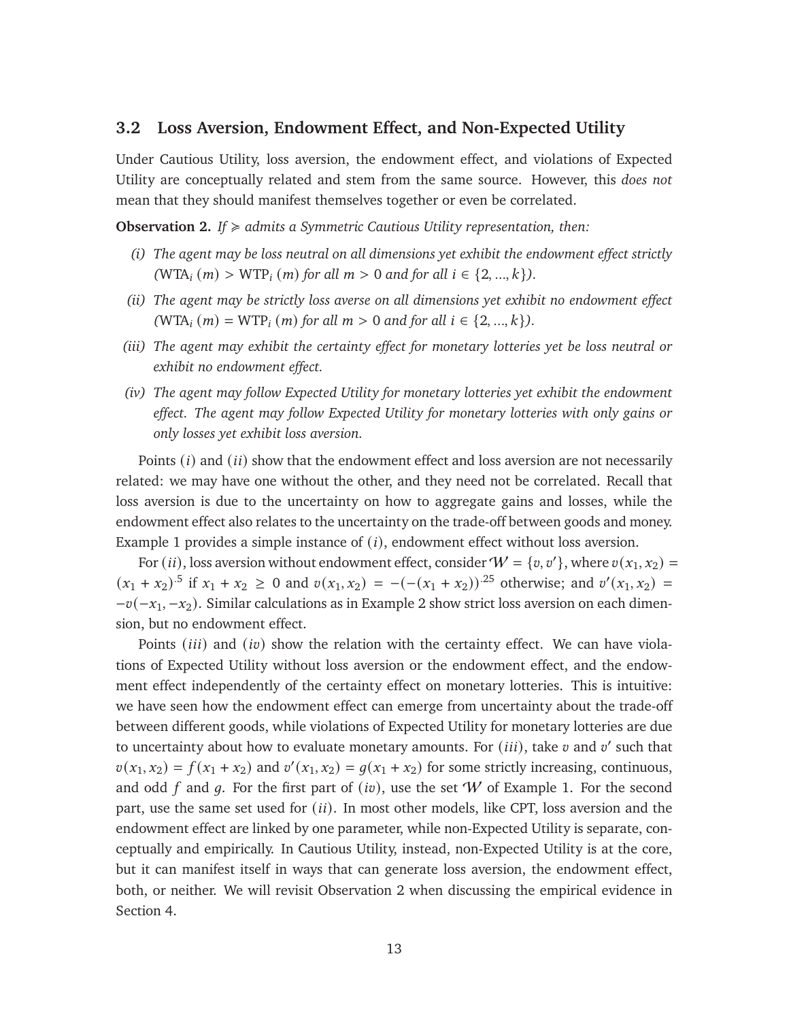### **3.2 Loss Aversion, Endowment Effect, and Non-Expected Utility**

Under Cautious Utility, loss aversion, the endowment effect, and violations of Expected Utility are conceptually related and stem from the same source. However, this *does not* mean that they should manifest themselves together or even be correlated.

<span id="page-13-0"></span>**Observation 2.** *If* < *admits a Symmetric Cautious Utility representation, then:*

- *(i) The agent may be loss neutral on all dimensions yet exhibit the endowment effect strictly*  $(WTA_i(m) > WTP_i(m)$  *for all*  $m > 0$  *and for all*  $i \in \{2, ..., k\}$ *).*
- *(ii) The agent may be strictly loss averse on all dimensions yet exhibit no endowment effect*  $(WTA_i(m) = WTP_i(m)$  *for all*  $m > 0$  *and for all*  $i \in \{2, ..., k\}$ *).*
- *(iii) The agent may exhibit the certainty effect for monetary lotteries yet be loss neutral or exhibit no endowment effect.*
- *(iv) The agent may follow Expected Utility for monetary lotteries yet exhibit the endowment effect. The agent may follow Expected Utility for monetary lotteries with only gains or only losses yet exhibit loss aversion.*

Points  $(i)$  and  $(ii)$  show that the endowment effect and loss aversion are not necessarily related: we may have one without the other, and they need not be correlated. Recall that loss aversion is due to the uncertainty on how to aggregate gains and losses, while the endowment effect also relates to the uncertainty on the trade-off between goods and money. Example [1](#page-5-2) provides a simple instance of  $(i)$ , endowment effect without loss aversion.

For  $(ii)$ , loss aversion without endowment effect, consider  $W = \{v, v'\}$ , where  $v(x_1, x_2) =$  $(x_1 + x_2)^{5}$  if  $x_1 + x_2 \ge 0$  and  $v(x_1, x_2) = -(- (x_1 + x_2))^{25}$  otherwise; and  $v'(x_1, x_2) =$  $-v(-x_1, -x_2)$ . Similar calculations as in Example [2](#page-6-0) show strict loss aversion on each dimension, but no endowment effect.

Points ( $iii$ ) and ( $iv$ ) show the relation with the certainty effect. We can have violations of Expected Utility without loss aversion or the endowment effect, and the endowment effect independently of the certainty effect on monetary lotteries. This is intuitive: we have seen how the endowment effect can emerge from uncertainty about the trade-off between different goods, while violations of Expected Utility for monetary lotteries are due to uncertainty about how to evaluate monetary amounts. For  $(iii)$ , take  $v$  and  $v'$  such that  $v(x_1, x_2) = f(x_1 + x_2)$  and  $v'(x_1, x_2) = g(x_1 + x_2)$  for some strictly increasing, continuous, and odd f and q. For the first part of (iv), use the set W of Example [1.](#page-5-2) For the second part, use the same set used for  $(ii)$ . In most other models, like CPT, loss aversion and the endowment effect are linked by one parameter, while non-Expected Utility is separate, conceptually and empirically. In Cautious Utility, instead, non-Expected Utility is at the core, but it can manifest itself in ways that can generate loss aversion, the endowment effect, both, or neither. We will revisit Observation [2](#page-13-0) when discussing the empirical evidence in Section [4.](#page-19-0)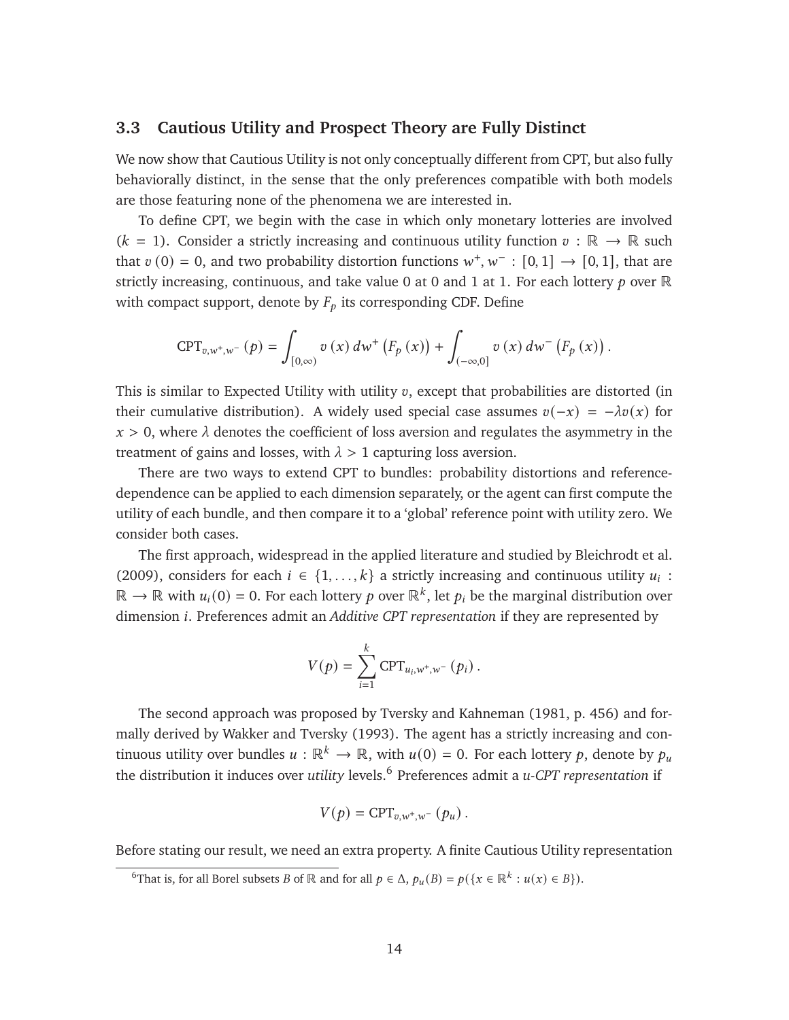### **3.3 Cautious Utility and Prospect Theory are Fully Distinct**

We now show that Cautious Utility is not only conceptually different from CPT, but also fully behaviorally distinct, in the sense that the only preferences compatible with both models are those featuring none of the phenomena we are interested in.

To define CPT, we begin with the case in which only monetary lotteries are involved  $(k = 1)$ . Consider a strictly increasing and continuous utility function  $v : \mathbb{R} \to \mathbb{R}$  such that  $v(0) = 0$ , and two probability distortion functions  $w^+, w^- : [0, 1] \rightarrow [0, 1]$ , that are strictly increasing, continuous, and take value 0 at 0 and 1 at 1. For each lottery  $p$  over  $\mathbb R$ with compact support, denote by  $F_p$  its corresponding CDF. Define

$$
CPT_{v,w^{+},w^{-}}(p) = \int_{[0,\infty)} v(x) dw^{+}(F_{p}(x)) + \int_{(-\infty,0]} v(x) dw^{-}(F_{p}(x)).
$$

This is similar to Expected Utility with utility  $v$ , except that probabilities are distorted (in their cumulative distribution). A widely used special case assumes  $v(-x) = -\lambda v(x)$  for  $x > 0$ , where  $\lambda$  denotes the coefficient of loss aversion and regulates the asymmetry in the treatment of gains and losses, with  $\lambda > 1$  capturing loss aversion.

There are two ways to extend CPT to bundles: probability distortions and referencedependence can be applied to each dimension separately, or the agent can first compute the utility of each bundle, and then compare it to a 'global' reference point with utility zero. We consider both cases.

The first approach, widespread in the applied literature and studied by [Bleichrodt et al.](#page-43-5) [\(2009\)](#page-43-5), considers for each  $i \in \{1, ..., k\}$  a strictly increasing and continuous utility  $u_i$ :  $\mathbb{R} \to \mathbb{R}$  with  $u_i(0) = 0$ . For each lottery  $p$  over  $\mathbb{R}^k$ , let  $p_i$  be the marginal distribution over dimension *i*. Preferences admit an *Additive CPT representation* if they are represented by

$$
V(p) = \sum_{i=1}^{k} \text{CPT}_{u_i, w^+, w^-}(p_i) .
$$

The second approach was proposed by [Tversky and Kahneman](#page-47-7) [\(1981,](#page-47-7) p. 456) and formally derived by [Wakker and Tversky](#page-47-8) [\(1993\)](#page-47-8). The agent has a strictly increasing and continuous utility over bundles  $u : \mathbb{R}^k \to \mathbb{R}$ , with  $u(0) = 0$ . For each lottery p, denote by  $p_u$ the distribution it induces over *utility* levels.[6](#page-14-0) Preferences admit a *u-CPT representation* if

$$
V(p) = \text{CPT}_{v,w^+,w^-}(p_u).
$$

Before stating our result, we need an extra property. A finite Cautious Utility representation

<span id="page-14-0"></span><sup>&</sup>lt;sup>6</sup>That is, for all Borel subsets *B* of  $\mathbb R$  and for all  $p \in \Delta$ ,  $p_u(B) = p(\lbrace x \in \mathbb R^k : u(x) \in B \rbrace)$ .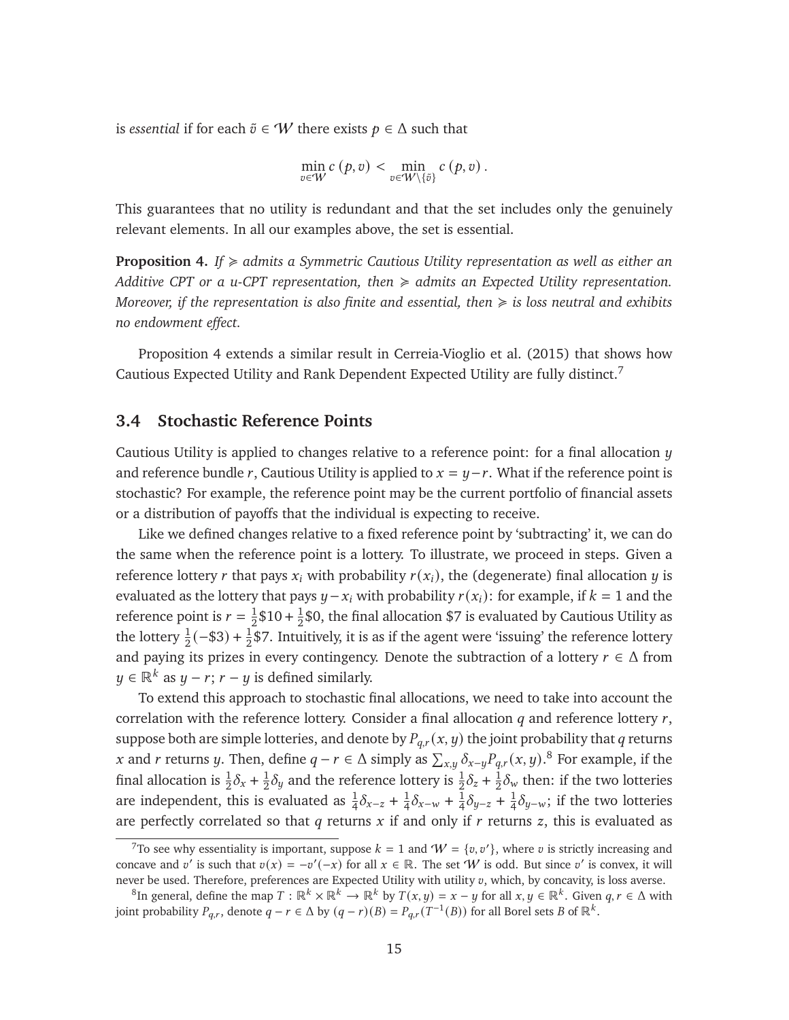is *essential* if for each  $\tilde{v} \in W$  there exists  $p \in \Delta$  such that

$$
\min_{v \in W} c(p, v) < \min_{v \in W \setminus \{\tilde{v}\}} c(p, v) \, .
$$

This guarantees that no utility is redundant and that the set includes only the genuinely relevant elements. In all our examples above, the set is essential.

<span id="page-15-1"></span>**Proposition 4.** *If*  $\geq$  *admits a Symmetric Cautious Utility representation as well as either an Additive CPT or a u-CPT representation, then* < *admits an Expected Utility representation. Moreover, if the representation is also finite and essential, then* < *is loss neutral and exhibits no endowment effect.*

Proposition [4](#page-15-1) extends a similar result in [Cerreia-Vioglio et al.](#page-44-0) [\(2015\)](#page-44-0) that shows how Cautious Expected Utility and Rank Dependent Expected Utility are fully distinct.[7](#page-15-2)

### <span id="page-15-0"></span>**3.4 Stochastic Reference Points**

Cautious Utility is applied to changes relative to a reference point: for a final allocation  $\eta$ and reference bundle r, Cautious Utility is applied to  $x = y-r$ . What if the reference point is stochastic? For example, the reference point may be the current portfolio of financial assets or a distribution of payoffs that the individual is expecting to receive.

Like we defined changes relative to a fixed reference point by 'subtracting' it, we can do the same when the reference point is a lottery. To illustrate, we proceed in steps. Given a reference lottery r that pays  $x_i$  with probability  $r(x_i)$ , the (degenerate) final allocation  $y$  is evaluated as the lottery that pays  $y - x_i$  with probability  $r(x_i)$ : for example, if  $k = 1$  and the reference point is  $r = \frac{1}{2}$  $\frac{1}{2}$ \$10 +  $\frac{1}{2}$  $\frac{1}{2}$ \$0, the final allocation \$7 is evaluated by Cautious Utility as the lottery  $\frac{1}{2}(-\$3) + \frac{1}{2}\$7$ . Intuitively, it is as if the agent were 'issuing' the reference lottery and paying its prizes in every contingency. Denote the subtraction of a lottery  $r \in \Delta$  from  $y \in \mathbb{R}^k$  as  $y - r$ ;  $r - y$  is defined similarly.

To extend this approach to stochastic final allocations, we need to take into account the correlation with the reference lottery. Consider a final allocation  $q$  and reference lottery  $r$ , suppose both are simple lotteries, and denote by  $P_{q,r}(x, y)$  the joint probability that q returns x and r returns y. Then, define  $q-r \in \Delta$  simply as  $\sum_{x,y} \delta_{x-y} P_{q,r}(x, y)$ .<sup>[8](#page-15-3)</sup> For example, if the final allocation is  $\frac{1}{2}\delta_x + \frac{1}{2}$  $\frac{1}{2}\delta_y$  and the reference lottery is  $\frac{1}{2}\delta_z + \frac{1}{2}$  $\frac{1}{2}\delta_{\rm w}$  then: if the two lotteries are independent, this is evaluated as  $\frac{1}{4}\delta_{x-z} + \frac{1}{4}$  $\frac{1}{4}\delta_{x-w} + \frac{1}{4}$  $\frac{1}{4}\delta_{y-z} + \frac{1}{4}$  $\frac{1}{4}\delta_{y-w}$ ; if the two lotteries are perfectly correlated so that  $q$  returns  $x$  if and only if  $r$  returns  $z$ , this is evaluated as

<span id="page-15-2"></span><sup>&</sup>lt;sup>7</sup>To see why essentiality is important, suppose  $k = 1$  and  $W = \{v, v'\}$ , where v is strictly increasing and concave and v' is such that  $v(x) = -v'(-x)$  for all  $x \in \mathbb{R}$ . The set W is odd. But since v' is convex, it will never be used. Therefore, preferences are Expected Utility with utility  $v$ , which, by concavity, is loss averse.

<span id="page-15-3"></span><sup>&</sup>lt;sup>8</sup>In general, define the map  $T : \mathbb{R}^k \times \mathbb{R}^k \to \mathbb{R}^k$  by  $T(x, y) = x - y$  for all  $x, y \in \mathbb{R}^k$ . Given  $q, r \in \Delta$  with joint probability  $P_{q,r}$ , denote  $q - r \in \Delta$  by  $(q - r)(B) = P_{q,r}(T^{-1}(B))$  for all Borel sets B of  $\mathbb{R}^k$ .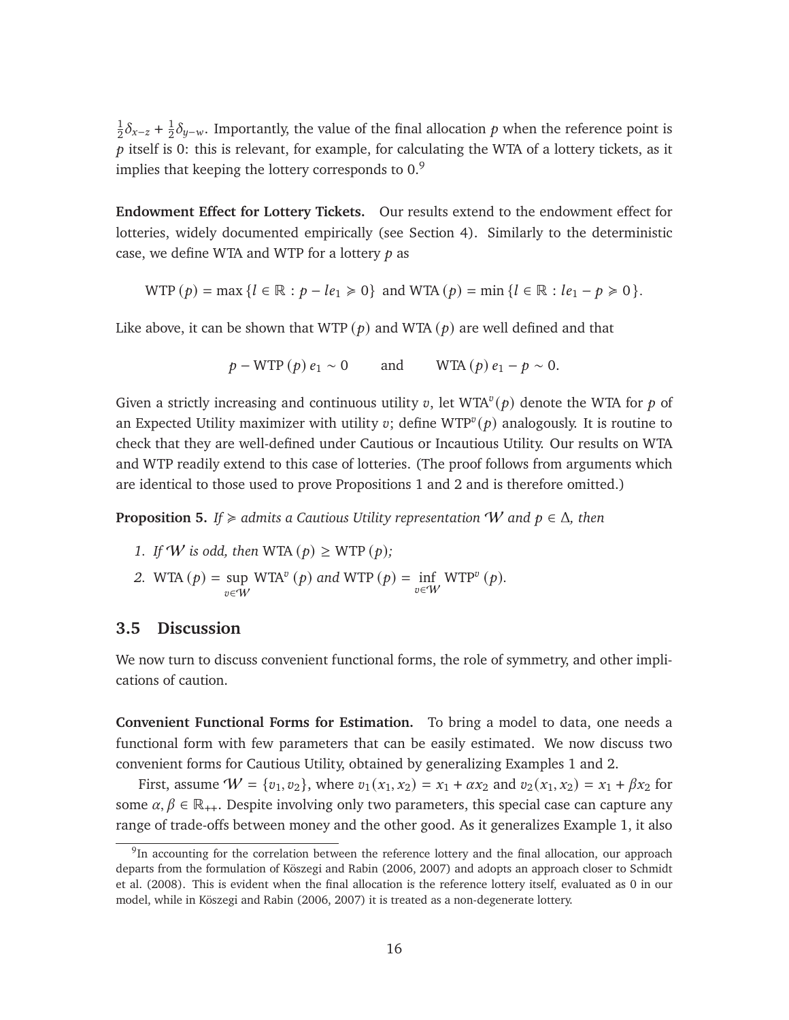1  $\frac{1}{2}\delta_{x-z}+\frac{1}{2}$  $\frac{1}{2}\delta_{y-w}.$  Importantly, the value of the final allocation  $p$  when the reference point is  $p$  itself is 0: this is relevant, for example, for calculating the WTA of a lottery tickets, as it implies that keeping the lottery corresponds to  $0.9$  $0.9$ 

**Endowment Effect for Lottery Tickets.** Our results extend to the endowment effect for lotteries, widely documented empirically (see Section [4\)](#page-18-0). Similarly to the deterministic case, we define WTA and WTP for a lottery  $p$  as

$$
WTP (p) = \max \{l \in \mathbb{R} : p - le_1 \ge 0\} \text{ and } WTA (p) = \min \{l \in \mathbb{R} : le_1 - p \ge 0\}.
$$

Like above, it can be shown that WTP  $(p)$  and WTA  $(p)$  are well defined and that

$$
p - WTP(p) e_1 \sim 0
$$
 and  $WTA(p) e_1 - p \sim 0$ .

Given a strictly increasing and continuous utility v, let WTA<sup>v</sup> $(p)$  denote the WTA for p of an Expected Utility maximizer with utility v; define WTP<sup>v</sup>(p) analogously. It is routine to check that they are well-defined under Cautious or Incautious Utility. Our results on WTA and WTP readily extend to this case of lotteries. (The proof follows from arguments which are identical to those used to prove Propositions [1](#page-8-1) and [2](#page-11-0) and is therefore omitted.)

**Proposition 5.** *If*  $\geq$  *admits a Cautious Utility representation W and*  $p \in \Delta$ *, then* 

- *1. If W is odd, then* WTA  $(p) \geq WTP(p)$ ;
- 2. WTA  $(p) = \sup$  $v$ ∈ $\bar{W}$  $\text{WTA}^v(p)$  and  $\text{WTP}(p) = \inf_{v \in W}$  $WTP^v(p)$ .

### **3.5 Discussion**

We now turn to discuss convenient functional forms, the role of symmetry, and other implications of caution.

**Convenient Functional Forms for Estimation.** To bring a model to data, one needs a functional form with few parameters that can be easily estimated. We now discuss two convenient forms for Cautious Utility, obtained by generalizing Examples [1](#page-5-2) and [2.](#page-6-0)

First, assume  $W = \{v_1, v_2\}$ , where  $v_1(x_1, x_2) = x_1 + \alpha x_2$  and  $v_2(x_1, x_2) = x_1 + \beta x_2$  for some  $\alpha, \beta \in \mathbb{R}_{++}$ . Despite involving only two parameters, this special case can capture any range of trade-offs between money and the other good. As it generalizes Example [1,](#page-5-2) it also

<span id="page-16-0"></span><sup>&</sup>lt;sup>9</sup>In accounting for the correlation between the reference lottery and the final allocation, our approach departs from the formulation of [Köszegi and Rabin](#page-46-6) [\(2006,](#page-46-6) [2007\)](#page-46-7) and adopts an approach closer to [Schmidt](#page-47-9) [et al.](#page-47-9) [\(2008\)](#page-47-9). This is evident when the final allocation is the reference lottery itself, evaluated as 0 in our model, while in [Köszegi and Rabin](#page-46-6) [\(2006,](#page-46-6) [2007\)](#page-46-7) it is treated as a non-degenerate lottery.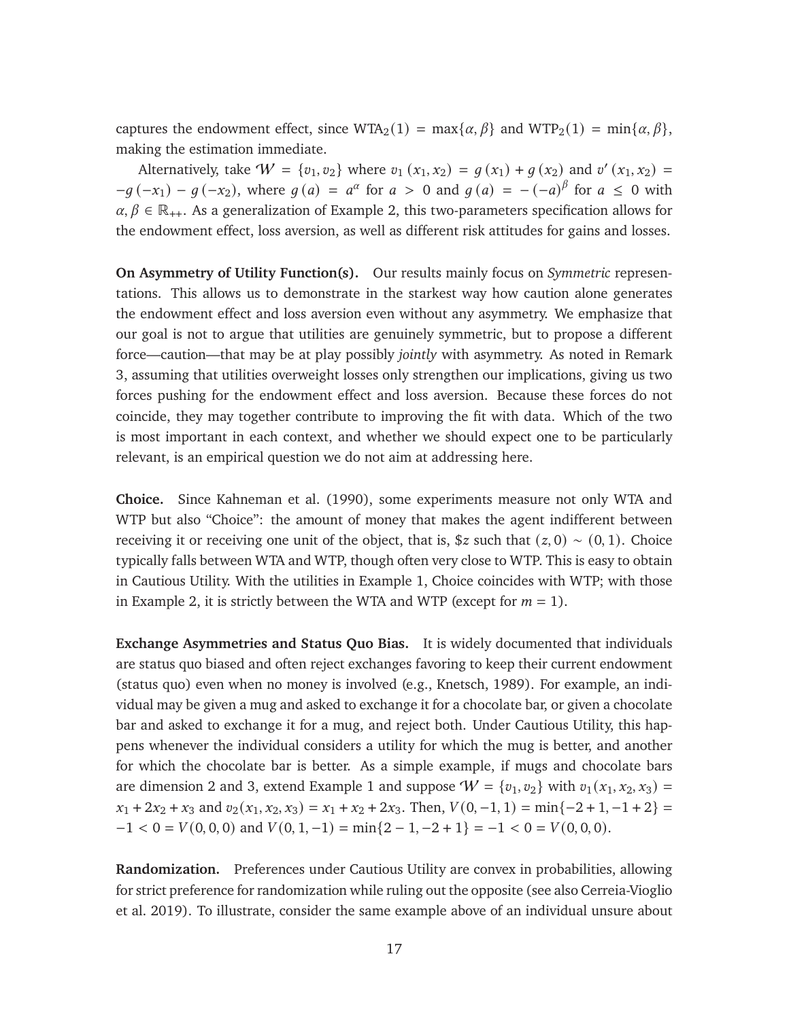captures the endowment effect, since  $WTA_2(1) = \max{\{\alpha, \beta\}}$  and  $WTP_2(1) = \min{\{\alpha, \beta\}}$ , making the estimation immediate.

Alternatively, take  $W = \{v_1, v_2\}$  where  $v_1(x_1, x_2) = g(x_1) + g(x_2)$  and  $v'(x_1, x_2) =$  $-g(-x_1) - g(-x_2)$ , where  $g(a) = a^{\alpha}$  for  $a > 0$  and  $g(a) = -(-a)^{\beta}$  for  $a \le 0$  with  $\alpha, \beta \in \mathbb{R}_{++}$ . As a generalization of Example [2,](#page-6-0) this two-parameters specification allows for the endowment effect, loss aversion, as well as different risk attitudes for gains and losses.

**On Asymmetry of Utility Function(s).** Our results mainly focus on *Symmetric* representations. This allows us to demonstrate in the starkest way how caution alone generates the endowment effect and loss aversion even without any asymmetry. We emphasize that our goal is not to argue that utilities are genuinely symmetric, but to propose a different force—caution—that may be at play possibly *jointly* with asymmetry. As noted in Remark [3,](#page-10-0) assuming that utilities overweight losses only strengthen our implications, giving us two forces pushing for the endowment effect and loss aversion. Because these forces do not coincide, they may together contribute to improving the fit with data. Which of the two is most important in each context, and whether we should expect one to be particularly relevant, is an empirical question we do not aim at addressing here.

**Choice.** Since [Kahneman et al.](#page-46-8) [\(1990\)](#page-46-8), some experiments measure not only WTA and WTP but also "Choice": the amount of money that makes the agent indifferent between receiving it or receiving one unit of the object, that is, \$z such that  $(z, 0) \sim (0, 1)$ . Choice typically falls between WTA and WTP, though often very close to WTP. This is easy to obtain in Cautious Utility. With the utilities in Example [1,](#page-5-2) Choice coincides with WTP; with those in Example [2,](#page-6-0) it is strictly between the WTA and WTP (except for  $m = 1$ ).

**Exchange Asymmetries and Status Quo Bias.** It is widely documented that individuals are status quo biased and often reject exchanges favoring to keep their current endowment (status quo) even when no money is involved (e.g., [Knetsch, 1989\)](#page-46-9). For example, an individual may be given a mug and asked to exchange it for a chocolate bar, or given a chocolate bar and asked to exchange it for a mug, and reject both. Under Cautious Utility, this happens whenever the individual considers a utility for which the mug is better, and another for which the chocolate bar is better. As a simple example, if mugs and chocolate bars are dimension 2 and 3, extend Example [1](#page-5-2) and suppose  $W = \{v_1, v_2\}$  with  $v_1(x_1, x_2, x_3) =$  $x_1 + 2x_2 + x_3$  and  $v_2(x_1, x_2, x_3) = x_1 + x_2 + 2x_3$ . Then,  $V(0, -1, 1) = \min\{-2 + 1, -1 + 2\}$  $-1 < 0 = V(0, 0, 0)$  and  $V(0, 1, -1) = \min\{2 - 1, -2 + 1\} = -1 < 0 = V(0, 0, 0).$ 

**Randomization.** Preferences under Cautious Utility are convex in probabilities, allowing for strict preference for randomization while ruling out the opposite (see also [Cerreia-Vioglio](#page-44-5) [et al. 2019\)](#page-44-5). To illustrate, consider the same example above of an individual unsure about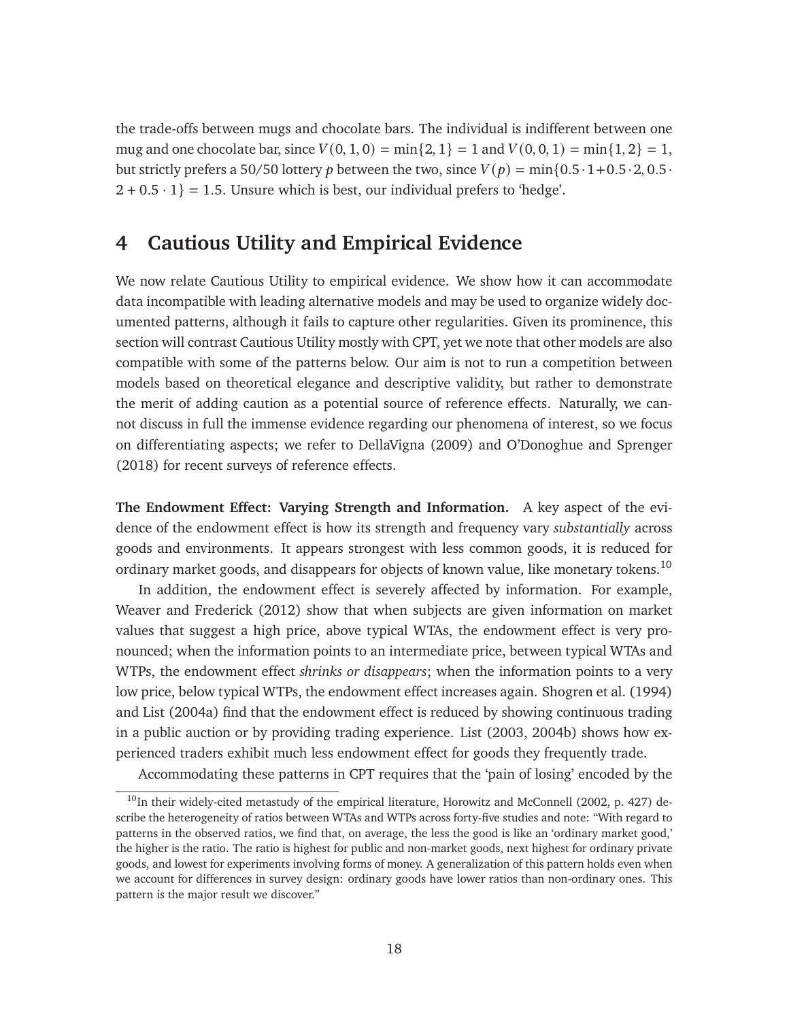the trade-offs between mugs and chocolate bars. The individual is indifferent between one mug and one chocolate bar, since  $V(0, 1, 0) = min\{2, 1\} = 1$  and  $V(0, 0, 1) = min\{1, 2\} = 1$ , but strictly prefers a 50/50 lottery p between the two, since  $V(p) = min\{0.5 \cdot 1 + 0.5 \cdot 2, 0.5 \cdot 1\}$  $2 + 0.5 \cdot 1$  = 1.5. Unsure which is best, our individual prefers to 'hedge'.

## <span id="page-18-0"></span>**4 Cautious Utility and Empirical Evidence**

We now relate Cautious Utility to empirical evidence. We show how it can accommodate data incompatible with leading alternative models and may be used to organize widely documented patterns, although it fails to capture other regularities. Given its prominence, this section will contrast Cautious Utility mostly with CPT, yet we note that other models are also compatible with some of the patterns below. Our aim is not to run a competition between models based on theoretical elegance and descriptive validity, but rather to demonstrate the merit of adding caution as a potential source of reference effects. Naturally, we cannot discuss in full the immense evidence regarding our phenomena of interest, so we focus on differentiating aspects; we refer to [DellaVigna](#page-44-6) [\(2009\)](#page-44-6) and [O'Donoghue and Sprenger](#page-47-10) [\(2018\)](#page-47-10) for recent surveys of reference effects.

**The Endowment Effect: Varying Strength and Information.** A key aspect of the evidence of the endowment effect is how its strength and frequency vary *substantially* across goods and environments. It appears strongest with less common goods, it is reduced for ordinary market goods, and disappears for objects of known value, like monetary tokens.<sup>[10](#page-18-1)</sup>

In addition, the endowment effect is severely affected by information. For example, [Weaver and Frederick](#page-47-6) [\(2012\)](#page-47-6) show that when subjects are given information on market values that suggest a high price, above typical WTAs, the endowment effect is very pronounced; when the information points to an intermediate price, between typical WTAs and WTPs, the endowment effect *shrinks or disappears*; when the information points to a very low price, below typical WTPs, the endowment effect increases again. [Shogren et al.](#page-47-11) [\(1994\)](#page-47-11) and [List](#page-46-10) [\(2004a\)](#page-46-10) find that the endowment effect is reduced by showing continuous trading in a public auction or by providing trading experience. [List](#page-46-11) [\(2003,](#page-46-11) [2004b\)](#page-46-12) shows how experienced traders exhibit much less endowment effect for goods they frequently trade.

Accommodating these patterns in CPT requires that the 'pain of losing' encoded by the

<span id="page-18-1"></span> $10$ In their widely-cited metastudy of the empirical literature, [Horowitz and McConnell](#page-45-7) [\(2002,](#page-45-7) p. 427) describe the heterogeneity of ratios between WTAs and WTPs across forty-five studies and note: "With regard to patterns in the observed ratios, we find that, on average, the less the good is like an 'ordinary market good,' the higher is the ratio. The ratio is highest for public and non-market goods, next highest for ordinary private goods, and lowest for experiments involving forms of money. A generalization of this pattern holds even when we account for differences in survey design: ordinary goods have lower ratios than non-ordinary ones. This pattern is the major result we discover."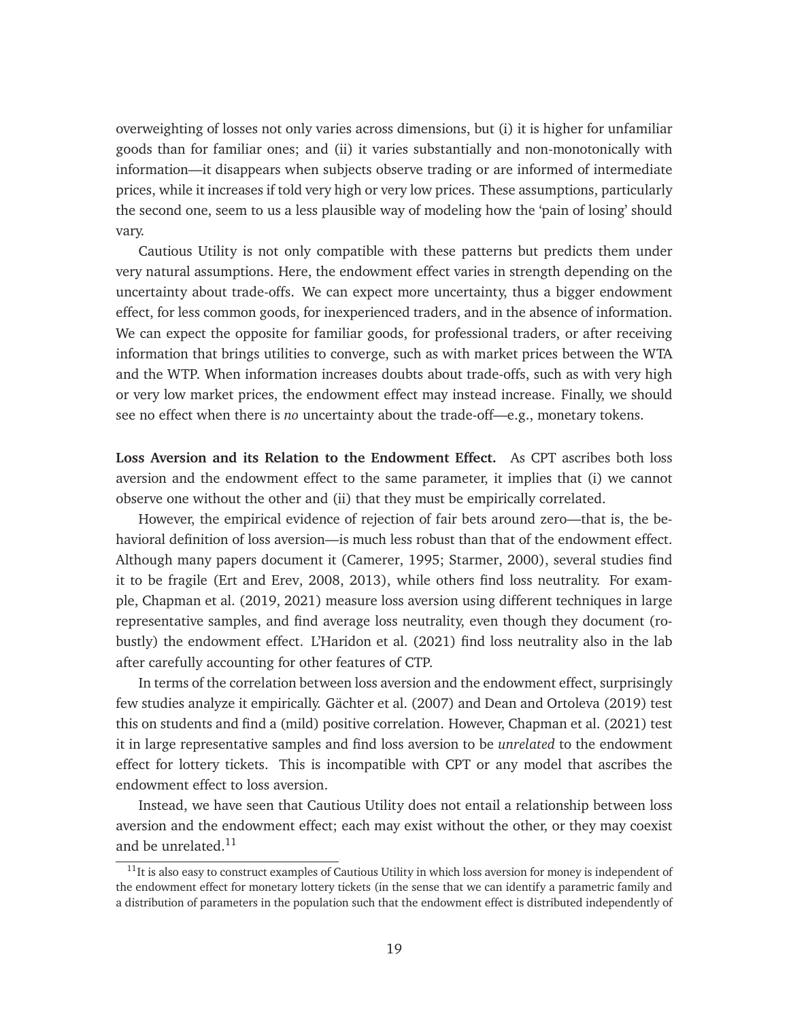overweighting of losses not only varies across dimensions, but (i) it is higher for unfamiliar goods than for familiar ones; and (ii) it varies substantially and non-monotonically with information—it disappears when subjects observe trading or are informed of intermediate prices, while it increases if told very high or very low prices. These assumptions, particularly the second one, seem to us a less plausible way of modeling how the 'pain of losing' should vary.

Cautious Utility is not only compatible with these patterns but predicts them under very natural assumptions. Here, the endowment effect varies in strength depending on the uncertainty about trade-offs. We can expect more uncertainty, thus a bigger endowment effect, for less common goods, for inexperienced traders, and in the absence of information. We can expect the opposite for familiar goods, for professional traders, or after receiving information that brings utilities to converge, such as with market prices between the WTA and the WTP. When information increases doubts about trade-offs, such as with very high or very low market prices, the endowment effect may instead increase. Finally, we should see no effect when there is *no* uncertainty about the trade-off—e.g., monetary tokens.

<span id="page-19-0"></span>**Loss Aversion and its Relation to the Endowment Effect.** As CPT ascribes both loss aversion and the endowment effect to the same parameter, it implies that (i) we cannot observe one without the other and (ii) that they must be empirically correlated.

However, the empirical evidence of rejection of fair bets around zero—that is, the behavioral definition of loss aversion—is much less robust than that of the endowment effect. Although many papers document it [\(Camerer, 1995;](#page-44-7) [Starmer, 2000\)](#page-47-12), several studies find it to be fragile [\(Ert and Erev, 2008,](#page-45-8) [2013\)](#page-45-9), while others find loss neutrality. For example, [Chapman et al.](#page-44-8) [\(2019,](#page-44-8) [2021\)](#page-44-9) measure loss aversion using different techniques in large representative samples, and find average loss neutrality, even though they document (robustly) the endowment effect. [L'Haridon et al.](#page-46-13) [\(2021\)](#page-46-13) find loss neutrality also in the lab after carefully accounting for other features of CTP.

In terms of the correlation between loss aversion and the endowment effect, surprisingly few studies analyze it empirically. [Gächter et al.](#page-45-10) [\(2007\)](#page-45-10) and [Dean and Ortoleva](#page-44-10) [\(2019\)](#page-44-10) test this on students and find a (mild) positive correlation. However, [Chapman et al.](#page-44-9) [\(2021\)](#page-44-9) test it in large representative samples and find loss aversion to be *unrelated* to the endowment effect for lottery tickets. This is incompatible with CPT or any model that ascribes the endowment effect to loss aversion.

Instead, we have seen that Cautious Utility does not entail a relationship between loss aversion and the endowment effect; each may exist without the other, or they may coexist and be unrelated. $^{11}$  $^{11}$  $^{11}$ 

<span id="page-19-1"></span> $11$ It is also easy to construct examples of Cautious Utility in which loss aversion for money is independent of the endowment effect for monetary lottery tickets (in the sense that we can identify a parametric family and a distribution of parameters in the population such that the endowment effect is distributed independently of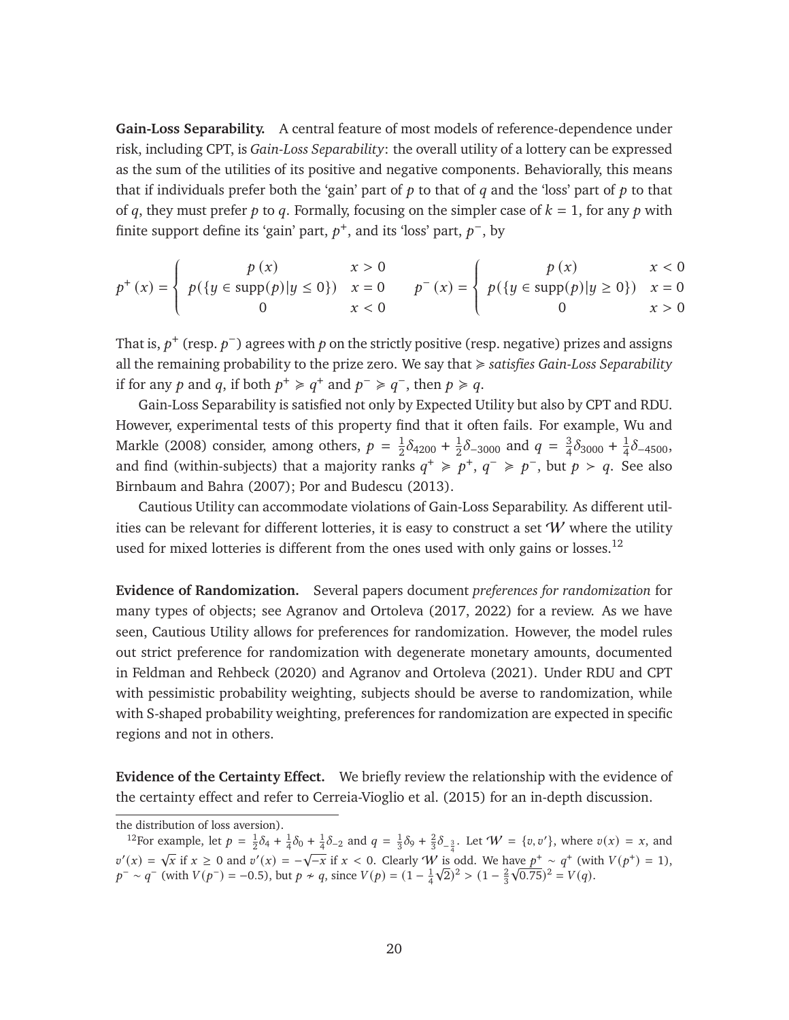**Gain-Loss Separability.** A central feature of most models of reference-dependence under risk, including CPT, is *Gain-Loss Separability*: the overall utility of a lottery can be expressed as the sum of the utilities of its positive and negative components. Behaviorally, this means that if individuals prefer both the 'gain' part of  $p$  to that of  $q$  and the 'loss' part of  $p$  to that of q, they must prefer p to q. Formally, focusing on the simpler case of  $k = 1$ , for any p with finite support define its 'gain' part,  $p^+$ , and its 'loss' part,  $p^-$ , by

$$
p^{+}(x) = \begin{cases} p(x) & x > 0 \\ p(\lbrace y \in \text{supp}(p) | y \le 0 \rbrace) & x = 0 \\ 0 & x < 0 \end{cases} \qquad p^{-}(x) = \begin{cases} p(x) & x < 0 \\ p(\lbrace y \in \text{supp}(p) | y \ge 0 \rbrace) & x = 0 \\ 0 & x > 0 \end{cases}
$$

That is,  $p^+$  (resp.  $p^-$ ) agrees with  $p$  on the strictly positive (resp. negative) prizes and assigns all the remaining probability to the prize zero. We say that < *satisfies Gain-Loss Separability* if for any p and q, if both  $p^+ \geq q^+$  and  $p^- \geq q^-$ , then  $p \geq q$ .

Gain-Loss Separability is satisfied not only by Expected Utility but also by CPT and RDU. However, experimental tests of this property find that it often fails. For example, [Wu and](#page-48-1) [Markle](#page-48-1) [\(2008\)](#page-48-1) consider, among others,  $p = \frac{1}{2}$  $\frac{1}{2}\delta_{4200} + \frac{1}{2}$  $\frac{1}{2}\delta_{-3000}$  and  $q = \frac{3}{4}$  $\frac{3}{4}\delta_{3000} + \frac{1}{4}$  $\frac{1}{4}\delta$ -4500, and find (within-subjects) that a majority ranks  $q^+ \geq p^+$ ,  $q^- \geq p^-$ , but  $p > q$ . See also [Birnbaum and Bahra](#page-43-6) [\(2007\)](#page-43-6); [Por and Budescu](#page-47-13) [\(2013\)](#page-47-13).

Cautious Utility can accommodate violations of Gain-Loss Separability. As different utilities can be relevant for different lotteries, it is easy to construct a set  $W$  where the utility used for mixed lotteries is different from the ones used with only gains or losses.<sup>[12](#page-20-0)</sup>

**Evidence of Randomization.** Several papers document *preferences for randomization* for many types of objects; see [Agranov and Ortoleva](#page-43-7) [\(2017,](#page-43-7) [2022\)](#page-43-8) for a review. As we have seen, Cautious Utility allows for preferences for randomization. However, the model rules out strict preference for randomization with degenerate monetary amounts, documented in [Feldman and Rehbeck](#page-45-11) [\(2020\)](#page-45-11) and [Agranov and Ortoleva](#page-43-9) [\(2021\)](#page-43-9). Under RDU and CPT with pessimistic probability weighting, subjects should be averse to randomization, while with S-shaped probability weighting, preferences for randomization are expected in specific regions and not in others.

**Evidence of the Certainty Effect.** We briefly review the relationship with the evidence of the certainty effect and refer to [Cerreia-Vioglio et al.](#page-44-0) [\(2015\)](#page-44-0) for an in-depth discussion.

the distribution of loss aversion).

<span id="page-20-0"></span><sup>&</sup>lt;sup>12</sup>For example, let  $p = \frac{1}{2}\delta_4 + \frac{1}{4}\delta_0 + \frac{1}{4}\delta_{-2}$  and  $q = \frac{1}{3}\delta_9 + \frac{2}{3}\delta_{-\frac{3}{4}}$ . Let  $W = \{v, v'\}$ , where  $v(x) = x$ , and  $v'(x) = \sqrt{x}$  if  $x \ge 0$  and  $v'(x) = -\sqrt{-x}$  if  $x < 0$ . Clearly W is odd. We have  $p^+ \sim q^+$  (with  $V(p^+) = 1$ ),  $p^{-} \sim q^{-}$  (with  $V(p^{-}) = -0.5$ ), but  $p \nsim q$ , since  $V(p) = (1 - \frac{1}{4}\sqrt{2})^2 > (1 - \frac{2}{3}\sqrt{0.75})^2 = V(q)$ .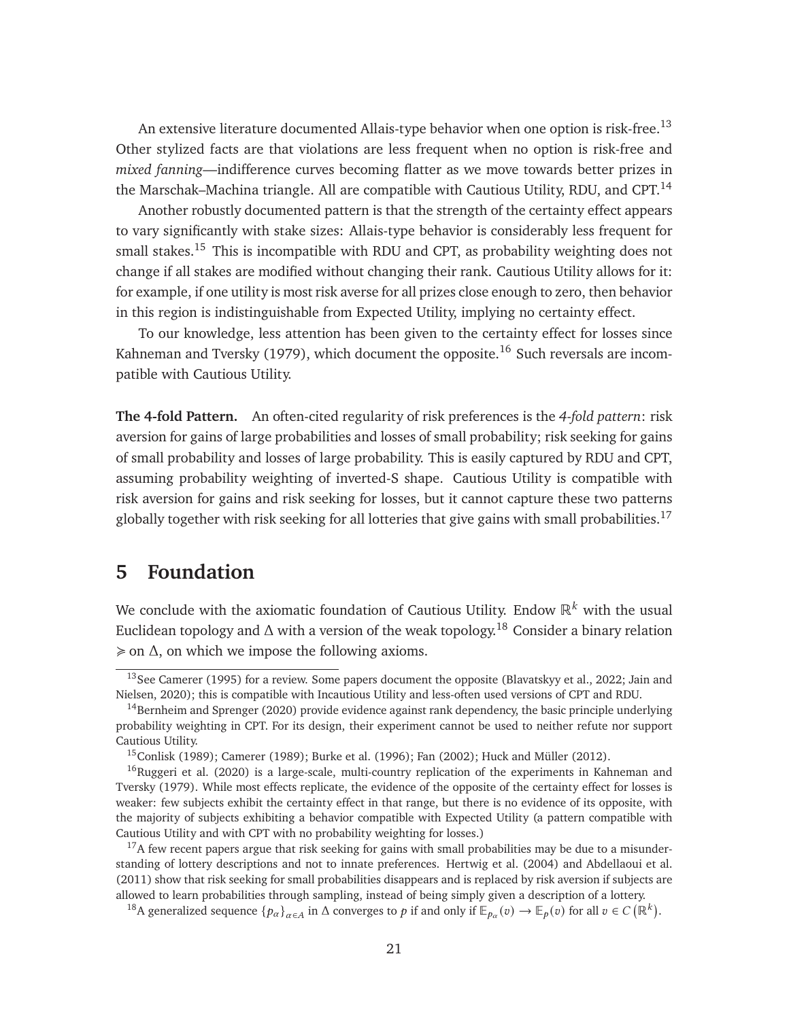An extensive literature documented Allais-type behavior when one option is risk-free.<sup>[13](#page-21-1)</sup> Other stylized facts are that violations are less frequent when no option is risk-free and *mixed fanning*—indifference curves becoming flatter as we move towards better prizes in the Marschak–Machina triangle. All are compatible with Cautious Utility, RDU, and CPT.<sup>[14](#page-21-2)</sup>

Another robustly documented pattern is that the strength of the certainty effect appears to vary significantly with stake sizes: Allais-type behavior is considerably less frequent for small stakes.<sup>[15](#page-21-3)</sup> This is incompatible with RDU and CPT, as probability weighting does not change if all stakes are modified without changing their rank. Cautious Utility allows for it: for example, if one utility is most risk averse for all prizes close enough to zero, then behavior in this region is indistinguishable from Expected Utility, implying no certainty effect.

To our knowledge, less attention has been given to the certainty effect for losses since [Kahneman and Tversky](#page-46-1) [\(1979\)](#page-46-1), which document the opposite.<sup>[16](#page-21-4)</sup> Such reversals are incompatible with Cautious Utility.

**The 4-fold Pattern.** An often-cited regularity of risk preferences is the *4-fold pattern*: risk aversion for gains of large probabilities and losses of small probability; risk seeking for gains of small probability and losses of large probability. This is easily captured by RDU and CPT, assuming probability weighting of inverted-S shape. Cautious Utility is compatible with risk aversion for gains and risk seeking for losses, but it cannot capture these two patterns globally together with risk seeking for all lotteries that give gains with small probabilities.<sup>[17](#page-21-5)</sup>

## <span id="page-21-0"></span>**5 Foundation**

We conclude with the axiomatic foundation of Cautious Utility. Endow  $\mathbb{R}^k$  with the usual Euclidean topology and  $\Delta$  with a version of the weak topology.<sup>[18](#page-21-6)</sup> Consider a binary relation  $\geq$  on  $\Delta$ , on which we impose the following axioms.

<span id="page-21-7"></span><span id="page-21-1"></span><sup>&</sup>lt;sup>13</sup>See [Camerer](#page-44-7) [\(1995\)](#page-44-7) for a review. Some papers document the opposite [\(Blavatskyy et al., 2022;](#page-43-10) [Jain and](#page-46-14) [Nielsen, 2020\)](#page-46-14); this is compatible with Incautious Utility and less-often used versions of CPT and RDU.

<span id="page-21-2"></span><sup>&</sup>lt;sup>14</sup>[Bernheim and Sprenger](#page-43-11) [\(2020\)](#page-43-11) provide evidence against rank dependency, the basic principle underlying probability weighting in CPT. For its design, their experiment cannot be used to neither refute nor support Cautious Utility.

<span id="page-21-4"></span><span id="page-21-3"></span><sup>15</sup>[Conlisk](#page-44-11) [\(1989\)](#page-44-11); [Camerer](#page-44-12) [\(1989\)](#page-44-12); [Burke et al.](#page-43-12) [\(1996\)](#page-43-12); [Fan](#page-45-12) [\(2002\)](#page-45-12); [Huck and Müller](#page-45-13) [\(2012\)](#page-45-13).

<sup>&</sup>lt;sup>16</sup>[Ruggeri et al.](#page-47-14) [\(2020\)](#page-47-14) is a large-scale, multi-country replication of the experiments in [Kahneman and](#page-46-1) [Tversky](#page-46-1) [\(1979\)](#page-46-1). While most effects replicate, the evidence of the opposite of the certainty effect for losses is weaker: few subjects exhibit the certainty effect in that range, but there is no evidence of its opposite, with the majority of subjects exhibiting a behavior compatible with Expected Utility (a pattern compatible with Cautious Utility and with CPT with no probability weighting for losses.)

<span id="page-21-5"></span> $17A$  few recent papers argue that risk seeking for gains with small probabilities may be due to a misunderstanding of lottery descriptions and not to innate preferences. [Hertwig et al.](#page-45-14) [\(2004\)](#page-45-14) and [Abdellaoui et al.](#page-42-0) [\(2011\)](#page-42-0) show that risk seeking for small probabilities disappears and is replaced by risk aversion if subjects are allowed to learn probabilities through sampling, instead of being simply given a description of a lottery.

<span id="page-21-6"></span><sup>&</sup>lt;sup>18</sup>A generalized sequence  $\{p_\alpha\}_{\alpha \in A}$  in  $\Delta$  converges to p if and only if  $\mathbb{E}_{p_\alpha}(v) \to \mathbb{E}_p(v)$  for all  $v \in C(\mathbb{R}^k)$ .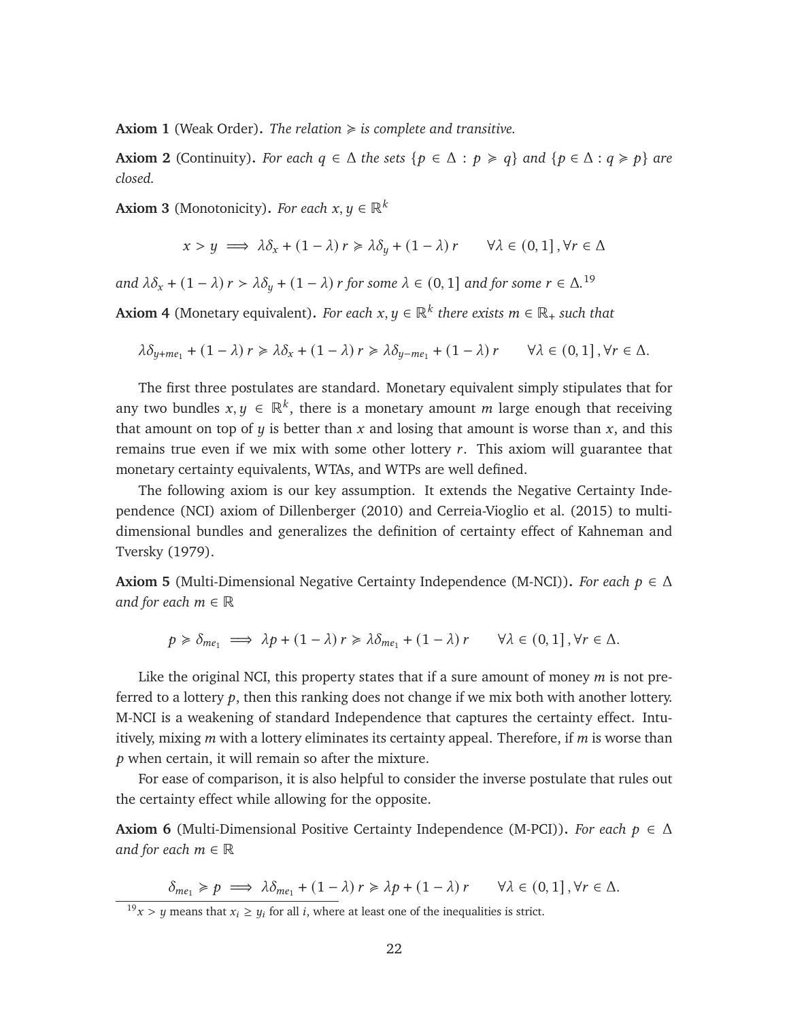**Axiom 1** (Weak Order). The relation  $\geq$  is complete and transitive.

**Axiom 2** (Continuity). For each  $q \in \Delta$  *the sets*  $\{p \in \Delta : p \geq q\}$  and  $\{p \in \Delta : q \geq p\}$  are *closed.*

**Axiom 3** (Monotonicity). *For each*  $x, y \in \mathbb{R}^k$ 

$$
x > y \implies \lambda \delta_x + (1 - \lambda) r \ge \lambda \delta_y + (1 - \lambda) r \qquad \forall \lambda \in (0, 1], \forall r \in \Delta
$$

*and*  $\lambda \delta_x + (1 - \lambda) r > \lambda \delta_y + (1 - \lambda) r$  *for some*  $\lambda \in (0, 1]$  *and for some*  $r \in \Delta$ .<sup>[19](#page-22-0)</sup>

**Axiom 4** (Monetary equivalent). *For each*  $x, y \in \mathbb{R}^k$  *there exists*  $m \in \mathbb{R}_+$  *such that* 

$$
\lambda \delta_{y+me_1} + (1 - \lambda) r \ge \lambda \delta_x + (1 - \lambda) r \ge \lambda \delta_{y-me_1} + (1 - \lambda) r \qquad \forall \lambda \in (0, 1], \forall r \in \Delta.
$$

The first three postulates are standard. Monetary equivalent simply stipulates that for any two bundles  $x, y \in \mathbb{R}^k$ , there is a monetary amount m large enough that receiving that amount on top of  $y$  is better than  $x$  and losing that amount is worse than  $x$ , and this remains true even if we mix with some other lottery  $r$ . This axiom will guarantee that monetary certainty equivalents, WTAs, and WTPs are well defined.

The following axiom is our key assumption. It extends the Negative Certainty Independence (NCI) axiom of [Dillenberger](#page-44-1) [\(2010\)](#page-44-1) and [Cerreia-Vioglio et al.](#page-44-0) [\(2015\)](#page-44-0) to multidimensional bundles and generalizes the definition of certainty effect of [Kahneman and](#page-46-1) [Tversky](#page-46-1) [\(1979\)](#page-46-1).

<span id="page-22-1"></span>**Axiom 5** (Multi-Dimensional Negative Certainty Independence (M-NCI)). *For each*  $p \in \Delta$ *and for each*  $m \in \mathbb{R}$ 

$$
p \geq \delta_{me_1} \implies \lambda p + (1 - \lambda) r \geq \lambda \delta_{me_1} + (1 - \lambda) r \qquad \forall \lambda \in (0, 1], \forall r \in \Delta.
$$

Like the original NCI, this property states that if a sure amount of money  $m$  is not preferred to a lottery  $p$ , then this ranking does not change if we mix both with another lottery. M-NCI is a weakening of standard Independence that captures the certainty effect. Intuitively, mixing  $m$  with a lottery eliminates its certainty appeal. Therefore, if  $m$  is worse than  $p$  when certain, it will remain so after the mixture.

For ease of comparison, it is also helpful to consider the inverse postulate that rules out the certainty effect while allowing for the opposite.

**Axiom 6** (Multi-Dimensional Positive Certainty Independence (M-PCI)). *For each*  $p \in \Delta$ *and for each*  $m \in \mathbb{R}$ 

$$
\delta_{me_1} \geqslant p \implies \lambda \delta_{me_1} + (1 - \lambda) r \geqslant \lambda p + (1 - \lambda) r \qquad \forall \lambda \in (0, 1], \forall r \in \Delta.
$$

<span id="page-22-0"></span> $19x > y$  means that  $x_i \geq y_i$  for all *i*, where at least one of the inequalities is strict.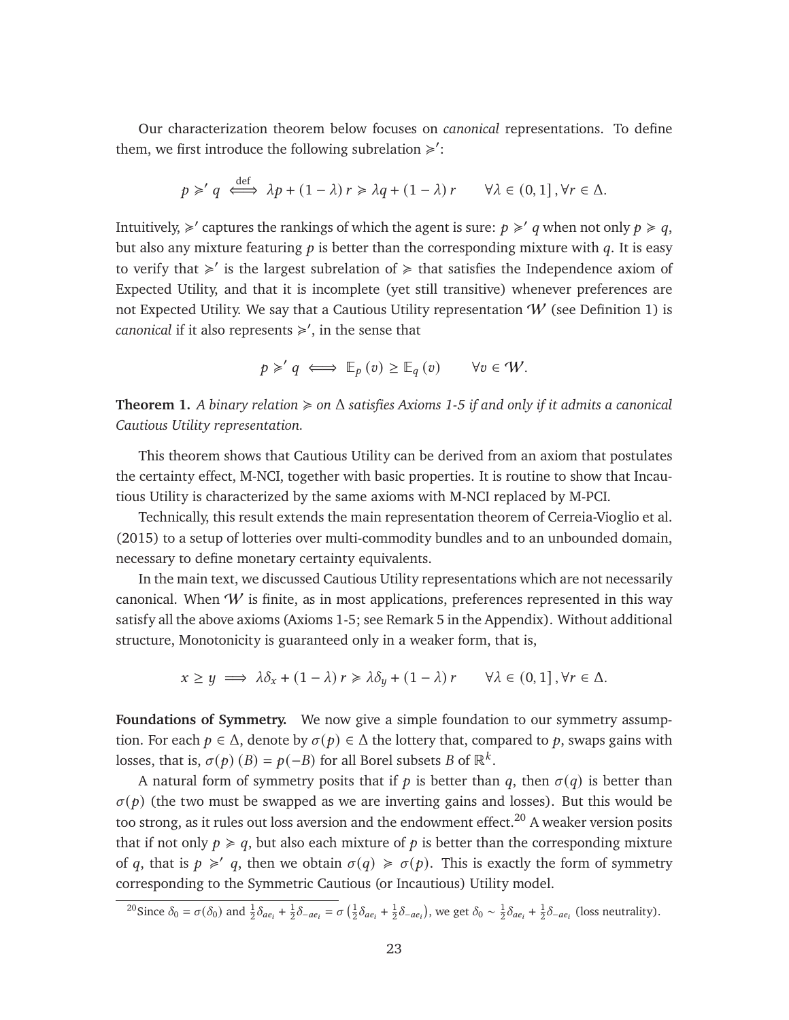Our characterization theorem below focuses on *canonical* representations. To define them, we first introduce the following subrelation  $\geq$ ':

$$
p \geq q \iff \lambda p + (1 - \lambda) r \geq \lambda q + (1 - \lambda) r \qquad \forall \lambda \in (0, 1], \forall r \in \Delta.
$$

Intuitively,  $\geq$  captures the rankings of which the agent is sure:  $p \geq q$  when not only  $p \geq q$ . but also any mixture featuring  $p$  is better than the corresponding mixture with  $q$ . It is easy to verify that  $\geq$  is the largest subrelation of  $\geq$  that satisfies the Independence axiom of Expected Utility, and that it is incomplete (yet still transitive) whenever preferences are not Expected Utility. We say that a Cautious Utility representation  $W$  (see Definition [1\)](#page-5-3) is *canonical* if it also represents ≽', in the sense that

$$
p \geq' q \iff \mathbb{E}_p(v) \geq \mathbb{E}_q(v) \quad \forall v \in W.
$$

<span id="page-23-2"></span>**Theorem 1.** *A binary relation* < *on* Δ *satisfies Axioms [1](#page-21-7)[-5](#page-22-1) if and only if it admits a canonical Cautious Utility representation.*

This theorem shows that Cautious Utility can be derived from an axiom that postulates the certainty effect, M-NCI, together with basic properties. It is routine to show that Incautious Utility is characterized by the same axioms with M-NCI replaced by M-PCI.

Technically, this result extends the main representation theorem of [Cerreia-Vioglio et al.](#page-44-0) [\(2015\)](#page-44-0) to a setup of lotteries over multi-commodity bundles and to an unbounded domain, necessary to define monetary certainty equivalents.

In the main text, we discussed Cautious Utility representations which are not necessarily canonical. When  $W$  is finite, as in most applications, preferences represented in this way satisfy all the above axioms (Axioms [1](#page-21-7)[-5;](#page-22-1) see Remark [5](#page-33-0) in the Appendix). Without additional structure, Monotonicity is guaranteed only in a weaker form, that is,

$$
x \ge y \implies \lambda \delta_x + (1 - \lambda) r \ge \lambda \delta_y + (1 - \lambda) r \qquad \forall \lambda \in (0, 1], \forall r \in \Delta.
$$

**Foundations of Symmetry.** We now give a simple foundation to our symmetry assumption. For each  $p \in \Delta$ , denote by  $\sigma(p) \in \Delta$  the lottery that, compared to p, swaps gains with losses, that is,  $\sigma(p)$  (*B*) =  $p(-B)$  for all Borel subsets *B* of  $\mathbb{R}^k$ .

A natural form of symmetry posits that if  $p$  is better than  $q$ , then  $\sigma(q)$  is better than  $\sigma(p)$  (the two must be swapped as we are inverting gains and losses). But this would be too strong, as it rules out loss aversion and the endowment effect.<sup>[20](#page-23-0)</sup> A weaker version posits that if not only  $p \ge q$ , but also each mixture of p is better than the corresponding mixture of q, that is  $p \geq q$ , then we obtain  $\sigma(q) \geq \sigma(p)$ . This is exactly the form of symmetry corresponding to the Symmetric Cautious (or Incautious) Utility model.

<span id="page-23-1"></span><span id="page-23-0"></span><sup>&</sup>lt;sup>20</sup>Since  $\delta_0 = \sigma(\delta_0)$  and  $\frac{1}{2}\delta_{ae_i} + \frac{1}{2}\delta_{-ae_i} = \sigma(\frac{1}{2}\delta_{ae_i} + \frac{1}{2}\delta_{-ae_i})$ , we get  $\delta_0 \sim \frac{1}{2}\delta_{ae_i} + \frac{1}{2}\delta_{-ae_i}$  (loss neutrality).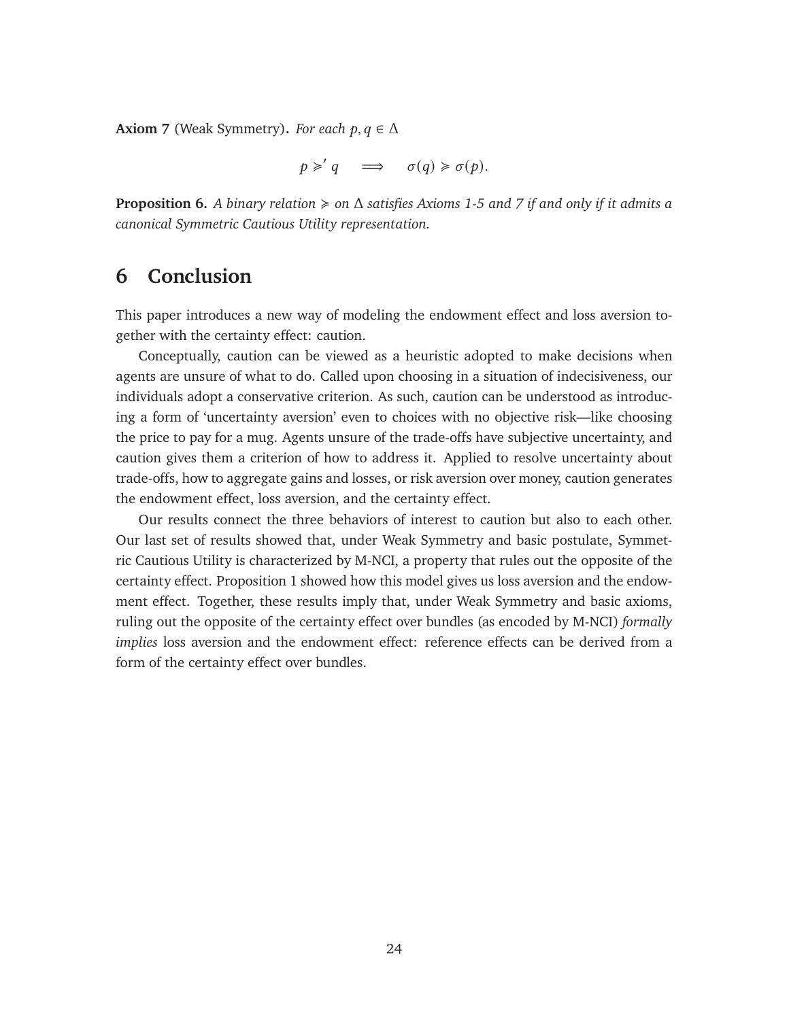**Axiom 7** (Weak Symmetry). *For each*  $p, q \in \Delta$ 

$$
p \geqslant' q \quad \Longrightarrow \quad \sigma(q) \geqslant \sigma(p).
$$

<span id="page-24-0"></span>**Proposition 6.** *A binary relation* < *on* Δ *satisfies Axioms [1-](#page-21-7)[5](#page-22-1) and [7](#page-23-1) if and only if it admits a canonical Symmetric Cautious Utility representation.*

### **6 Conclusion**

This paper introduces a new way of modeling the endowment effect and loss aversion together with the certainty effect: caution.

Conceptually, caution can be viewed as a heuristic adopted to make decisions when agents are unsure of what to do. Called upon choosing in a situation of indecisiveness, our individuals adopt a conservative criterion. As such, caution can be understood as introducing a form of 'uncertainty aversion' even to choices with no objective risk—like choosing the price to pay for a mug. Agents unsure of the trade-offs have subjective uncertainty, and caution gives them a criterion of how to address it. Applied to resolve uncertainty about trade-offs, how to aggregate gains and losses, or risk aversion over money, caution generates the endowment effect, loss aversion, and the certainty effect.

Our results connect the three behaviors of interest to caution but also to each other. Our last set of results showed that, under Weak Symmetry and basic postulate, Symmetric Cautious Utility is characterized by M-NCI, a property that rules out the opposite of the certainty effect. Proposition [1](#page-8-1) showed how this model gives us loss aversion and the endowment effect. Together, these results imply that, under Weak Symmetry and basic axioms, ruling out the opposite of the certainty effect over bundles (as encoded by M-NCI) *formally implies* loss aversion and the endowment effect: reference effects can be derived from a form of the certainty effect over bundles.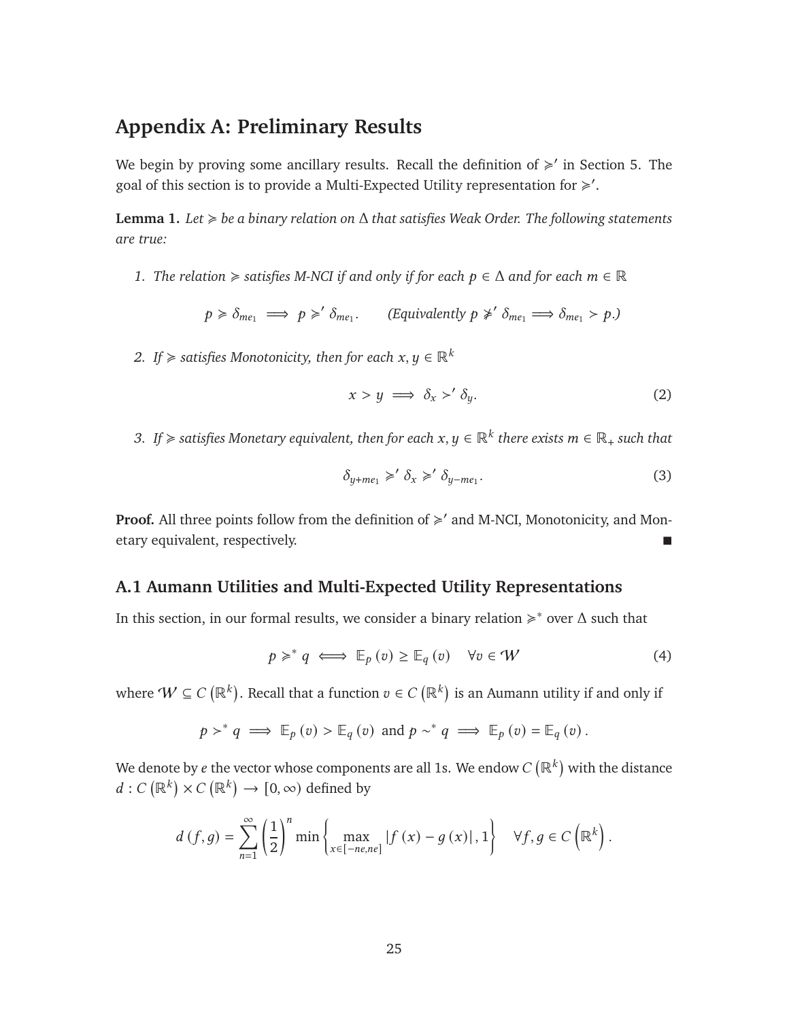### **Appendix A: Preliminary Results**

We begin by proving some ancillary results. Recall the definition of  $\geq$  in Section [5.](#page-21-0) The goal of this section is to provide a Multi-Expected Utility representation for  $\geq$ .

<span id="page-25-3"></span>**Lemma 1.** *Let* < *be a binary relation on* Δ *that satisfies Weak Order. The following statements are true:*

*1. The relation*  $\geq$  *satisfies M-NCI if and only if for each p*  $\in \Delta$  *and for each m*  $\in \mathbb{R}$ 

$$
p \ge \delta_{me_1} \implies p \ge' \delta_{me_1}.
$$
 (Equivalently  $p \not\ge' \delta_{me_1} \implies \delta_{me_1} > p$ .)

*2. If*  $\geq$  *satisfies Monotonicity, then for each*  $x, y \in \mathbb{R}^k$ 

<span id="page-25-1"></span>
$$
x > y \implies \delta_x >' \delta_y. \tag{2}
$$

*3. If*  $\geqslant$  satisfies Monetary equivalent, then for each  $x,y\in\mathbb{R}^k$  there exists  $m\in\mathbb{R}_+$  such that

<span id="page-25-2"></span>
$$
\delta_{y+me_1} \geqslant' \delta_x \geqslant' \delta_{y-me_1}.\tag{3}
$$

Proof. All three points follow from the definition of  $\geq$  and M-NCI, Monotonicity, and Monetary equivalent, respectively.

#### **A.1 Aumann Utilities and Multi-Expected Utility Representations**

In this section, in our formal results, we consider a binary relation  $\geq$ <sup>\*</sup> over  $\Delta$  such that

<span id="page-25-0"></span>
$$
p \geq^* q \iff \mathbb{E}_p(v) \geq \mathbb{E}_q(v) \quad \forall v \in W \tag{4}
$$

where  $\mathcal{W}\subseteq C\left(\mathbb{R}^{k}\right)$ . Recall that a function  $v\in C\left(\mathbb{R}^{k}\right)$  is an Aumann utility if and only if

$$
p \gt^* q \implies \mathbb{E}_p(v) > \mathbb{E}_q(v)
$$
 and  $p \sim^* q \implies \mathbb{E}_p(v) = \mathbb{E}_q(v)$ .

We denote by  $e$  the vector whose components are all 1s. We endow  $C\left(\mathbb{R}^k\right)$  with the distance  $d: C(\mathbb{R}^k) \times C(\mathbb{R}^k) \to [0, \infty)$  defined by

$$
d(f,g) = \sum_{n=1}^{\infty} \left(\frac{1}{2}\right)^n \min\left\{\max_{x \in [-ne, ne]} |f(x) - g(x)|, 1\right\} \quad \forall f, g \in C\left(\mathbb{R}^k\right).
$$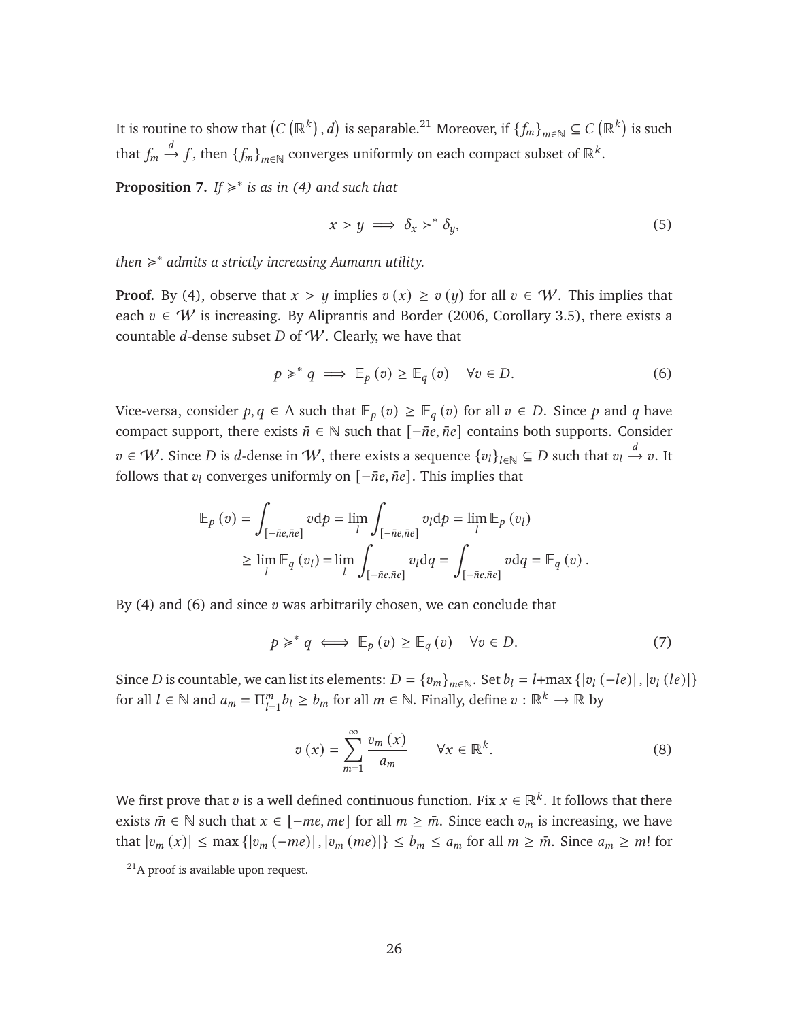It is routine to show that  $(C\left(\mathbb{R}^k\right),d)$  is separable. $^{21}$  $^{21}$  $^{21}$  Moreover, if  $\{f_m\}_{m\in\mathbb{N}}\subseteq C\left(\mathbb{R}^k\right)$  is such that  $f_m \xrightarrow{d} f$ , then  $\{f_m\}_{m \in \mathbb{N}}$  converges uniformly on each compact subset of  $\mathbb{R}^k$ .

<span id="page-26-5"></span>**Proposition 7.** If  $\geq$ <sup>\*</sup> is as in [\(4\)](#page-25-0) and such that

<span id="page-26-4"></span>
$$
x > y \implies \delta_x >^* \delta_y,\tag{5}
$$

*then* < ∗ *admits a strictly increasing Aumann utility.*

**Proof.** By [\(4\)](#page-25-0), observe that  $x > y$  implies  $v(x) \ge v(y)$  for all  $v \in W$ . This implies that each  $v \in W$  is increasing. By [Aliprantis and Border](#page-43-13) [\(2006,](#page-43-13) Corollary 3.5), there exists a countable  $d$ -dense subset  $D$  of  $W$ . Clearly, we have that

<span id="page-26-1"></span>
$$
p \geq^* q \implies \mathbb{E}_p(v) \geq \mathbb{E}_q(v) \quad \forall v \in D. \tag{6}
$$

Vice-versa, consider  $p, q \in \Delta$  such that  $\mathbb{E}_p(v) \geq \mathbb{E}_q(v)$  for all  $v \in D$ . Since p and q have compact support, there exists  $\bar{n} \in \mathbb{N}$  such that  $[-\bar{n}e, \bar{n}e]$  contains both supports. Consider  $v \in W$ . Since D is d-dense in W, there exists a sequence  $\{v_l\}_{l \in \mathbb{N}} \subseteq D$  such that  $v_l \stackrel{d}{\rightarrow} v$ . It follows that  $v_l$  converges uniformly on  $[-\bar{n}e, \bar{n}e]$ . This implies that

$$
\mathbb{E}_{p}(v) = \int_{\left[-\bar{n}e,\bar{n}e\right]} v \, \mathrm{d}p = \lim_{l} \int_{\left[-\bar{n}e,\bar{n}e\right]} v_{l} \, \mathrm{d}p = \lim_{l} \mathbb{E}_{p}(v_{l})
$$
\n
$$
\geq \lim_{l} \mathbb{E}_{q}(v_{l}) = \lim_{l} \int_{\left[-\bar{n}e,\bar{n}e\right]} v_{l} \, \mathrm{d}q = \int_{\left[-\bar{n}e,\bar{n}e\right]} v \, \mathrm{d}q = \mathbb{E}_{q}(v) \, .
$$

By  $(4)$  and  $(6)$  and since  $v$  was arbitrarily chosen, we can conclude that

<span id="page-26-3"></span>
$$
p \geq^* q \iff \mathbb{E}_p(v) \geq \mathbb{E}_q(v) \quad \forall v \in D. \tag{7}
$$

Since D is countable, we can list its elements:  $D = \{v_m\}_{m \in \mathbb{N}}$ . Set  $b_l = l + \max\{|v_l(-le)|, |v_l(le)|\}$ for all  $l \in \mathbb{N}$  and  $a_m = \prod_{l=1}^m$  $_{l=1}^{m}b_{l}\geq b_{m}$  for all  $m\in\mathbb{N}$ . Finally, define  $v:\mathbb{R}^{k}\rightarrow\mathbb{R}$  by

<span id="page-26-2"></span>
$$
v(x) = \sum_{m=1}^{\infty} \frac{v_m(x)}{a_m} \qquad \forall x \in \mathbb{R}^k.
$$
 (8)

We first prove that  $v$  is a well defined continuous function. Fix  $x\in\mathbb{R}^k.$  It follows that there exists  $\bar{m} \in \mathbb{N}$  such that  $x \in [-me, me]$  for all  $m \ge \bar{m}$ . Since each  $v_m$  is increasing, we have that  $|v_m(x)| \leq \max\{|v_m(-me)|, |v_m(me)|\} \leq b_m \leq a_m$  for all  $m \geq \overline{m}$ . Since  $a_m \geq m!$  for

<span id="page-26-0"></span><sup>&</sup>lt;sup>21</sup>A proof is available upon request.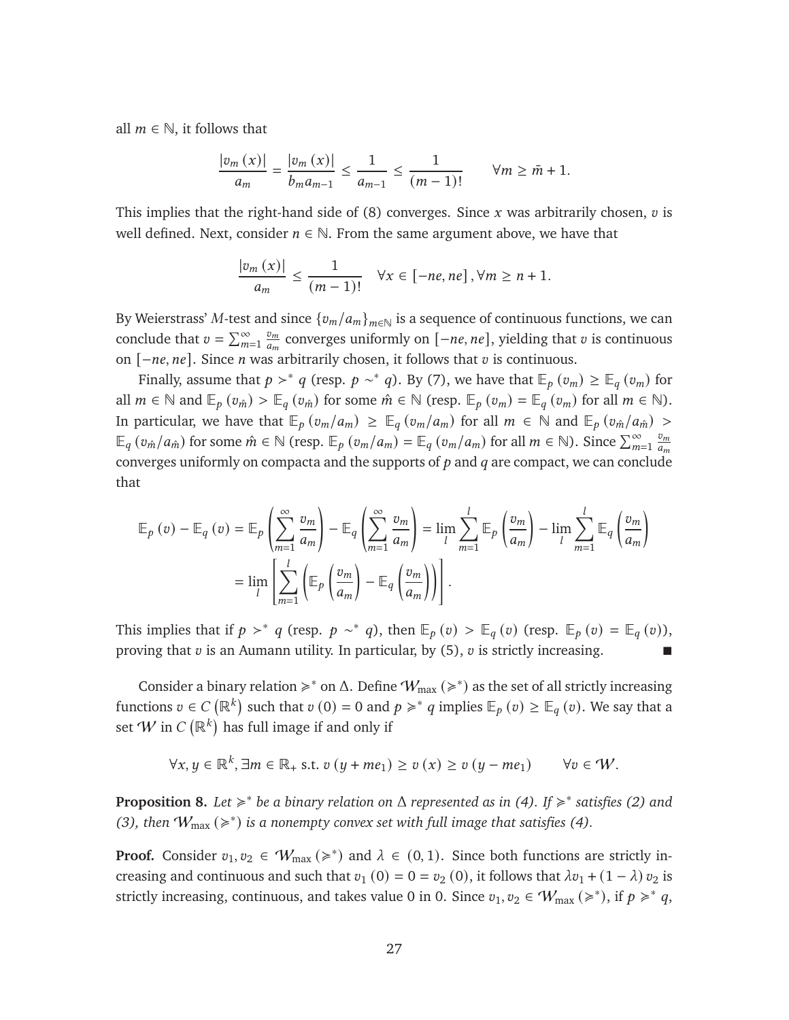all  $m \in \mathbb{N}$ , it follows that

$$
\frac{|v_m(x)|}{a_m} = \frac{|v_m(x)|}{b_m a_{m-1}} \le \frac{1}{a_{m-1}} \le \frac{1}{(m-1)!} \qquad \forall m \ge \bar{m} + 1.
$$

This implies that the right-hand side of  $(8)$  converges. Since x was arbitrarily chosen,  $v$  is well defined. Next, consider  $n \in \mathbb{N}$ . From the same argument above, we have that

$$
\frac{|v_m(x)|}{a_m} \le \frac{1}{(m-1)!} \quad \forall x \in [-ne, ne], \forall m \ge n+1.
$$

By Weierstrass' M-test and since  ${v_m/a_m}_{m \in \mathbb{N}}$  is a sequence of continuous functions, we can conclude that  $v = \sum_{m=1}^{\infty}$  $v_m$  $\frac{v_m}{a_m}$  converges uniformly on  $[-ne, ne]$ , yielding that  $v$  is continuous on  $[-ne, ne]$ . Since *n* was arbitrarily chosen, it follows that  $v$  is continuous.

Finally, assume that  $p >^* q$  (resp.  $p \sim^* q$ ). By [\(7\)](#page-26-3), we have that  $\mathbb{E}_p(v_m) \geq \mathbb{E}_q(v_m)$  for all  $m \in \mathbb{N}$  and  $\mathbb{E}_p(v_{\hat{m}}) > \mathbb{E}_q(v_{\hat{m}})$  for some  $\hat{m} \in \mathbb{N}$  (resp.  $\mathbb{E}_p(v_m) = \mathbb{E}_q(v_m)$  for all  $m \in \mathbb{N}$ ). In particular, we have that  $\mathbb{E}_p(v_m/a_m) \geq \mathbb{E}_q(v_m/a_m)$  for all  $m \in \mathbb{N}$  and  $\mathbb{E}_p(v_m/a_m) >$  $\mathbb{E}_q(v_{\hat{m}}/a_{\hat{m}})$  for some  $\hat{m} \in \mathbb{N}$  (resp.  $\mathbb{E}_p(v_m/a_m) = \mathbb{E}_q(v_m/a_m)$  for all  $m \in \mathbb{N}$ ). Since  $\sum_{m=1}^{\infty}$  $v_m$  $\frac{m}{a_m}$ converges uniformly on compacta and the supports of  $p$  and  $q$  are compact, we can conclude that

$$
\mathbb{E}_{p}(v) - \mathbb{E}_{q}(v) = \mathbb{E}_{p}\left(\sum_{m=1}^{\infty} \frac{v_{m}}{a_{m}}\right) - \mathbb{E}_{q}\left(\sum_{m=1}^{\infty} \frac{v_{m}}{a_{m}}\right) = \lim_{l} \sum_{m=1}^{l} \mathbb{E}_{p}\left(\frac{v_{m}}{a_{m}}\right) - \lim_{l} \sum_{m=1}^{l} \mathbb{E}_{q}\left(\frac{v_{m}}{a_{m}}\right)
$$

$$
= \lim_{l} \left[\sum_{m=1}^{l} \left(\mathbb{E}_{p}\left(\frac{v_{m}}{a_{m}}\right) - \mathbb{E}_{q}\left(\frac{v_{m}}{a_{m}}\right)\right)\right].
$$

This implies that if  $p >^* q$  (resp.  $p \sim^* q$ ), then  $\mathbb{E}_p(v) > \mathbb{E}_q(v)$  (resp.  $\mathbb{E}_p(v) = \mathbb{E}_q(v)$ ), proving that  $v$  is an Aumann utility. In particular, by [\(5\)](#page-26-4),  $v$  is strictly increasing.

Consider a binary relation  $\geq$ <sup>\*</sup> on  $\Delta$ . Define  $W_{\text{max}}(\geq$ <sup>\*</sup>) as the set of all strictly increasing functions  $v \in C(\mathbb{R}^k)$  such that  $v(0) = 0$  and  $p \geqslant^* q$  implies  $\mathbb{E}_p(v) \geq \mathbb{E}_q(v)$ . We say that a set  $W$  in  $C\left(\mathbb{R}^k\right)$  has full image if and only if

$$
\forall x, y \in \mathbb{R}^k, \exists m \in \mathbb{R}_+ \text{ s.t. } v(y + me_1) \ge v(x) \ge v(y - me_1) \qquad \forall v \in W.
$$

<span id="page-27-0"></span>**Proposition 8.** Let  $\geq$ <sup>\*</sup> be a binary relation on Δ represented as in [\(4\)](#page-25-0). If  $\geq$ <sup>\*</sup> satisfies [\(2\)](#page-25-1) and [\(3\)](#page-25-2), then  $W_{\text{max}}$  ( $\geq$ <sup>\*</sup>) is a nonempty convex set with full image that satisfies [\(4\)](#page-25-0).

**Proof.** Consider  $v_1, v_2 \in W_{\text{max}} \approx$  and  $\lambda \in (0, 1)$ . Since both functions are strictly increasing and continuous and such that  $v_1$  (0) = 0 =  $v_2$  (0), it follows that  $\lambda v_1$  + (1 –  $\lambda$ )  $v_2$  is strictly increasing, continuous, and takes value 0 in 0. Since  $v_1, v_2 \in W_{\text{max}} \, (\geq^*)$ , if  $p \geq^* q$ ,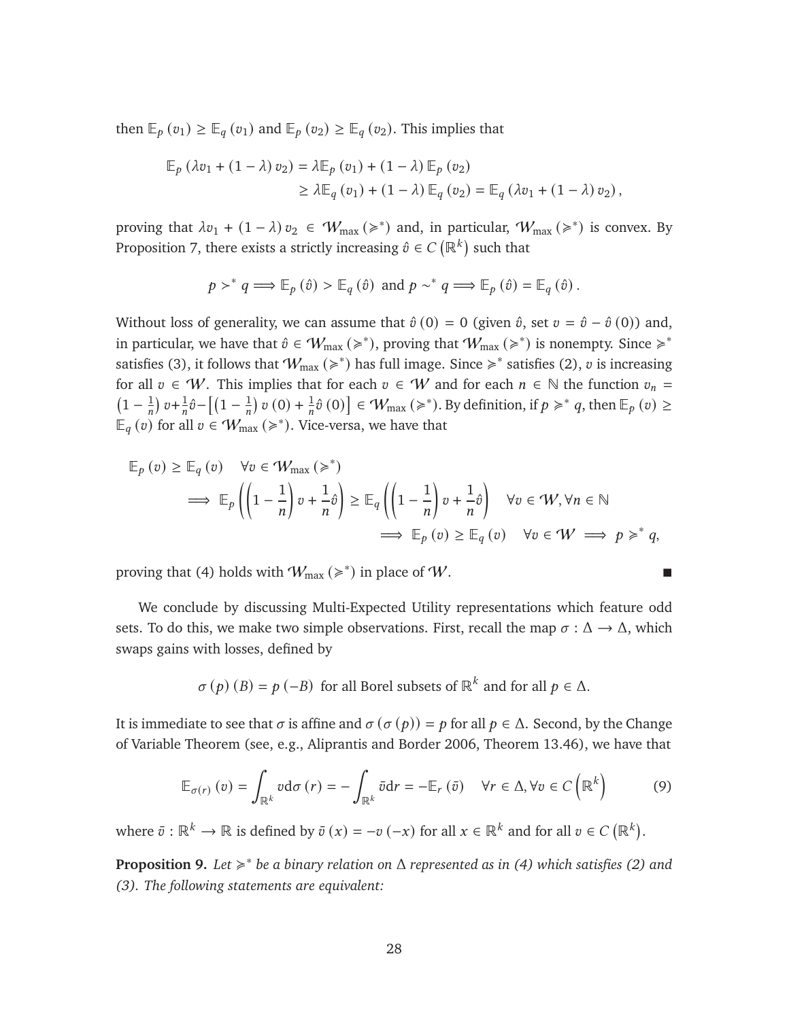then  $\mathbb{E}_{p}(v_1) \geq \mathbb{E}_{q}(v_1)$  and  $\mathbb{E}_{p}(v_2) \geq \mathbb{E}_{q}(v_2)$ . This implies that

$$
\mathbb{E}_{p} (\lambda v_{1} + (1 - \lambda) v_{2}) = \lambda \mathbb{E}_{p} (v_{1}) + (1 - \lambda) \mathbb{E}_{p} (v_{2})
$$
  
\n
$$
\geq \lambda \mathbb{E}_{q} (v_{1}) + (1 - \lambda) \mathbb{E}_{q} (v_{2}) = \mathbb{E}_{q} (\lambda v_{1} + (1 - \lambda) v_{2}),
$$

proving that  $\lambda v_1 + (1 - \lambda) v_2 \in W_{\text{max}}(\geqslant^*)$  and, in particular,  $W_{\text{max}}(\geqslant^*)$  is convex. By Proposition [7,](#page-26-5) there exists a strictly increasing  $\hat{v} \in C\left(\mathbb{R}^k\right)$  such that

$$
p \succ^* q \Longrightarrow \mathbb{E}_p(\hat{v}) > \mathbb{E}_q(\hat{v}) \text{ and } p \sim^* q \Longrightarrow \mathbb{E}_p(\hat{v}) = \mathbb{E}_q(\hat{v}) \, .
$$

Without loss of generality, we can assume that  $\hat{v}(0) = 0$  (given  $\hat{v}$ , set  $v = \hat{v} - \hat{v}(0)$ ) and, in particular, we have that  $\hat{v} \in W_{\text{max}}(\geqslant^*)$ , proving that  $W_{\text{max}}(\geqslant^*)$  is nonempty. Since  $\geqslant^*$ satisfies [\(3\)](#page-25-2), it follows that  $W_{\text{max}} \left( \geq \right)$  has full image. Since  $\geq \right)$  satisfies [\(2\)](#page-25-1), v is increasing for all  $v \in W$ . This implies that for each  $v \in W$  and for each  $n \in \mathbb{N}$  the function  $v_n =$  $\left(1-\frac{1}{n}\right)$  $\frac{1}{n}$ )  $v + \frac{1}{n}$  $\frac{1}{n}\hat{v} - \left[ \left( 1 - \frac{1}{n} \right) \right]$  $\frac{1}{n}$ ) v (0) +  $\frac{1}{n}$  $\frac{1}{n}\hat{v}(0)\right] \in W_{\text{max}}(\geqslant^*)$ . By definition, if  $p \geqslant^* q$ , then  $\mathbb{E}_p(v) \geq$  $\mathbb{E}_q(v)$  for all  $v \in \mathcal{W}_{\max}(\geqslant^*)$ . Vice-versa, we have that

$$
\mathbb{E}_{p}(v) \geq \mathbb{E}_{q}(v) \quad \forall v \in \mathcal{W}_{\max}(\geq) \tag{2.12}
$$
\n
$$
\implies \mathbb{E}_{p}\left(\left(1-\frac{1}{n}\right)v + \frac{1}{n}\hat{v}\right) \geq \mathbb{E}_{q}\left(\left(1-\frac{1}{n}\right)v + \frac{1}{n}\hat{v}\right) \quad \forall v \in \mathcal{W}, \forall n \in \mathbb{N}
$$
\n
$$
\implies \mathbb{E}_{p}(v) \geq \mathbb{E}_{q}(v) \quad \forall v \in \mathcal{W} \implies p \geq^* q,
$$

proving that [\(4\)](#page-25-0) holds with  $W_{\text{max}} \left( \geq \right)$  in place of W.

We conclude by discussing Multi-Expected Utility representations which feature odd sets. To do this, we make two simple observations. First, recall the map  $\sigma : \Delta \to \Delta$ , which swaps gains with losses, defined by

 $\sigma(p)(B) = p(-B)$  for all Borel subsets of  $\mathbb{R}^k$  and for all  $p \in \Delta$ .

It is immediate to see that  $\sigma$  is affine and  $\sigma(\sigma(p)) = p$  for all  $p \in \Delta$ . Second, by the Change of Variable Theorem (see, e.g., [Aliprantis and Border 2006,](#page-43-13) Theorem 13.46), we have that

<span id="page-28-0"></span>
$$
\mathbb{E}_{\sigma(r)}\left(v\right) = \int_{\mathbb{R}^k} v \, \mathrm{d}\sigma\left(r\right) = -\int_{\mathbb{R}^k} \bar{v} \, \mathrm{d}r = -\mathbb{E}_r\left(\bar{v}\right) \quad \forall r \in \Delta, \forall v \in C\left(\mathbb{R}^k\right) \tag{9}
$$

where  $\bar{v}: \mathbb{R}^k \to \mathbb{R}$  is defined by  $\bar{v}(x) = -v(-x)$  for all  $x \in \mathbb{R}^k$  and for all  $v \in C(\mathbb{R}^k)$ .

<span id="page-28-1"></span>**Proposition 9.** *Let* < ∗ *be a binary relation on* Δ *represented as in [\(4\)](#page-25-0) which satisfies [\(2\)](#page-25-1) and [\(3\)](#page-25-2). The following statements are equivalent:*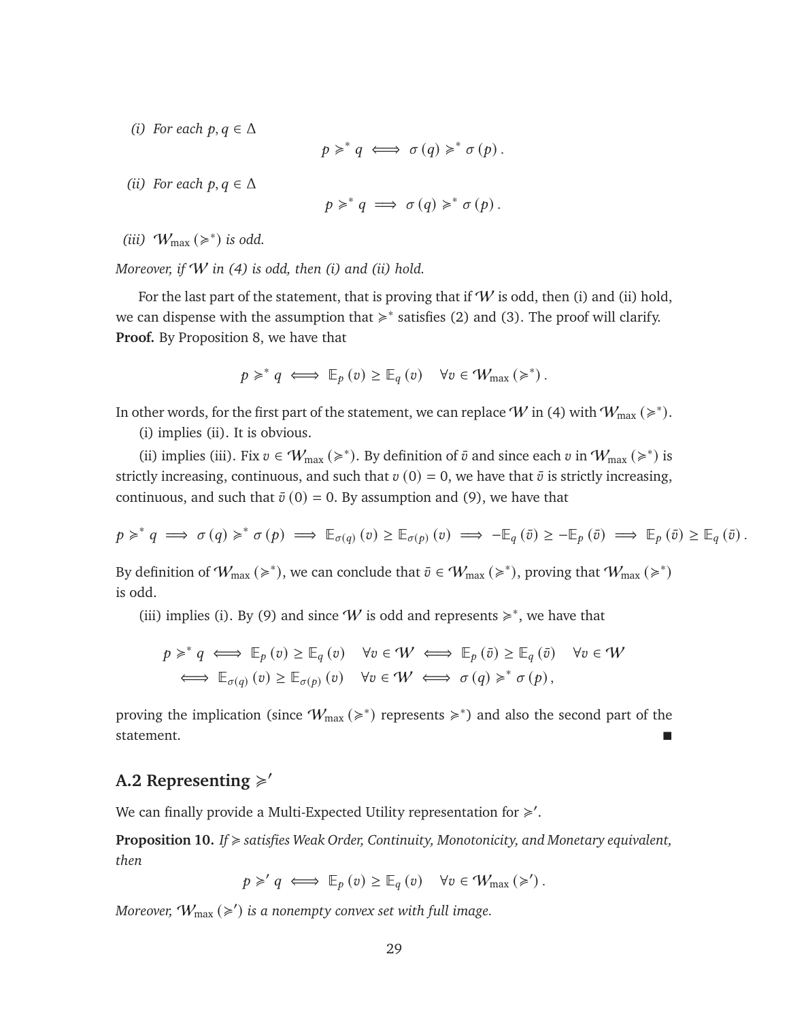*(i) For each*  $p, q \in \Delta$ 

$$
p \geq q \iff \sigma(q) \geq q^* \sigma(p).
$$

*(ii) For each*  $p, q \in \Delta$ 

$$
p \geqslant^* q \implies \sigma(q) \geqslant^* \sigma(p).
$$

(*iii*)  $W_{\text{max}}$  ( $\geq$ <sup>\*</sup>) *is odd.* 

*Moreover, if* W *in [\(4\)](#page-25-0) is odd, then (i) and (ii) hold.*

For the last part of the statement, that is proving that if  $W$  is odd, then (i) and (ii) hold, we can dispense with the assumption that  $\geq$ <sup>\*</sup> satisfies [\(2\)](#page-25-1) and [\(3\)](#page-25-2). The proof will clarify. **Proof.** By Proposition [8,](#page-27-0) we have that

$$
p \geq^* q \iff \mathbb{E}_p(v) \geq \mathbb{E}_q(v) \quad \forall v \in \mathcal{W}_{\max}(\geq^*)\,.
$$

In other words, for the first part of the statement, we can replace  $W$  in [\(4\)](#page-25-0) with  $W_{\rm max}$   $(\geqslant^*)$ .

(i) implies (ii). It is obvious.

(ii) implies (iii). Fix  $v \in W_{\text{max}} \approx$ , By definition of  $\bar{v}$  and since each  $v$  in  $W_{\text{max}} \approx$ ) is strictly increasing, continuous, and such that  $v(0) = 0$ , we have that  $\bar{v}$  is strictly increasing, continuous, and such that  $\bar{v}(0) = 0$ . By assumption and [\(9\)](#page-28-0), we have that

$$
p \geq^* q \implies \sigma(q) \geq^* \sigma(p) \implies \mathbb{E}_{\sigma(q)}(v) \geq \mathbb{E}_{\sigma(p)}(v) \implies -\mathbb{E}_{q}(\bar{v}) \geq -\mathbb{E}_{p}(\bar{v}) \implies \mathbb{E}_{p}(\bar{v}) \geq \mathbb{E}_{q}(\bar{v}).
$$

By definition of  $W_{\text{max}} (\geqslant^*)$ , we can conclude that  $\bar{v} \in W_{\text{max}} (\geqslant^*)$ , proving that  $W_{\text{max}} (\geqslant^*)$ is odd.

(iii) implies (i). By [\(9\)](#page-28-0) and since W is odd and represents  $\geq$ <sup>\*</sup>, we have that

$$
p \geq^* q \iff \mathbb{E}_p(v) \geq \mathbb{E}_q(v) \quad \forall v \in \mathcal{W} \iff \mathbb{E}_p(\bar{v}) \geq \mathbb{E}_q(\bar{v}) \quad \forall v \in \mathcal{W}
$$
  

$$
\iff \mathbb{E}_{\sigma(q)}(v) \geq \mathbb{E}_{\sigma(p)}(v) \quad \forall v \in \mathcal{W} \iff \sigma(q) \geq^* \sigma(p),
$$

proving the implication (since  $W_{\text{max}} (\geq)^*$ ) represents  $\geq)^*$ ) and also the second part of the statement.

# A.2 Representing  $\geq$ <sup>'</sup>

We can finally provide a Multi-Expected Utility representation for  $\geq$ '.

<span id="page-29-0"></span>**Proposition 10.** *If* < *satisfies Weak Order, Continuity, Monotonicity, and Monetary equivalent, then*

 $p \geq q \iff \mathbb{E}_p(v) \geq \mathbb{E}_q(v) \quad \forall v \in \mathcal{W}_{\text{max}}(\geqslant')$ .

Moreover,  $W_{\text{max}} \left( \geqslant^{\prime} \right)$  is a nonempty convex set with full image.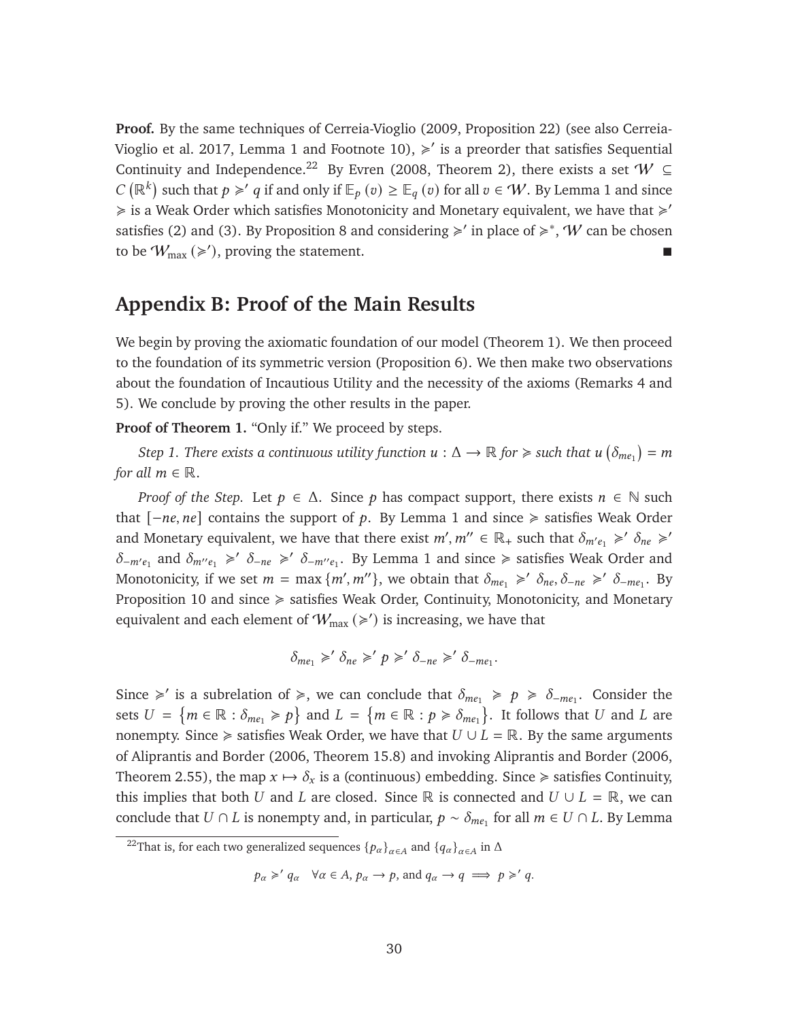**Proof.** By the same techniques of [Cerreia-Vioglio](#page-44-2) [\(2009,](#page-44-2) Proposition 22) (see also [Cerreia-](#page-44-13)[Vioglio et al. 2017,](#page-44-13) Lemma 1 and Footnote 10),  $\geq$  is a preorder that satisfies Sequential Continuity and Independence.<sup>[22](#page-30-0)</sup> By [Evren](#page-45-15) [\(2008,](#page-45-15) Theorem 2), there exists a set  $W \subseteq$ C ( $\mathbb{R}^k$ ) such that  $p \geq q$  if and only if  $\mathbb{E}_p(v) \geq \mathbb{E}_q(v)$  for all  $v \in W$ . By Lemma [1](#page-25-3) and since  $\geq$  is a Weak Order which satisfies Monotonicity and Monetary equivalent, we have that  $\geq$ satisfies [\(2\)](#page-25-1) and [\(3\)](#page-25-2). By Proposition [8](#page-27-0) and considering  $\geq$  ' in place of  $\geq$  \*, W can be chosen to be  $W_{\text{max}} (\geqslant')$ , proving the statement.

### **Appendix B: Proof of the Main Results**

We begin by proving the axiomatic foundation of our model (Theorem [1\)](#page-23-2). We then proceed to the foundation of its symmetric version (Proposition [6\)](#page-24-0). We then make two observations about the foundation of Incautious Utility and the necessity of the axioms (Remarks [4](#page-33-1) and [5\)](#page-33-0). We conclude by proving the other results in the paper.

**Proof of Theorem [1.](#page-23-2)** "Only if." We proceed by steps.

*Step 1. There exists a continuous utility function*  $u : \Delta \to \mathbb{R}$  *for*  $\geqslant$  *such that*  $u$  $(\delta_{me_1}) = m$ *for all*  $m \in \mathbb{R}$ .

*Proof of the Step.* Let  $p \in \Delta$ . Since p has compact support, there exists  $n \in \mathbb{N}$  such that  $[-ne, ne]$  contains the support of  $p$ . By Lemma [1](#page-25-3) and since  $\ge$  satisfies Weak Order and Monetary equivalent, we have that there exist  $m', m'' \in \mathbb{R}_+$  such that  $\delta_{m'e_1} \geq \delta_{ne} \geq \delta_{ne}$  $\delta_{-m'e_1}$  and  $\delta_{m''e_1} \ge \delta_{-ne} \ge \delta_{-m''e_1}$ . By Lemma [1](#page-25-3) and since  $\ge$  satisfies Weak Order and Monotonicity, if we set  $m = \max \{m', m''\}$ , we obtain that  $\delta_{me_1} \geq \delta_{ne}, \delta_{-ne} \geq \delta_{-me_1}$ . By Proposition [10](#page-29-0) and since  $\geq$  satisfies Weak Order, Continuity, Monotonicity, and Monetary equivalent and each element of  $W_{\text{max}} \left( \geqslant' \right)$  is increasing, we have that

$$
\delta_{me_1} \geq \delta_{ne} \geq \rho \geq \delta_{-ne} \geq \delta_{-me_1}.
$$

Since  $\geq$  is a subrelation of  $\geq$ , we can conclude that  $\delta_{me_1} \geq p \geq \delta_{me_1}$ . Consider the sets  $U = \{m \in \mathbb{R} : \delta_{me_1} \geq p\}$  and  $L = \{m \in \mathbb{R} : p \geq \delta_{me_1}\}$ . It follows that U and L are nonempty. Since  $\geq$  satisfies Weak Order, we have that  $U \cup L = \mathbb{R}$ . By the same arguments of [Aliprantis and Border](#page-43-13) [\(2006,](#page-43-13) Theorem 15.8) and invoking [Aliprantis and Border](#page-43-13) [\(2006,](#page-43-13) Theorem 2.55), the map  $x \mapsto \delta_x$  is a (continuous) embedding. Since  $\geq$  satisfies Continuity, this implies that both U and L are closed. Since R is connected and  $U \cup L = \mathbb{R}$ , we can conclude that  $U \cap L$  is nonempty and, in particular,  $p \sim \delta_{me_1}$  for all  $m \in U \cap L$ . By Lemma

<span id="page-30-0"></span><sup>&</sup>lt;sup>22</sup>That is, for each two generalized sequences  $\{p_\alpha\}_{\alpha\in A}$  and  $\{q_\alpha\}_{\alpha\in A}$  in  $\Delta$ 

 $p_{\alpha} \geqslant' q_{\alpha} \quad \forall \alpha \in A, p_{\alpha} \rightarrow p$ , and  $q_{\alpha} \rightarrow q \implies p \geqslant' q$ .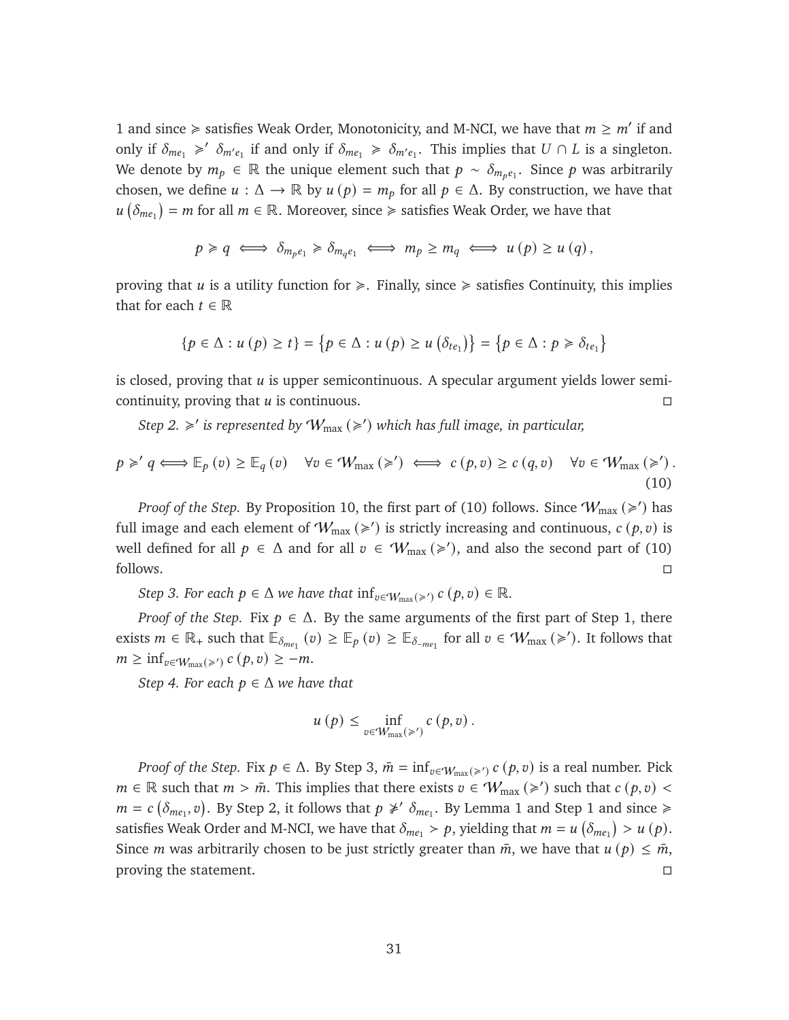[1](#page-25-3) and since  $\geq$  satisfies Weak Order, Monotonicity, and M-NCI, we have that  $m \geq m'$  if and only if  $\delta_{me_1} \geq \delta_{me_1}$  if and only if  $\delta_{me_1} \geq \delta_{me_1}$ . This implies that  $U \cap L$  is a singleton. We denote by  $m_p \in \mathbb{R}$  the unique element such that  $p \sim \delta_{m_p e_1}$ . Since p was arbitrarily chosen, we define  $u : \Delta \to \mathbb{R}$  by  $u(p) = m_p$  for all  $p \in \Delta$ . By construction, we have that  $u\left(\delta_{me_1}\right) = m$  for all  $m \in \mathbb{R}$ . Moreover, since  $\geq$  satisfies Weak Order, we have that

$$
p \geq q \iff \delta_{m_p e_1} \geq \delta_{m_q e_1} \iff m_p \geq m_q \iff u(p) \geq u(q),
$$

proving that  $u$  is a utility function for  $\geq$ . Finally, since  $\geq$  satisfies Continuity, this implies that for each  $t \in \mathbb{R}$ 

$$
\{p \in \Delta : u(p) \ge t\} = \{p \in \Delta : u(p) \ge u(\delta_{te_1})\} = \{p \in \Delta : p \ge \delta_{te_1}\}\
$$

is closed, proving that  $u$  is upper semicontinuous. A specular argument yields lower semicontinuity, proving that  $u$  is continuous.

*Step 2.*  $\geq$  *is represented by*  $W_{\text{max}} (\geq)$  *which has full image, in particular,* 

<span id="page-31-0"></span>
$$
p \geq' q \iff \mathbb{E}_p(v) \geq \mathbb{E}_q(v) \quad \forall v \in \mathcal{W}_{\text{max}}(\geq') \iff c(p, v) \geq c(q, v) \quad \forall v \in \mathcal{W}_{\text{max}}(\geq')\,.
$$
\n(10)

*Proof of the Step.* By Proposition [10,](#page-29-0) the first part of [\(10\)](#page-31-0) follows. Since  $W_{\text{max}} (\geq)$  has full image and each element of  $W_{\text{max}} (\geq)$  is strictly increasing and continuous,  $c (p, v)$  is well defined for all  $p \in \Delta$  and for all  $v \in W_{\text{max}}(\geq)$ , and also the second part of [\(10\)](#page-31-0) follows.

*Step 3. For each*  $p \in \Delta$  *we have that*  $inf_{v \in W_{\text{max}}(\geq)} c(p, v) \in \mathbb{R}$ *.* 

*Proof of the Step.* Fix  $p \in \Delta$ . By the same arguments of the first part of Step 1, there exists  $m \in \mathbb{R}_+$  such that  $\mathbb{E}_{\delta_{me_1}}(v) \geq \mathbb{E}_{\rho}(v) \geq \mathbb{E}_{\delta_{me_1}}$  for all  $v \in \mathcal{W}_{\max}(\geq)$ . It follows that  $m \geq \inf_{v \in \mathcal{W}_{\text{max}}(\geq v)} c(p, v) \geq -m.$ 

*Step 4. For each*  $p \in \Delta$  *we have that* 

$$
u(p) \leq \inf_{v \in W_{\max}(\geq)} c(p, v).
$$

*Proof of the Step.* Fix  $p \in \Delta$ . By Step 3,  $\bar{m} = \inf_{v \in \mathcal{W}_{max}(\geq) c} (p, v)$  is a real number. Pick  $m \in \mathbb{R}$  such that  $m > \bar{m}$ . This implies that there exists  $v \in W_{\text{max}} (\geq)$  such that  $c(p, v)$  $m = c \left( \delta_{me_1}, v \right)$ . By Step 2, it follows that  $p \not\ge' \delta_{me_1}$ . By Lemma [1](#page-25-3) and Step 1 and since  $\ge$ satisfies Weak Order and M-NCI, we have that  $\delta_{me_1} > p$ , yielding that  $m = u \left( \delta_{me_1} \right) > u \left( p \right)$ . Since *m* was arbitrarily chosen to be just strictly greater than  $\bar{m}$ , we have that  $u(p) \leq \bar{m}$ , proving the statement.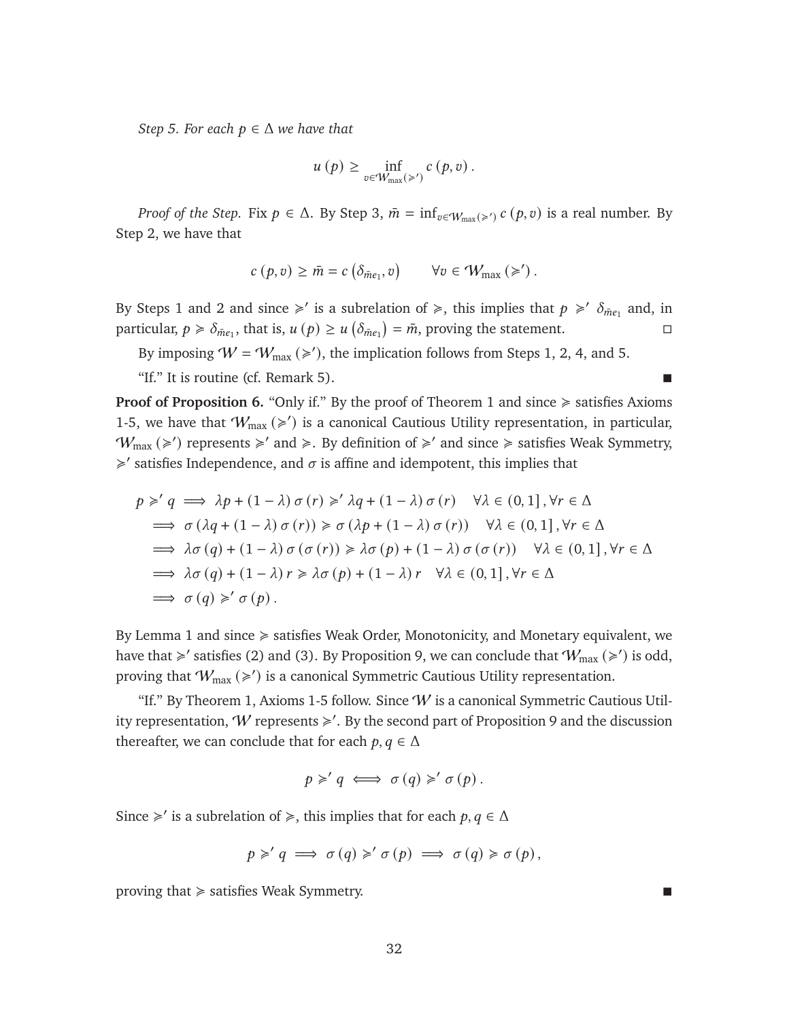*Step 5. For each*  $p \in \Delta$  *we have that* 

$$
u(p) \geq \inf_{v \in W_{\max}(\geq)} c(p, v).
$$

*Proof of the Step.* Fix  $p \in \Delta$ . By Step 3,  $\bar{m} = \inf_{v \in W_{\max}(\geqslant')} c(p, v)$  is a real number. By Step 2, we have that

$$
c(p, v) \geq \bar{m} = c\left(\delta_{\bar{m}e_1}, v\right) \qquad \forall v \in \mathcal{W}_{\max}\left(\geq v\right).
$$

By Steps 1 and 2 and since  $\geq$  is a subrelation of  $\geq$ , this implies that  $p \geq \delta_{\bar{m}e_1}$  and, in particular,  $p \ge \delta_{\bar{m}e_1}$ , that is,  $u(p) \ge u\left(\delta_{\bar{m}e_1}\right) = \bar{m}$ , proving the statement.

By imposing  $W = W_{\text{max}} (\geqslant')$ , the implication follows from Steps 1, 2, 4, and 5.

"If." It is routine (cf. Remark [5\)](#page-33-0).

**Proof of Proposition [6.](#page-24-0)** "Only if." By the proof of Theorem [1](#page-23-2) and since  $\geq$  satisfies Axioms [1-](#page-21-7)[5,](#page-22-1) we have that  $W_{\text{max}}(\geq)$  is a canonical Cautious Utility representation, in particular,  $W_{\text{max}} (\geq)$  represents  $\geq$  and  $\geq$ . By definition of  $\geq$  and since  $\geq$  satisfies Weak Symmetry,  $\geq$ ' satisfies Independence, and  $\sigma$  is affine and idempotent, this implies that

$$
p \geq q \implies \lambda p + (1 - \lambda) \sigma(r) \geq \lambda q + (1 - \lambda) \sigma(r) \quad \forall \lambda \in (0, 1], \forall r \in \Delta
$$
  
\n
$$
\implies \sigma (\lambda q + (1 - \lambda) \sigma(r)) \geq \sigma (\lambda p + (1 - \lambda) \sigma(r)) \quad \forall \lambda \in (0, 1], \forall r \in \Delta
$$
  
\n
$$
\implies \lambda \sigma(q) + (1 - \lambda) \sigma(\sigma(r)) \geq \lambda \sigma(p) + (1 - \lambda) \sigma(\sigma(r)) \quad \forall \lambda \in (0, 1], \forall r \in \Delta
$$
  
\n
$$
\implies \lambda \sigma(q) + (1 - \lambda) r \geq \lambda \sigma(p) + (1 - \lambda) r \quad \forall \lambda \in (0, 1], \forall r \in \Delta
$$
  
\n
$$
\implies \sigma(q) \geq \sigma(p).
$$

By Lemma [1](#page-25-3) and since  $\geq$  satisfies Weak Order, Monotonicity, and Monetary equivalent, we have that  $\geq$ ' satisfies [\(2\)](#page-25-1) and [\(3\)](#page-25-2). By Proposition [9,](#page-28-1) we can conclude that  $W_{\text{max}} (\geq)$  is odd, proving that  $W_{\text{max}} (\geqslant')$  is a canonical Symmetric Cautious Utility representation.

"If." By Theorem [1,](#page-23-2) Axioms [1-](#page-21-7)[5](#page-22-1) follow. Since  $W$  is a canonical Symmetric Cautious Utility representation,  $W$  represents  $\geq$ '. By the second part of Proposition [9](#page-28-1) and the discussion thereafter, we can conclude that for each  $p, q \in \Delta$ 

$$
p \geq q \iff \sigma(q) \geq \sigma(p).
$$

Since  $\geq$ ' is a subrelation of  $\geq$ , this implies that for each  $p, q \in \Delta$ 

$$
p \geqslant q \implies \sigma(q) \geqslant' \sigma(p) \implies \sigma(q) \geqslant \sigma(p),
$$

proving that  $\geq$  satisfies Weak Symmetry.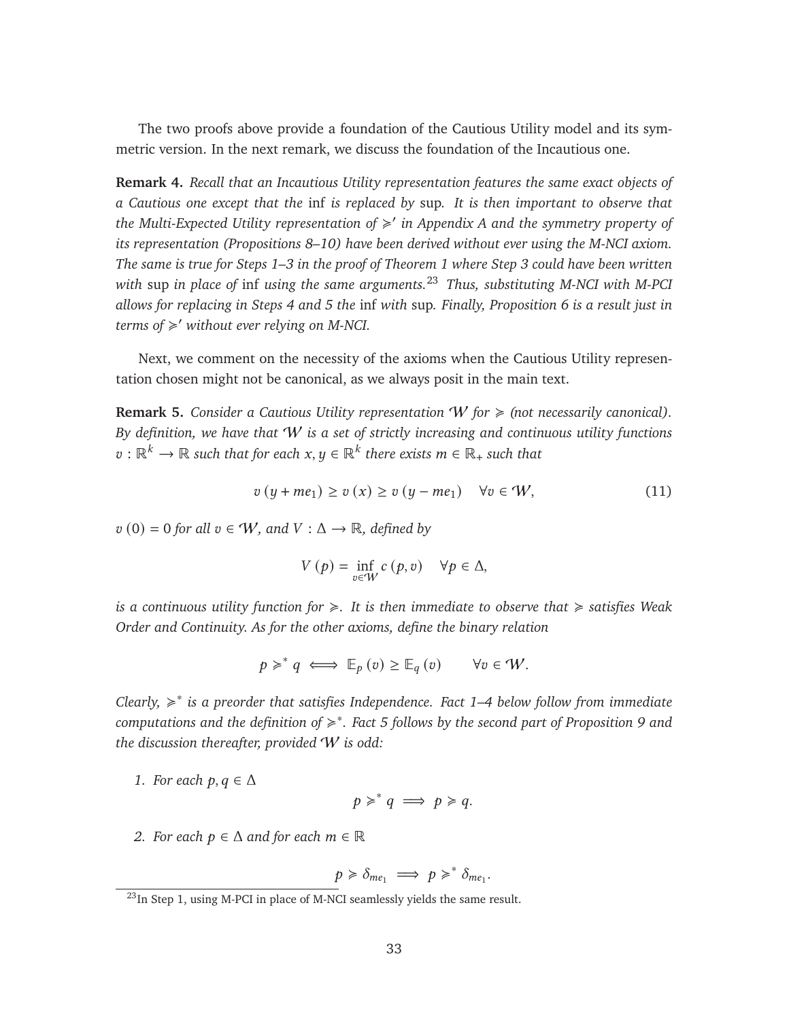The two proofs above provide a foundation of the Cautious Utility model and its symmetric version. In the next remark, we discuss the foundation of the Incautious one.

<span id="page-33-1"></span>**Remark 4.** *Recall that an Incautious Utility representation features the same exact objects of a Cautious one except that the* inf *is replaced by* sup*. It is then important to observe that the Multi-Expected Utility representation of* < 0 *in Appendix A and the symmetry property of its representation (Propositions [8–](#page-27-0)[10\)](#page-29-0) have been derived without ever using the M-NCI axiom. The same is true for Steps 1–3 in the proof of Theorem [1](#page-23-2) where Step 3 could have been written with* sup *in place of* inf *using the same arguments.*[23](#page-33-2) *Thus, substituting M-NCI with M-PCI allows for replacing in Steps 4 and 5 the* inf *with* sup*. Finally, Proposition [6](#page-24-0) is a result just in terms of* < <sup>0</sup> *without ever relying on M-NCI.*

Next, we comment on the necessity of the axioms when the Cautious Utility representation chosen might not be canonical, as we always posit in the main text.

<span id="page-33-0"></span>**Remark 5.** *Consider a Cautious Utility representation*  $W$  *for*  $\geq$  *(not necessarily canonical). By definition, we have that* W *is a set of strictly increasing and continuous utility functions*  $v:\mathbb{R}^k\rightarrow\mathbb{R}$  such that for each  $x,y\in\mathbb{R}^k$  there exists  $m\in\mathbb{R}_+$  such that

<span id="page-33-3"></span>
$$
v(y + me_1) \ge v(x) \ge v(y - me_1) \quad \forall v \in W,
$$
\n(11)

 $v(0) = 0$  *for all*  $v \in W$ *, and*  $V : \Delta \rightarrow \mathbb{R}$ *, defined by* 

$$
V(p) = \inf_{v \in W} c(p, v) \quad \forall p \in \Delta,
$$

*is a continuous utility function for*  $\geq$ . It is then immediate to observe that  $\geq$  satisfies Weak *Order and Continuity. As for the other axioms, define the binary relation*

$$
p \geq^* q \iff \mathbb{E}_p(v) \geq \mathbb{E}_q(v) \qquad \forall v \in W.
$$

*Clearly, ≽*<sup>\*</sup> is a preorder that satisfies Independence. Fact 1–4 below follow from immediate *computations and the definition of* < ∗ *. Fact 5 follows by the second part of Proposition [9](#page-28-1) and the discussion thereafter, provided* W *is odd:*

*1. For each*  $p, q \in \Delta$ 

$$
p \geqslant^* q \implies p \geqslant q.
$$

*2.* For each  $p \in \Delta$  and for each  $m \in \mathbb{R}$ 

$$
p \geq \delta_{me_1} \implies p \geq^* \delta_{me_1}.
$$

<span id="page-33-2"></span><sup>&</sup>lt;sup>23</sup>In Step 1, using M-PCI in place of M-NCI seamlessly yields the same result.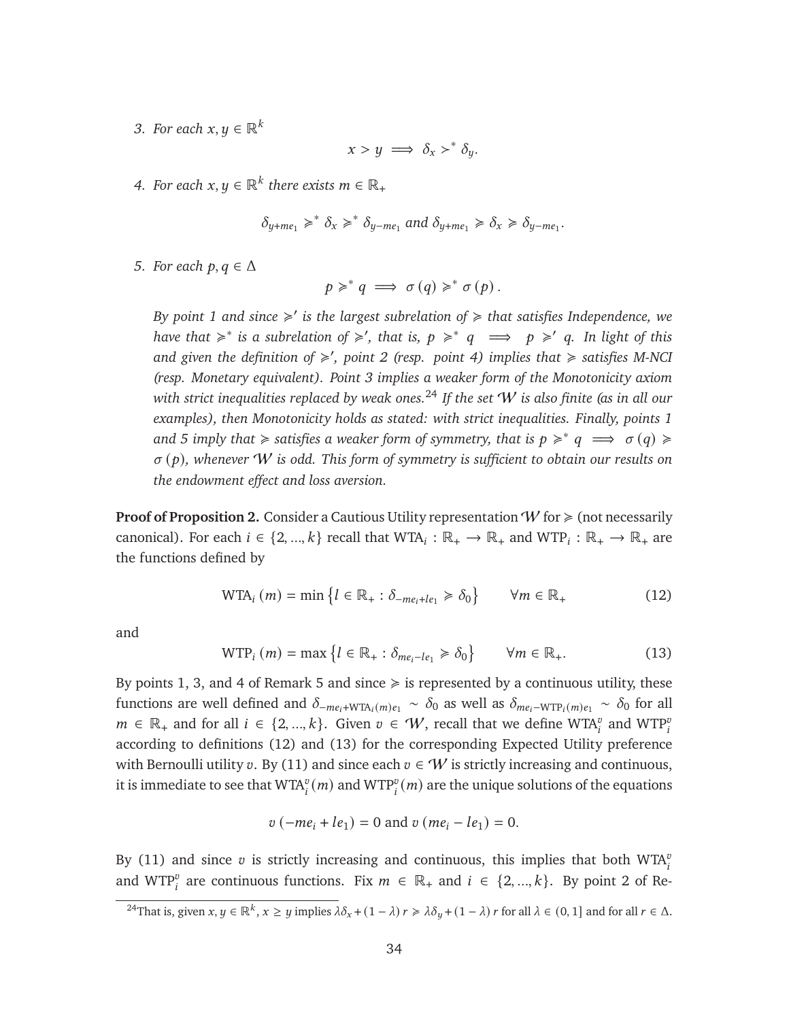*3. For each*  $x, y \in \mathbb{R}^k$ 

$$
x > y \implies \delta_x >^* \delta_y.
$$

4. For each  $x, y \in \mathbb{R}^k$  there exists  $m \in \mathbb{R}_+$ 

$$
\delta_{y+me_1} \geq^* \delta_x \geq^* \delta_{y-me_1}
$$
 and  $\delta_{y+me_1} \geq \delta_x \geq \delta_{y-me_1}$ .

*5. For each*  $p, q \in \Delta$ 

$$
p \geqslant^* q \implies \sigma(q) \geqslant^* \sigma(p).
$$

*By point 1 and since*  $\geq$  *is the largest subrelation of*  $\geq$  *that satisfies Independence, we have that*  $\geq$ <sup>\*</sup> *is a subrelation of*  $\geq$ <sup>*'</sup>, that is, p*  $\geq$ <sup>\*</sup> *q*  $\implies$  *p*  $\geq$ <sup>*'*</sup> *q*. *In light of this*</sup> *and given the definition of* < 0 *, point 2 (resp. point 4) implies that* < *satisfies M-NCI (resp. Monetary equivalent). Point 3 implies a weaker form of the Monotonicity axiom with strict inequalities replaced by weak ones.*[24](#page-34-0) *If the set* W *is also finite (as in all our examples), then Monotonicity holds as stated: with strict inequalities. Finally, points 1* and 5 imply that  $\geqslant$  satisfies a weaker form of symmetry, that is  $p \geqslant^* q \implies \sigma(q) \geqslant$  $\sigma$  $(p)$ , whenever W is odd. This form of symmetry is sufficient to obtain our results on *the endowment effect and loss aversion.*

**Proof of Proposition [2.](#page-11-0)** Consider a Cautious Utility representation  $W$  for  $\geq$  (not necessarily canonical). For each  $i \in \{2, ..., k\}$  recall that  $WTA_i : \mathbb{R}_+ \to \mathbb{R}_+$  and  $WTP_i : \mathbb{R}_+ \to \mathbb{R}_+$  are the functions defined by

<span id="page-34-1"></span>
$$
\text{WTA}_i(m) = \min \left\{ l \in \mathbb{R}_+ : \delta_{-me_i + le_1} \geq \delta_0 \right\} \qquad \forall m \in \mathbb{R}_+ \tag{12}
$$

and

<span id="page-34-2"></span>
$$
\text{WTP}_i(m) = \max \left\{ l \in \mathbb{R}_+ : \delta_{me_i - le_1} \ge \delta_0 \right\} \qquad \forall m \in \mathbb{R}_+.
$$
 (13)

By points 1, 3, and 4 of Remark [5](#page-33-0) and since  $\geq$  is represented by a continuous utility, these functions are well defined and  $\delta_{-me_i+WTA_i(m)e_1} \sim \delta_0$  as well as  $\delta_{me_i-WTP_i(m)e_1} \sim \delta_0$  for all  $m \in \mathbb{R}_+$  and for all  $i \in \{2, ..., k\}$ . Given  $v \in W$ , recall that we define WTA<sup>*v*</sup> and WTP<sup>*i*</sup> according to definitions [\(12\)](#page-34-1) and [\(13\)](#page-34-2) for the corresponding Expected Utility preference with Bernoulli utility v. By [\(11\)](#page-33-3) and since each  $v \in W$  is strictly increasing and continuous, it is immediate to see that  $\mathrm{WTA}_i^v(m)$  and  $\mathrm{WTP}_i^v(m)$  are the unique solutions of the equations

$$
v(-me_i + le_1) = 0
$$
 and  $v(me_i - le_1) = 0$ .

By [\(11\)](#page-33-3) and since  $v$  is strictly increasing and continuous, this implies that both WTA $_i^v$ and WTP<sup>*v*</sup> are continuous functions. Fix  $m \in \mathbb{R}_+$  and  $i \in \{2, ..., k\}$ . By point 2 of Re-

<span id="page-34-0"></span><sup>&</sup>lt;sup>24</sup>That is, given  $x, y \in \mathbb{R}^k$ ,  $x \geq y$  implies  $\lambda \delta_x + (1 - \lambda) r \geq \lambda \delta_y + (1 - \lambda) r$  for all  $\lambda \in (0, 1]$  and for all  $r \in \Delta$ .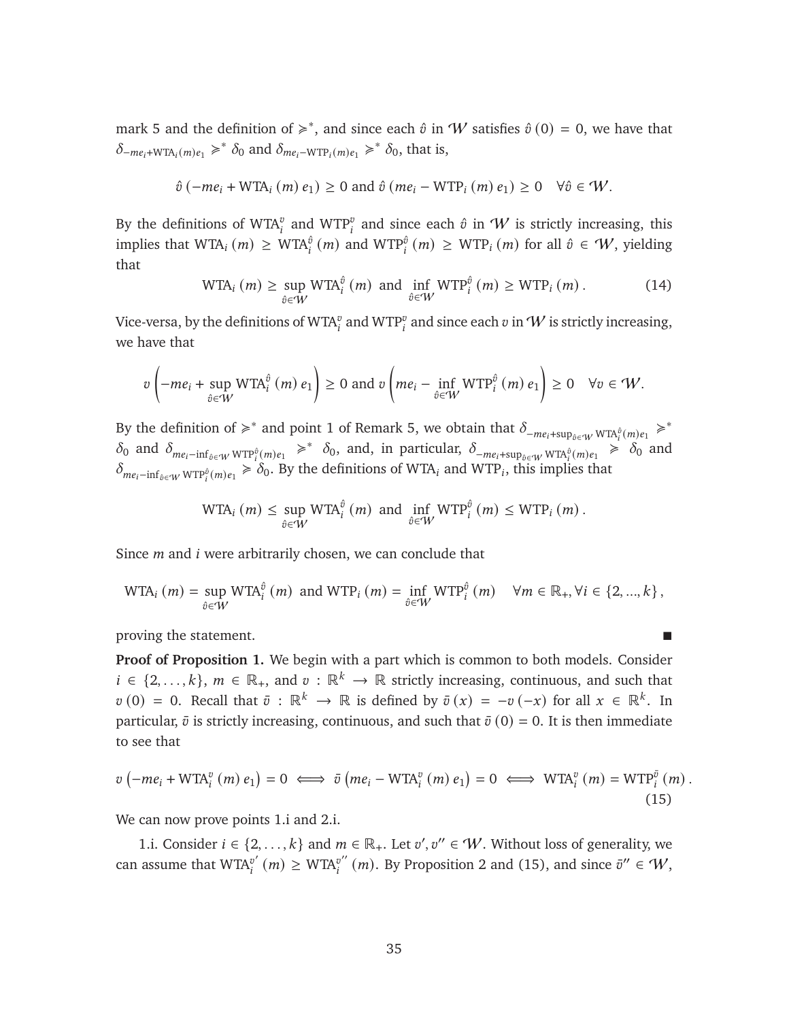mark [5](#page-33-0) and the definition of  $\geq$ <sup>\*</sup>, and since each  $\hat{v}$  in W satisfies  $\hat{v}(0) = 0$ , we have that  $\delta_{-me_i+\text{WTA}_i(m)e_1} \geq \delta_0$  and  $\delta_{me_i-\text{WTP}_i(m)e_1} \geq \delta_0$ , that is,

$$
\hat{v}(-me_i + WTA_i(m) e_1) \ge 0
$$
 and  $\hat{v}(me_i - WTP_i(m) e_1) \ge 0 \quad \forall \hat{v} \in W$ .

By the definitions of WTA<sup>*n*</sup> and WTP<sup>*n*</sup> and since each  $\hat{v}$  in  $W$  is strictly increasing, this implies that WTA<sub>i</sub>  $(m) \geq WTA_i^{\hat{\theta}}(m)$  and WTP<sub>i</sub><sup> $\hat{\theta}(m) \geq WTP_i(m)$  for all  $\hat{\theta} \in \mathcal{W}$ , yielding</sup> that

<span id="page-35-1"></span>
$$
\text{WTA}_{i}(m) \ge \sup_{\hat{v} \in \mathcal{W}} \text{WTA}_{i}^{\hat{v}}(m) \text{ and } \inf_{\hat{v} \in \mathcal{W}} \text{WTP}_{i}^{\hat{v}}(m) \ge \text{WTP}_{i}(m). \tag{14}
$$

Vice-versa, by the definitions of WTA $^v_i$  and WTP $^v_i$  and since each  $v$  in  ${\cal W}$  is strictly increasing, we have that

$$
v\left(-me_i+\sup_{\hat{v}\in W}W\mathrm{TA}_i^{\hat{v}}\left(m\right)e_1\right)\geq 0 \text{ and } v\left(me_i-\inf_{\hat{v}\in W}W\mathrm{TP}_i^{\hat{v}}\left(m\right)e_1\right)\geq 0 \quad \forall v\in W.
$$

By the definition of  $\geq$ <sup>\*</sup> and point 1 of Remark [5,](#page-33-0) we obtain that  $\delta_{-me_i+sup_{\hat{v}\in\mathcal{W}} WTA_i^{\hat{v}}(m)e_1}$   $\geq$ <sup>\*</sup>  $\delta_0$  and  $\delta_{me_i - inf_{\delta \in W} WTP_i^{\delta}(m)e_1} \geq \delta_0$ , and, in particular,  $\delta_{-me_i + sup_{\delta \in W} WTR_i^{\delta}(m)e_1} \geq \delta_0$  and  $\delta_{me_i-\inf_{\hat{v}\in W}WTP_i^{\hat{v}}(m)e_1} \geq \delta_0$ . By the definitions of WTA<sub>i</sub> and WTP<sub>i</sub>, this implies that

$$
\text{WTA}_{i}(m) \leq \sup_{\hat{v} \in W} \text{WTA}_{i}^{\hat{v}}(m) \text{ and } \inf_{\hat{v} \in W} \text{WTP}_{i}^{\hat{v}}(m) \leq \text{WTP}_{i}(m).
$$

Since  $m$  and  $i$  were arbitrarily chosen, we can conclude that

$$
\text{WTA}_{i}(m) = \sup_{\hat{v} \in W} \text{WTA}_{i}^{\hat{v}}(m) \text{ and } \text{WTP}_{i}(m) = \inf_{\hat{v} \in W} \text{WTP}_{i}^{\hat{v}}(m) \quad \forall m \in \mathbb{R}_{+}, \forall i \in \{2, ..., k\},
$$

proving the statement.

**Proof of Proposition [1.](#page-8-1)** We begin with a part which is common to both models. Consider  $i \in \{2, ..., k\}, m \in \mathbb{R}_+$ , and  $v : \mathbb{R}^k \to \mathbb{R}$  strictly increasing, continuous, and such that  $v(0) = 0$ . Recall that  $\bar{v}: \mathbb{R}^k \to \mathbb{R}$  is defined by  $\bar{v}(x) = -v(-x)$  for all  $x \in \mathbb{R}^k$ . In particular,  $\bar{v}$  is strictly increasing, continuous, and such that  $\bar{v}(0) = 0$ . It is then immediate to see that

<span id="page-35-0"></span>
$$
v(-me_i + \text{WTA}_i^v(m) e_1) = 0 \iff \bar{v}(me_i - \text{WTA}_i^v(m) e_1) = 0 \iff \text{WTA}_i^v(m) = \text{WTP}_i^{\bar{v}}(m).
$$
\n(15)

We can now prove points 1.*i* and 2.*i*.

1.i. Consider  $i \in \{2, ..., k\}$  and  $m \in \mathbb{R}_+$ . Let  $v', v'' \in W$ . Without loss of generality, we can assume that  $WTA''$  $v'_{i}(m) \geq WTA_i^{v''}$  $v''_i(m)$ . By Proposition [2](#page-11-0) and [\(15\)](#page-35-0), and since  $\bar{v}'' \in \mathcal{W}$ ,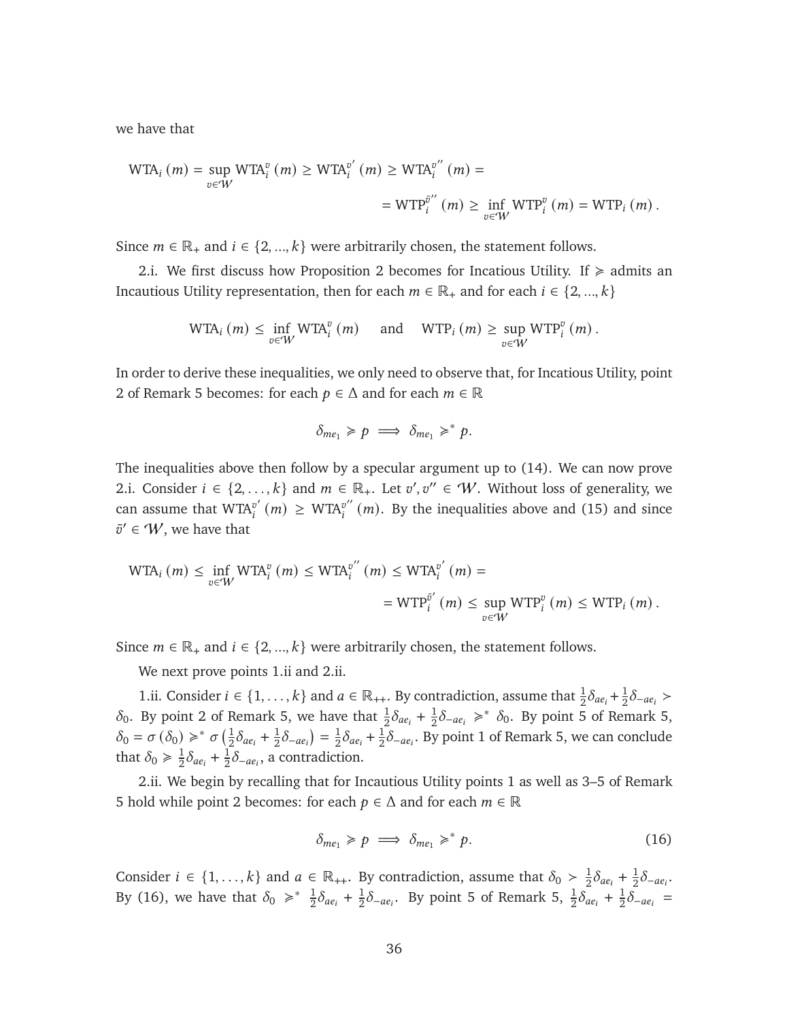we have that

$$
WTA_i(m) = \sup_{v \in W} WTA_i^v(m) \ge WTA_i^{v'}(m) \ge WTA_i^{v''}(m) =
$$
  
= 
$$
WTP_i^{v''}(m) \ge \inf_{v \in W} WTP_i^v(m) = WTP_i(m).
$$

Since  $m \in \mathbb{R}_+$  and  $i \in \{2, ..., k\}$  were arbitrarily chosen, the statement follows.

2.i. We first discuss how Proposition [2](#page-11-0) becomes for Incatious Utility. If  $\geq$  admits an Incautious Utility representation, then for each  $m \in \mathbb{R}_+$  and for each  $i \in \{2, ..., k\}$ 

$$
\text{WTA}_{i}(m) \leq \inf_{v \in W} \text{WTA}_{i}^{v}(m) \quad \text{and} \quad \text{WTP}_{i}(m) \geq \sup_{v \in W} \text{WTP}_{i}^{v}(m).
$$

In order to derive these inequalities, we only need to observe that, for Incatious Utility, point 2 of Remark [5](#page-33-0) becomes: for each  $p \in \Delta$  and for each  $m \in \mathbb{R}$ 

$$
\delta_{me_1} \geq p \implies \delta_{me_1} \geq^* p.
$$

The inequalities above then follow by a specular argument up to [\(14\)](#page-35-1). We can now prove 2.i. Consider  $i \in \{2, ..., k\}$  and  $m \in \mathbb{R}_+$ . Let  $v', v'' \in W$ . Without loss of generality, we can assume that  $WTA''$ .  $\binom{v'}{i}$  (*m*)  $\geq$  WTA<sup> $v''$ </sup>  $v''_i(m)$ . By the inequalities above and [\(15\)](#page-35-0) and since  $\bar{v}' \in \mathcal{W}$ , we have that

$$
\text{WTA}_{i}(m) \le \inf_{v \in W} \text{WTA}_{i}^{v}(m) \le \text{WTA}_{i}^{v''}(m) \le \text{WTA}_{i}^{v'}(m) =
$$
  
=  $\text{WTP}_{i}^{\bar{v}'}(m) \le \sup_{v \in W} \text{WTP}_{i}^{v}(m) \le \text{WTP}_{i}(m).$ 

Since  $m \in \mathbb{R}_+$  and  $i \in \{2, ..., k\}$  were arbitrarily chosen, the statement follows.

We next prove points 1.ii and 2.ii.

1.ii. Consider  $i \in \{1, ..., k\}$  and  $a \in \mathbb{R}_{++}$ . By contradiction, assume that  $\frac{1}{2}\delta_{ae_i} + \frac{1}{2}\delta_{ae_i}$  $\frac{1}{2}\delta_{-ae_i}$  >  $\delta_0$ . By point 2 of Remark [5,](#page-33-0) we have that  $\frac{1}{2}\delta_{ae_i} + \frac{1}{2}$  $\frac{1}{2} \delta_{-ae_i}$  ≽\*  $\delta_0$ . By point 5 of Remark [5,](#page-33-0)  $\delta_0 = \sigma(\delta_0) \geqslant^* \sigma(\frac{1}{2})$  $\frac{1}{2}\delta_{ae_i} + \frac{1}{2}$  $\frac{1}{2}\delta_{-ae_i}$  $=\frac{1}{2}$  $\frac{1}{2}\delta_{ae_i} + \frac{1}{2}$  $\frac{1}{2}\delta_{-ae_i}$ . By point 1 of Remark [5,](#page-33-0) we can conclude that  $\delta_0 \geq \frac{1}{2}$  $\frac{1}{2}\delta_{ae_i} + \frac{1}{2}$  $\frac{1}{2} \delta_{-ae_i}$ , a contradiction.

2.ii. We begin by recalling that for Incautious Utility points 1 as well as 3–5 of Remark [5](#page-33-0) hold while point 2 becomes: for each  $p \in \Delta$  and for each  $m \in \mathbb{R}$ 

<span id="page-36-0"></span>
$$
\delta_{me_1} \geqslant p \implies \delta_{me_1} \geqslant^* p. \tag{16}
$$

Consider  $i \in \{1, ..., k\}$  and  $a \in \mathbb{R}_{++}$ . By contradiction, assume that  $\delta_0 > \frac{1}{2}$  $\frac{1}{2}\delta_{ae_i} + \frac{1}{2}$  $\frac{1}{2}\delta_{-ae_i}$ . By [\(16\)](#page-36-0), we have that  $\delta_0 \geqslant^* \frac{1}{2} \delta_{ae_i} + \frac{1}{2}$  $\frac{1}{2}\delta_{-ae_i}$ . By point 5 of Remark [5,](#page-33-0)  $\frac{1}{2}\delta_{ae_i} + \frac{1}{2}$  $\frac{1}{2}\overline{\delta}_{-ae_i}$  =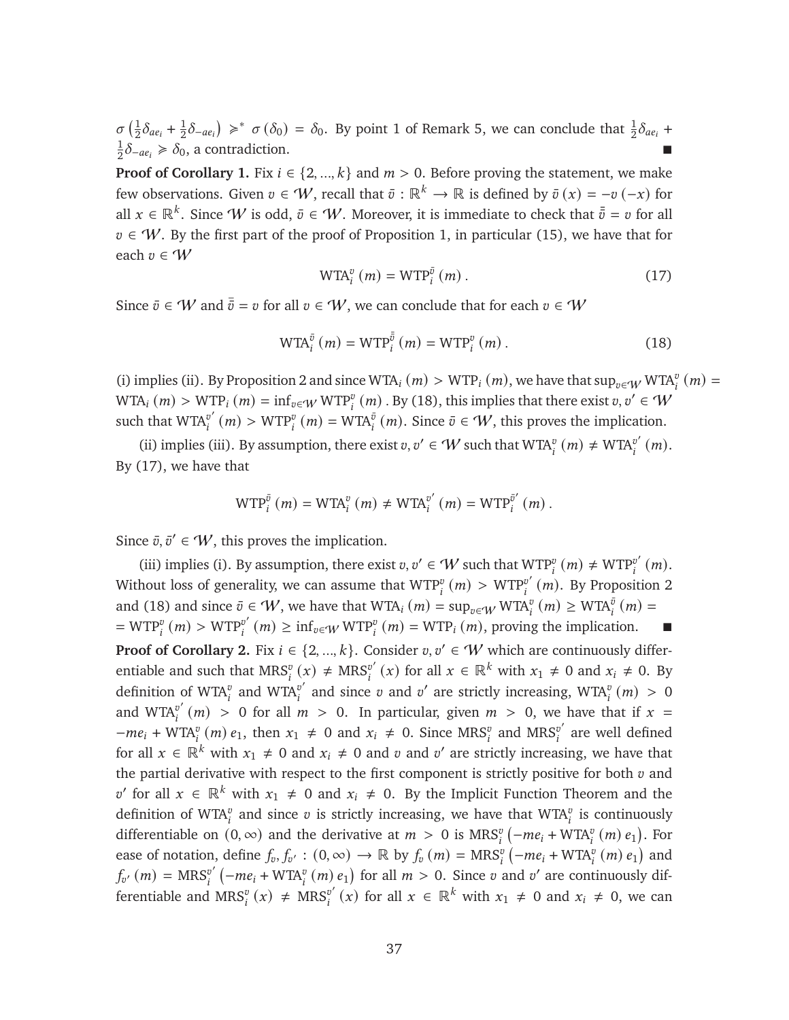$\sigma\left(\frac{1}{2}\right)$  $\frac{1}{2}\delta_{ae_i} + \frac{1}{2}$  $\frac{1}{2}\delta_{-ae_i}$ )  $\geq$ \*  $\sigma(\delta_0) = \delta_0$ . By point 1 of Remark [5,](#page-33-0) we can conclude that  $\frac{1}{2}\delta_{ae_i}$  + 1  $\frac{1}{2}\delta_{-ae_i} \ge \delta_0$ , a contradiction.

**Proof of Corollary [1.](#page-11-2)** Fix  $i \in \{2, ..., k\}$  and  $m > 0$ . Before proving the statement, we make few observations. Given  $v \in W$ , recall that  $\bar{v}: \mathbb{R}^k \to \mathbb{R}$  is defined by  $\bar{v}(x) = -v(-x)$  for all  $x\in\mathbb{R}^k$ . Since  $W$  is odd,  $\bar{v}\in W$ . Moreover, it is immediate to check that  $\bar{\bar{v}}=v$  for all  $v \in W$ . By the first part of the proof of Proposition [1,](#page-8-1) in particular [\(15\)](#page-35-0), we have that for each  $v \in W$ 

<span id="page-37-1"></span>
$$
WTA_i^v(m) = WTP_i^{\bar{v}}(m).
$$
 (17)

Since  $\bar{v} \in W$  and  $\bar{\bar{v}} = v$  for all  $v \in W$ , we can conclude that for each  $v \in W$ 

<span id="page-37-0"></span>
$$
WTA_i^{\bar{v}}(m) = WTP_i^{\bar{\bar{v}}}(m) = WTP_i^v(m).
$$
 (18)

(i) implies (ii). By Proposition [2](#page-11-0) and since WTA<sub>i</sub> (*m*) > WTP<sub>i</sub> (*m*), we have that  $\sup_{v \in W} WTA_i^v$  (*m*) = WTA<sub>i</sub>  $(m)$  > WTP<sub>i</sub>  $(m)$  = inf<sub>v∈W</sub> WTP<sup>*v*</sup><sub>i</sub>  $(m)$ . By [\(18\)](#page-37-0), this implies that there exist *v*, *v'* ∈ 'W' such that  $WTA^{v'}$  $\sigma_i^{v'}(m)$  > WTP<sup>*v*</sup>  $(m)$  = WTA<sup> $\bar{v}$ </sup>  $(m)$ . Since  $\bar{v} \in W$ , this proves the implication.

(ii) implies (iii). By assumption, there exist  $v, v' \in W$  such that  $WTA_i^v(m) \neq WTA_i^{v'}$  $_{i}^{v'}(m).$ By [\(17\)](#page-37-1), we have that

$$
\text{WTP}_i^{\bar{v}}(m) = \text{WTA}_i^v(m) \neq \text{WTA}_i^{v'}(m) = \text{WTP}_i^{\bar{v}'}(m).
$$

Since  $\bar{v}, \bar{v}' \in \mathcal{W}$ , this proves the implication.

(iii) implies (i). By assumption, there exist  $v, v' \in W$  such that  $WTP_i^v(m) \neq WTP_i^{v'}$  $_{i}^{v'}(m).$ Without loss of generality, we can assume that  $\operatorname{WTP}_i^v\left(m\right) > \operatorname{WTP}_i^{v'}$  $_{i}^{\mathit{v}'}$  (*m*). By Proposition [2](#page-11-0) and [\(18\)](#page-37-0) and since  $\bar{v} \in W$ , we have that  $WTA_i(m) = \sup_{v \in W} WTA_i^{\bar{v}}(m) \geq WTA_i^{\bar{v}}(m)$  $=$  WTP<sup> $v$ </sup><sub>i</sub> $(m)$  > WTP<sup> $v'$ </sup><sub>i</sub>  $\int_{i}^{v'}(m) \ge \inf_{v \in W} WTP_i^v(m) = WTP_i(m)$ , proving the implication. ■

**Proof of Corollary [2.](#page-12-1)** Fix  $i \in \{2, ..., k\}$ . Consider  $v, v' \in W$  which are continuously differentiable and such that  $MRS_i^v(x) \neq MRS_i^{v'}$  $v'_{i}(x)$  for all  $x \in \mathbb{R}^{k}$  with  $x_{1} \neq 0$  and  $x_{i} \neq 0$ . By definition of WTA $_i^v$  and WTA $_i^{v'}$  $v'$  and since  $v$  and  $v'$  are strictly increasing, WTA $v''$   $(m) > 0$ and  $WTA''$  $v'_{i}(m) > 0$  for all  $m > 0$ . In particular, given  $m > 0$ , we have that if  $x =$  $-m e_i + W T A_i^v$  (*m*)  $e_1$ , then  $x_1 \neq 0$  and  $x_i \neq 0$ . Since MRS<sup>*v*</sup><sub>i</sub> and MRS<sup>*v*</sup><sub>i</sub>  $i$ <sup>v'</sup> are well defined for all  $x \in \mathbb{R}^k$  with  $x_1 \neq 0$  and  $x_i \neq 0$  and  $v$  and  $v'$  are strictly increasing, we have that the partial derivative with respect to the first component is strictly positive for both  $v$  and v' for all  $x \in \mathbb{R}^k$  with  $x_1 \neq 0$  and  $x_i \neq 0$ . By the Implicit Function Theorem and the definition of WTA<sup>*v*</sup> and since *v* is strictly increasing, we have that WTA<sup>*v*</sup> is continuously differentiable on  $(0, \infty)$  and the derivative at  $m > 0$  is  $MRS_i^v$   $\left(-me_i + WTA_i^v(m) e_1\right)$ . For ease of notation, define  $f_v, f_{v'} : (0, \infty) \to \mathbb{R}$  by  $f_v(m) = \text{MRS}_i^v(-me_i + \text{WTA}_i^v(m) e_1)$  and  $f_{v'}(m) = \text{MRS}_{i}^{v'}$  $v'$  ( $-me_i + WTA_i^v(m) e_1$ ) for all  $m > 0$ . Since v and v' are continuously differentiable and  $MRS_i^v(x) \neq MRS_i^{v'}$  $v'_{i}(x)$  for all  $x \in \mathbb{R}^{k}$  with  $x_{1} \neq 0$  and  $x_{i} \neq 0$ , we can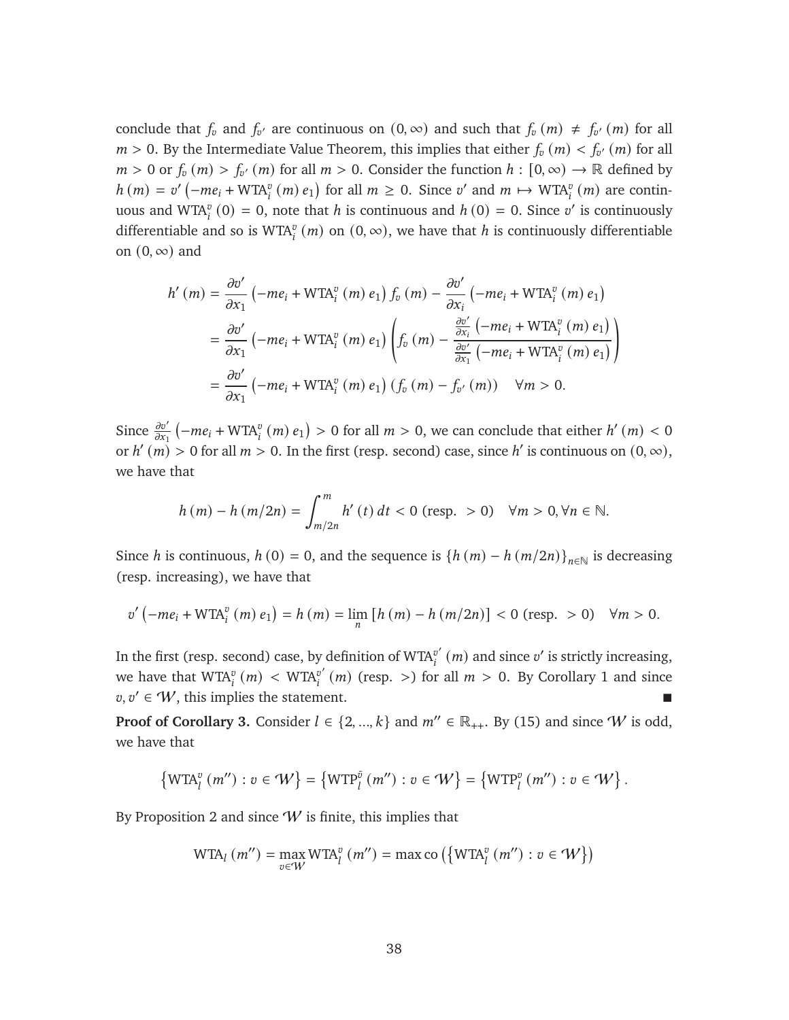conclude that  $f_v$  and  $f_{v'}$  are continuous on  $(0, \infty)$  and such that  $f_v(m) \neq f_{v'}(m)$  for all  $m > 0$ . By the Intermediate Value Theorem, this implies that either  $f_v(m) < f_{v'}(m)$  for all  $m > 0$  or  $f_v(m) > f_{v'}(m)$  for all  $m > 0$ . Consider the function  $h : [0, \infty) \to \mathbb{R}$  defined by  $h(m) = v'(-me_i + WTA_i^v(m) e_1)$  for all  $m \ge 0$ . Since v' and  $m \mapsto WTA_i^v(m)$  are continuous and  $WTA_i^v(0) = 0$ , note that h is continuous and  $h(0) = 0$ . Since v' is continuously differentiable and so is WTA<sup>*v*</sup> (*m*) on (0,  $\infty$ ), we have that *h* is continuously differentiable on  $(0, \infty)$  and

$$
h'(m) = \frac{\partial v'}{\partial x_1} \left( -me_i + \text{WTA}_i^v(m) e_1 \right) f_v(m) - \frac{\partial v'}{\partial x_i} \left( -me_i + \text{WTA}_i^v(m) e_1 \right)
$$
  
=  $\frac{\partial v'}{\partial x_1} \left( -me_i + \text{WTA}_i^v(m) e_1 \right) \left( f_v(m) - \frac{\frac{\partial v'}{\partial x_i} \left( -me_i + \text{WTA}_i^v(m) e_1 \right)}{\frac{\partial v'}{\partial x_1} \left( -me_i + \text{WTA}_i^v(m) e_1 \right)} \right)$   
=  $\frac{\partial v'}{\partial x_1} \left( -me_i + \text{WTA}_i^v(m) e_1 \right) \left( f_v(m) - f_{v'}(m) \right) \quad \forall m > 0.$ 

Since  $\frac{\partial v'}{\partial x_1}$   $\left(-me_i + WTA_i^v(m) e_1\right) > 0$  for all  $m > 0$ , we can conclude that either  $h'(m) < 0$ or  $h'(m) > 0$  for all  $m > 0$ . In the first (resp. second) case, since h' is continuous on  $(0, \infty)$ , we have that

$$
h (m) - h (m/2n) = \int_{m/2n}^{m} h' (t) dt < 0 \text{ (resp. } > 0) \quad \forall m > 0, \forall n \in \mathbb{N}.
$$

Since *h* is continuous,  $h(0) = 0$ , and the sequence is  $\{h(m) - h(m/2n)\}_{n \in \mathbb{N}}$  is decreasing (resp. increasing), we have that

$$
v'(-me_i + WTA_i^v(m) e_1) = h(m) = \lim_n [h(m) - h(m/2n)] < 0 \text{ (resp. } > 0) \quad \forall m > 0.
$$

In the first (resp. second) case, by definition of WTA $^{v'}$  $v'_{i}$   $\left(m\right)$  and since  $v'$  is strictly increasing, we have that  $\text{WTA}_i^v \left( m \right) \, < \, \text{WTA}_i^{v'}$  $v'_{i}(m)$  (resp. >) for all  $m > 0$ . By Corollary [1](#page-11-2) and since  $v, v' \in W$ , this implies the statement.

**Proof of Corollary [3.](#page-12-2)** Consider  $l \in \{2, ..., k\}$  and  $m'' \in \mathbb{R}_{++}$ . By [\(15\)](#page-35-0) and since W is odd, we have that

$$
\left\{\text{WTA}^v_l(m'') : v \in \mathcal{W}\right\} = \left\{\text{WTP}^{\overline{v}}_l(m'') : v \in \mathcal{W}\right\} = \left\{\text{WTP}^v_l(m'') : v \in \mathcal{W}\right\}.
$$

By Proposition [2](#page-11-0) and since  $W$  is finite, this implies that

$$
\text{WTA}_l(m'') = \max_{v \in W} \text{WTA}_l^v(m'') = \max \text{co}\left(\left\{\text{WTA}_l^v(m'') : v \in W\right\}\right)
$$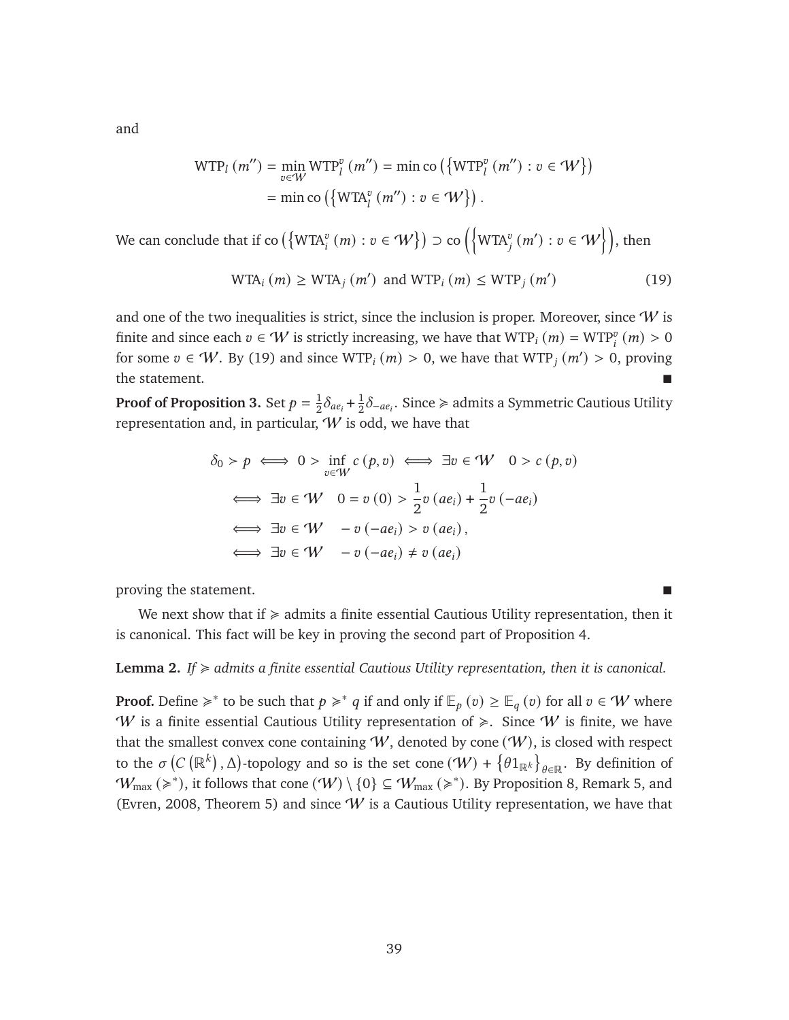and

$$
WTP_l(m'') = \min_{v \in W} WTP_l^v(m'') = \min \text{co}\left(\{WTP_l^v(m'') : v \in W\}\right)
$$

$$
= \min \text{co}\left(\{WTR_l^v(m'') : v \in W\}\right).
$$

We can conclude that if co  $(\{\text{WTA}_i^v\,(\textit{m}): v\in\textit{W}\})$   $\supset$  co  $\left(\left\{\text{WTA}_j^v\,(\textit{m}');\, v\in\textit{W}\right\}\right)$ , then

<span id="page-39-0"></span>
$$
WTA_i(m) \geq WTA_j(m') \text{ and } WTP_i(m) \leq WTP_j(m')
$$
 (19)

and one of the two inequalities is strict, since the inclusion is proper. Moreover, since  $W$  is finite and since each  $v \in W$  is strictly increasing, we have that  $\text{WTP}_i(m) = \text{WTP}_i^v(m) > 0$ for some  $v \in W$ . By [\(19\)](#page-39-0) and since  $WTP_i(m) > 0$ , we have that  $WTP_i(m') > 0$ , proving the statement.

**Proof of Proposition [3.](#page-12-0)** Set  $p = \frac{1}{2}$  $\frac{1}{2}\delta_{ae_i} + \frac{1}{2}$  $\frac{1}{2} \delta_{-a e_i}$ . Since ≽ admits a Symmetric Cautious Utility representation and, in particular,  $W$  is odd, we have that

$$
\delta_0 > p \iff 0 > \inf_{v \in W} c(p, v) \iff \exists v \in W \quad 0 > c(p, v)
$$
  

$$
\iff \exists v \in W \quad 0 = v(0) > \frac{1}{2}v(ae_i) + \frac{1}{2}v(-ae_i)
$$
  

$$
\iff \exists v \in W \quad -v(-ae_i) > v(ae_i),
$$
  

$$
\iff \exists v \in W \quad -v(-ae_i) \neq v(ae_i)
$$

proving the statement.

We next show that if  $\geq$  admits a finite essential Cautious Utility representation, then it is canonical. This fact will be key in proving the second part of Proposition [4.](#page-15-1)

#### <span id="page-39-1"></span>**Lemma 2.** *If*  $\geq$  *admits a finite essential Cautious Utility representation, then it is canonical.*

**Proof.** Define  $\geq$ <sup>\*</sup> to be such that  $p \geq$ <sup>\*</sup> q if and only if  $\mathbb{E}_p(v) \geq \mathbb{E}_q(v)$  for all  $v \in W$  where W is a finite essential Cautious Utility representation of  $\geq$ . Since W is finite, we have that the smallest convex cone containing  $W$ , denoted by cone  $(W)$ , is closed with respect to the  $\sigma(C(\mathbb{R}^k), \Delta)$ -topology and so is the set cone  $(\mathcal{W}) + \{ \theta 1_{\mathbb{R}^k} \}_{\theta \in \mathbb{R}}$ . By definition of  $W_{\text{max}} \approx$ ), it follows that cone  $(W) \setminus \{0\} \subseteq W_{\text{max}} \approx$ ). By Proposition [8,](#page-27-0) Remark [5,](#page-33-0) and [\(Evren, 2008,](#page-45-15) Theorem 5) and since  $W$  is a Cautious Utility representation, we have that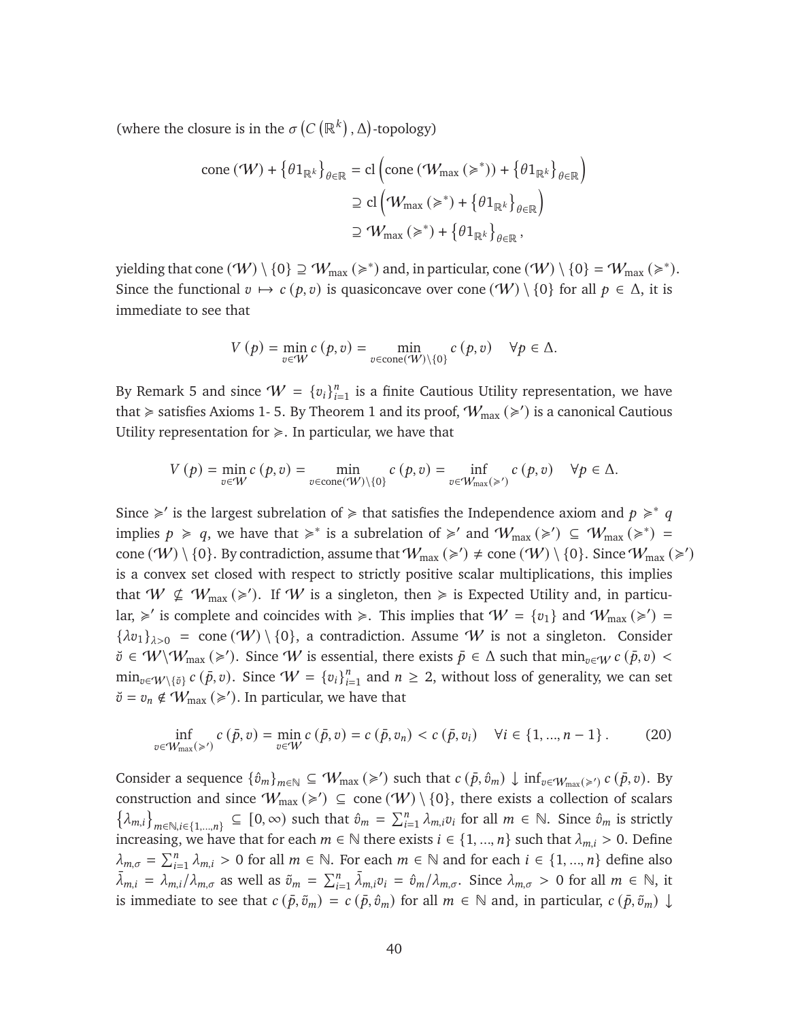(where the closure is in the  $\sigma(C(\mathbb{R}^k), \Delta)$ -topology)

$$
\text{cone}(\mathcal{W}) + \left\{\theta \mathbf{1}_{\mathbb{R}^k}\right\}_{\theta \in \mathbb{R}} = \text{cl}\left(\text{cone}(\mathcal{W}_{\text{max}}\left(\geq^*\right)) + \left\{\theta \mathbf{1}_{\mathbb{R}^k}\right\}_{\theta \in \mathbb{R}}\right)
$$

$$
\supseteq \text{cl}\left(\mathcal{W}_{\text{max}}\left(\geq^*\right) + \left\{\theta \mathbf{1}_{\mathbb{R}^k}\right\}_{\theta \in \mathbb{R}}\right)
$$

$$
\supseteq \mathcal{W}_{\text{max}}\left(\geq^*\right) + \left\{\theta \mathbf{1}_{\mathbb{R}^k}\right\}_{\theta \in \mathbb{R}},
$$

yielding that cone  $(W) \setminus \{0\} \supseteq W_{\text{max}} (\geqslant^*)$  and, in particular, cone  $(W) \setminus \{0\} = W_{\text{max}} (\geqslant^*)$ . Since the functional  $v \mapsto c(p, v)$  is quasiconcave over cone  $(\mathcal{W}) \setminus \{0\}$  for all  $p \in \Delta$ , it is immediate to see that

$$
V(p) = \min_{v \in W} c(p, v) = \min_{v \in \text{cone}(W) \setminus \{0\}} c(p, v) \quad \forall p \in \Delta.
$$

By Remark [5](#page-33-0) and since  $W = \{v_i\}_{i=1}^n$  $_{i=1}^{n}$  is a finite Cautious Utility representation, we have that  $\ge$  satisfies Axioms [1-](#page-21-7)5. By Theorem [1](#page-23-2) and its proof,  $W_{\text{max}} (\ge')$  is a canonical Cautious Utility representation for  $\geq$ . In particular, we have that

$$
V(p) = \min_{v \in W} c(p, v) = \min_{v \in \text{cone}(W) \setminus \{0\}} c(p, v) = \inf_{v \in W_{\text{max}}(\ge')} c(p, v) \quad \forall p \in \Delta.
$$

Since  $\geq$  is the largest subrelation of  $\geq$  that satisfies the Independence axiom and  $p \geq a$ implies  $p \ge q$ , we have that  $\ge^*$  is a subrelation of  $\ge'$  and  $W_{\text{max}}(\ge') \subseteq W_{\text{max}}(\ge^*) =$ cone  $(W) \setminus \{0\}$ . By contradiction, assume that  $W_{\text{max}} (\geq) \neq \text{cone } (W) \setminus \{0\}$ . Since  $W_{\text{max}} (\geq)$ is a convex set closed with respect to strictly positive scalar multiplications, this implies that  $W \nsubseteq W_{\text{max}} (\geq)$ . If W is a singleton, then  $\geq$  is Expected Utility and, in particular,  $\geq$  is complete and coincides with  $\geq$ . This implies that  $W = \{v_1\}$  and  $W_{\text{max}}(\geq)$  ${\lambda v_1}_{\lambda>0}$  = cone  $(W) \setminus \{0\}$ , a contradiction. Assume W is not a singleton. Consider  $\breve{\vartheta} \in \mathcal{W} \setminus \mathcal{W}_{\max} (\geqslant')$ . Since  $\mathcal{W}$  is essential, there exists  $\bar{p} \in \Delta$  such that  $\min_{v \in \mathcal{W}} c(\bar{p}, v)$  $\min_{v \in \mathcal{W} \setminus \{\check{v}\}} c(\bar{p}, v)$ . Since  $\mathcal{W} = \{v_i\}_{i=1}^n$  $_{i=1}^{n}$  and  $n \geq 2$ , without loss of generality, we can set  $\breve{\upsilon} = \upsilon_n \notin \mathcal{W}_{\text{max}} \left( \geq \varepsilon' \right)$ . In particular, we have that

<span id="page-40-0"></span>
$$
\inf_{v \in W_{\max}(\geq)} c(\bar{p}, v) = \min_{v \in W} c(\bar{p}, v) = c(\bar{p}, v_n) < c(\bar{p}, v_i) \quad \forall i \in \{1, ..., n-1\} \,. \tag{20}
$$

Consider a sequence  $\{\hat{v}_m\}_{m\in\mathbb{N}} \subseteq \mathcal{W}_{\max} (\ge)$  such that  $c(\bar{p}, \hat{v}_m) \downarrow \inf_{v \in \mathcal{W}_{\max} (\ge')} c(\bar{p}, v)$ . By construction and since  $W_{\text{max}} (\geq) \subseteq \text{cone}(W) \setminus \{0\}$ , there exists a collection of scalars  $\{\lambda_{m,i}\}_{m\in\mathbb{N},i\in\{1,\ldots,n\}}\subseteq [0,\infty)$  such that  $\hat{v}_m = \sum_{i=1}^n \lambda_{m,i}v_i$  for all  $m \in \mathbb{N}$ . Since  $\hat{v}_m$  is strictly increasing, we have that for each  $m \in \mathbb{N}$  there exists  $i \in \{1, ..., n\}$  such that  $\lambda_{m,i} > 0$ . Define  $\lambda_{m,\sigma} = \sum_{i=1}^{n} \lambda_{m,i} > 0$  for all  $m \in \mathbb{N}$ . For each  $m \in \mathbb{N}$  and for each  $i \in \{1, ..., n\}$  define also  $\bar{\lambda}_{m,i} = \bar{\lambda}_{m,i}/\bar{\lambda}_{m,\sigma}$  as well as  $\tilde{v}_m = \sum_{i=1}^n \bar{\lambda}_{m,i} v_i = \hat{v}_m / \lambda_{m,\sigma}$ . Since  $\lambda_{m,\sigma} > 0$  for all  $m \in \mathbb{N}$ , it is immediate to see that  $c(\bar{p}, \tilde{v}_m) = c(\bar{p}, \hat{v}_m)$  for all  $m \in \mathbb{N}$  and, in particular,  $c(\bar{p}, \tilde{v}_m) \downarrow$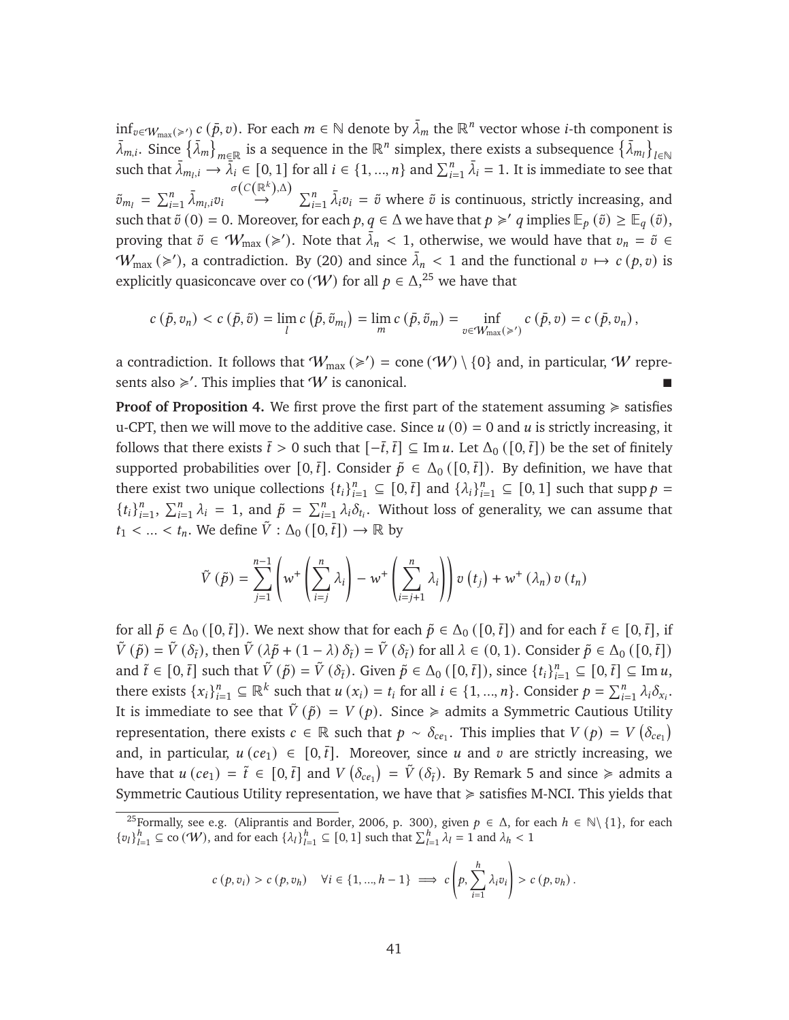inf<sub>v∈Wmax(≥')</sub>  $c$  ( $\bar{p}$ , $v$ ). For each  $m \in \mathbb{N}$  denote by  $\bar{\lambda}_m$  the  $\mathbb{R}^n$  vector whose *i*-th component is  $\bar{\lambda}_{m,i}$ . Since  $\{\bar{\lambda}_m\}_{m\in\mathbb{R}}$  is a sequence in the  $\mathbb{R}^n$  simplex, there exists a subsequence  $\{\bar{\lambda}_{m_i}\}_{i\in\mathbb{N}}$ such that  $\bar{\lambda}_{m_i,i} \to \bar{\lambda}_i \in [0,1]$  for all  $i \in \{1,...,n\}$  and  $\sum_{i=1}^n \bar{\lambda}_i = 1$ . It is immediate to see that  $\tilde{v}_{m_l} = \sum_{i=1}^n \bar{\lambda}_{m_l,i} v_i \stackrel{\sigma(C(\mathbb{R}^k), \Delta)}{\rightarrow}$  $\stackrel{\mathbb{R}^n}{\rightarrow} \sum_{i=1}^n \bar{\lambda}_i v_i = \tilde{v}$  where  $\tilde{v}$  is continuous, strictly increasing, and such that  $\tilde{v}(0) = 0$ . Moreover, for each  $p, q \in \Delta$  we have that  $p \geq q$  implies  $\mathbb{E}_p(\tilde{v}) \geq \mathbb{E}_q(\tilde{v})$ , proving that  $\tilde{v} \in W_{\text{max}} (\geq)$ . Note that  $\overline{\lambda}_n < 1$ , otherwise, we would have that  $v_n = \tilde{v} \in$  $W_{\text{max}} (\geq)$ , a contradiction. By [\(20\)](#page-40-0) and since  $\bar{\lambda}_n < 1$  and the functional  $v \mapsto c(p, v)$  is explicitly quasiconcave over co  $(W)$  for all  $p \in \Delta$ ,<sup>[25](#page-41-0)</sup> we have that

$$
c(\bar{p},v_n) < c(\bar{p},\tilde{v}) = \lim_{l} c(\bar{p},\tilde{v}_{m_l}) = \lim_{m} c(\bar{p},\tilde{v}_m) = \inf_{v \in W_{\max}(\geq)} c(\bar{p},v) = c(\bar{p},v_n),
$$

a contradiction. It follows that  $W_{\text{max}} (\geq 1) = \text{cone}(W) \setminus \{0\}$  and, in particular, W represents also  $\geq$ '. This implies that W is canonical.

**Proof of Proposition [4.](#page-15-1)** We first prove the first part of the statement assuming  $\geq$  satisfies u-CPT, then we will move to the additive case. Since  $u(0) = 0$  and  $u$  is strictly increasing, it follows that there exists  $\bar{t} > 0$  such that  $[-\bar{t}, \bar{t}] \subseteq \text{Im } u$ . Let  $\Delta_0([0, \bar{t}])$  be the set of finitely supported probabilities over [0, $\bar{t}$ ]. Consider  $\tilde{p} \in \Delta_0$  ([0, $\bar{t}$ ]). By definition, we have that there exist two unique collections  $\{t_i\}_{i=1}^n \subseteq [0, \overline{t}]$  and  $\{\lambda_i\}_{i=1}^n \subseteq [0, 1]$  such that supp  $p =$  ${t_i}_i^n$  $\sum_{i=1}^{n}$ ,  $\sum_{i=1}^{n} \lambda_i = 1$ , and  $\tilde{p} = \sum_{i=1}^{n} \lambda_i \delta_{t_i}$ . Without loss of generality, we can assume that  $t_1 < ... < t_n$ . We define  $\tilde{V} : \Delta_0([0, \bar{t}]) \to \mathbb{R}$  by

$$
\tilde{V}(\tilde{p}) = \sum_{j=1}^{n-1} \left( w^+ \left( \sum_{i=j}^n \lambda_i \right) - w^+ \left( \sum_{i=j+1}^n \lambda_i \right) \right) v(t_j) + w^+ (\lambda_n) v(t_n)
$$

for all  $\tilde{p} \in \Delta_0([0,\bar{t}])$ . We next show that for each  $\tilde{p} \in \Delta_0([0,\bar{t}])$  and for each  $\tilde{t} \in [0,\bar{t}],$  if  $\tilde{V}(\tilde{p}) = \tilde{V}(\delta_{\tilde{t}})$ , then  $\tilde{V}(\lambda \tilde{p} + (1 - \lambda) \delta_{\tilde{t}}) = \tilde{V}(\delta_{\tilde{t}})$  for all  $\lambda \in (0, 1)$ . Consider  $\tilde{p} \in \Delta_0([0, \tilde{t}])$ and  $\tilde{t} \in [0, \bar{t}]$  such that  $\tilde{V}(\tilde{p}) = \tilde{V}(\delta_{\tilde{t}})$ . Given  $\tilde{p} \in \Delta_0([0, \bar{t}])$ , since  $\{t_i\}_{i=1}^n \subseteq [0, \bar{t}] \subseteq \text{Im } u$ , there exists  $\{x_i\}_{i=1}^n \subseteq \mathbb{R}^k$  such that  $u(x_i) = t_i$  for all  $i \in \{1, ..., n\}$ . Consider  $p = \sum_{i=1}^n \lambda_i \delta_{x_i}$ . It is immediate to see that  $\tilde{V}(\tilde{p}) = V(p)$ . Since  $\geq$  admits a Symmetric Cautious Utility representation, there exists  $c \in \mathbb{R}$  such that  $p \sim \delta_{ce_1}$ . This implies that  $V(p) = V(\delta_{ce_1})$ and, in particular,  $u (ce_1) \in [0, \bar{t}]$ . Moreover, since u and v are strictly increasing, we have that  $u (ce_1) = \tilde{t} \in [0, \bar{t}]$  and  $V(\delta_{ce_1}) = \tilde{V}(\delta_{\tilde{t}})$ . By Remark [5](#page-33-0) and since  $\geq$  admits a Symmetric Cautious Utility representation, we have that  $\geq$  satisfies M-NCI. This yields that

$$
c(p, v_i) > c(p, v_h) \quad \forall i \in \{1, ..., h-1\} \implies c\left(p, \sum_{i=1}^h \lambda_i v_i\right) > c(p, v_h).
$$

<span id="page-41-0"></span><sup>&</sup>lt;sup>25</sup>Formally, see e.g. [\(Aliprantis and Border, 2006,](#page-43-13) p. 300), given  $p \in \Delta$ , for each  $h \in \mathbb{N} \setminus \{1\}$ , for each  $\{v_l\}_{l=1}^h \subseteq$  co  $(W)$ , and for each  $\{\lambda_l\}_{l=1}^h \subseteq [0, 1]$  such that  $\sum_{l=1}^h \lambda_l = 1$  and  $\lambda_h < 1$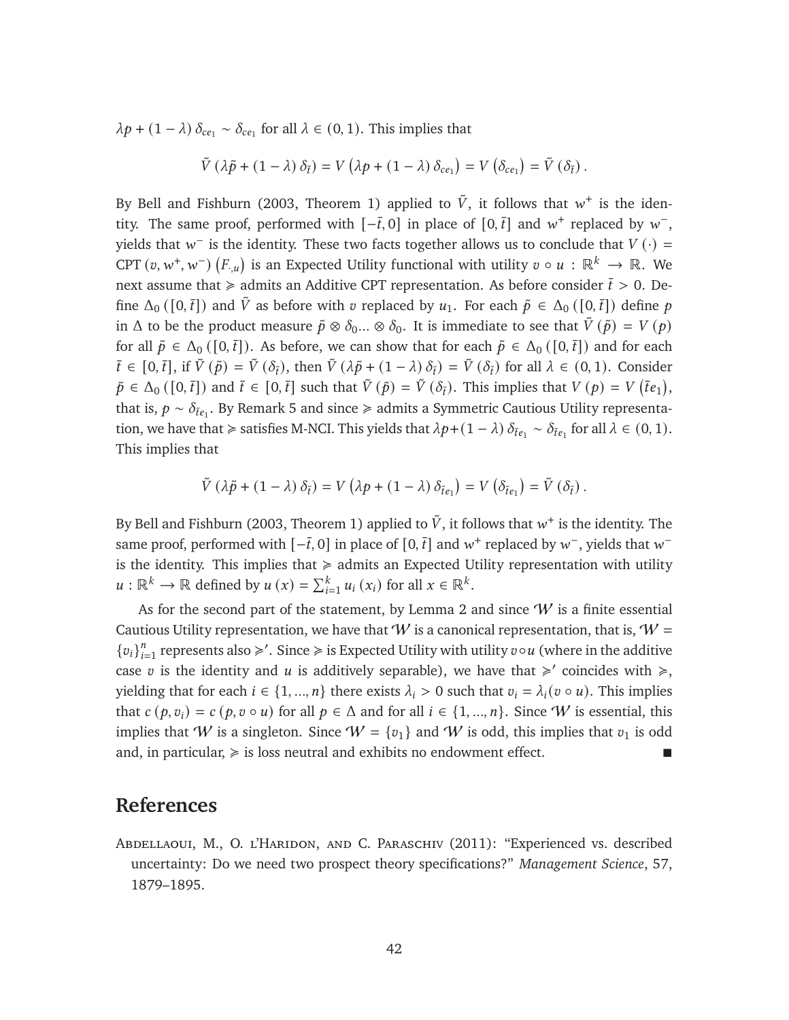$\lambda p + (1 - \lambda) \delta_{ce_1} \sim \delta_{ce_1}$  for all  $\lambda \in (0, 1)$ . This implies that

$$
\tilde{V} (\lambda \tilde{p} + (1 - \lambda) \delta_{\tilde{t}}) = V (\lambda p + (1 - \lambda) \delta_{ce_1}) = V (\delta_{ce_1}) = \tilde{V} (\delta_{\tilde{t}}).
$$

By [Bell and Fishburn](#page-43-14) [\(2003,](#page-43-14) Theorem 1) applied to  $\tilde{V}$ , it follows that  $w^+$  is the identity. The same proof, performed with  $[-\bar{t},0]$  in place of  $[0,\bar{t}]$  and  $w^+$  replaced by  $w^-$ , yields that  $w^-$  is the identity. These two facts together allows us to conclude that  $V(\cdot)$  = CPT  $(v, w^+, w^-)$   $(F, u)$  is an Expected Utility functional with utility  $v \circ u : \mathbb{R}^k \to \mathbb{R}$ . We next assume that  $\ge$  admits an Additive CPT representation. As before consider  $\bar{t} > 0$ . Define  $\Delta_0$  ([0, $\bar{t}$ ]) and  $\tilde{V}$  as before with  $v$  replaced by  $u_1$ . For each  $\tilde{p} \in \Delta_0$  ([0, $\bar{t}$ ]) define  $p$ in  $\Delta$  to be the product measure  $\tilde{p} \otimes \delta_0$ ...  $\otimes \delta_0$ . It is immediate to see that  $\tilde{V}(\tilde{p}) = V(p)$ for all  $\tilde{p} \in \Delta_0([0,\bar{t}])$ . As before, we can show that for each  $\tilde{p} \in \Delta_0([0,\bar{t}])$  and for each  $\tilde{t} \in [0,\bar{t}],$  if  $\tilde{V}(\tilde{p}) = \tilde{V}(\delta_{\tilde{t}})$ , then  $\tilde{V}(\lambda \tilde{p} + (1 - \lambda) \delta_{\tilde{t}}) = \tilde{V}(\delta_{\tilde{t}})$  for all  $\lambda \in (0,1)$ . Consider  $\tilde{p} \in \Delta_0([0, \bar{t}])$  and  $\tilde{t} \in [0, \bar{t}]$  such that  $\tilde{V}(\tilde{p}) = \tilde{V}(\delta_{\tilde{t}})$ . This implies that  $V(p) = V(\tilde{t}e_1)$ , that is,  $p \sim \delta_{\tilde{t}e_1}$ . By Remark [5](#page-33-0) and since ≽ admits a Symmetric Cautious Utility representation, we have that  $\geq$  satisfies M-NCI. This yields that  $\lambda p + (1 - \lambda) \delta_{\tilde{t}e_1} \sim \delta_{\tilde{t}e_1}$  for all  $\lambda \in (0, 1)$ . This implies that

$$
\tilde{V}(\lambda \tilde{p} + (1 - \lambda) \delta_{\tilde{t}}) = V(\lambda p + (1 - \lambda) \delta_{\tilde{t}e_1}) = V(\delta_{\tilde{t}e_1}) = \tilde{V}(\delta_{\tilde{t}}).
$$

By [Bell and Fishburn](#page-43-14) [\(2003,](#page-43-14) Theorem 1) applied to  $\tilde{V}$ , it follows that  $w^+$  is the identity. The same proof, performed with  $[-\bar{t}, 0]$  in place of  $[0, \bar{t}]$  and  $w^+$  replaced by  $w^-$ , yields that  $w^$ is the identity. This implies that  $\ge$  admits an Expected Utility representation with utility  $u : \mathbb{R}^k \to \mathbb{R}$  defined by  $u(x) = \sum_{i=1}^k u_i(x_i)$  for all  $x \in \mathbb{R}^k$ .

As for the second part of the statement, by Lemma [2](#page-39-1) and since  $W$  is a finite essential Cautious Utility representation, we have that  $W$  is a canonical representation, that is,  $W =$  ${v_i}_i^n$  $_{i=1}^{n}$  represents also  $\geqslant'$ . Since  $\geqslant$  is Expected Utility with utility  $v \circ u$  (where in the additive case v is the identity and u is additively separable), we have that  $\geq$  coincides with  $\geq$ . yielding that for each  $i \in \{1, ..., n\}$  there exists  $\lambda_i > 0$  such that  $v_i = \lambda_i (v \circ u)$ . This implies that  $c(p, v_i) = c(p, v \circ u)$  for all  $p \in \Delta$  and for all  $i \in \{1, ..., n\}$ . Since W is essential, this implies that W is a singleton. Since  $W = \{v_1\}$  and W is odd, this implies that  $v_1$  is odd and, in particular,  $\geq$  is loss neutral and exhibits no endowment effect.

### **References**

<span id="page-42-0"></span>Abdellaoui, M., O. l'Haridon, and C. Paraschiv (2011): "Experienced vs. described uncertainty: Do we need two prospect theory specifications?" *Management Science*, 57, 1879–1895.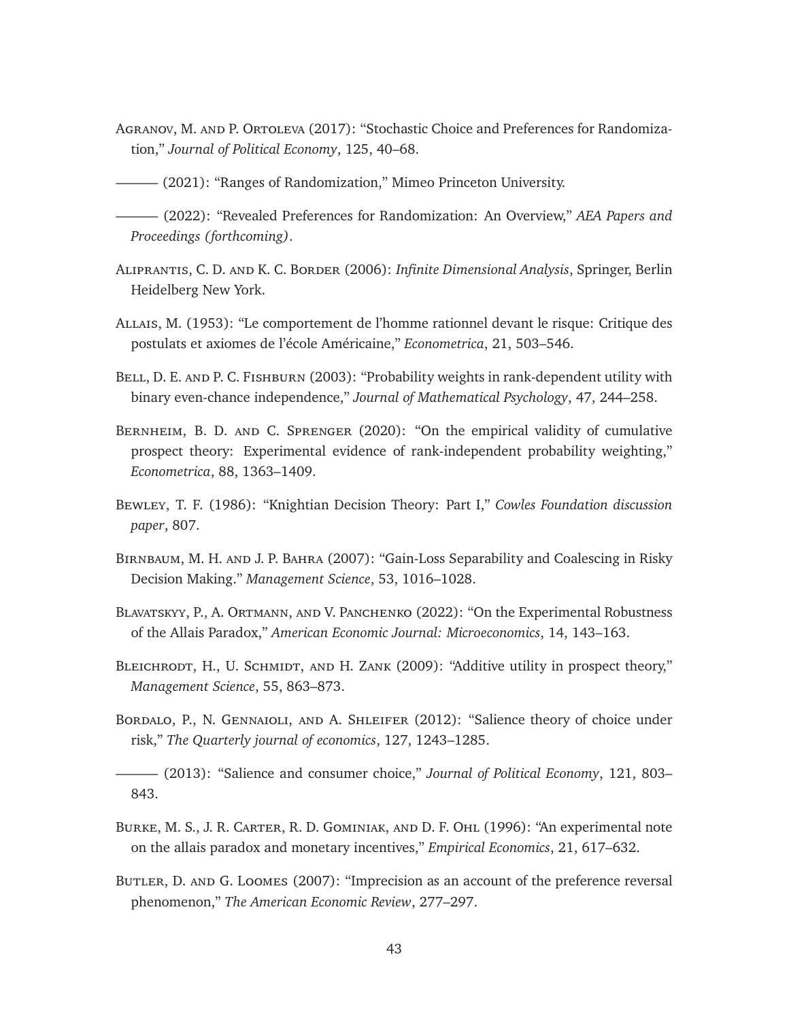- <span id="page-43-7"></span>Agranov, M. and P. Ortoleva (2017): "Stochastic Choice and Preferences for Randomization," *Journal of Political Economy*, 125, 40–68.
- <span id="page-43-9"></span>——— (2021): "Ranges of Randomization," Mimeo Princeton University.

<span id="page-43-8"></span>——— (2022): "Revealed Preferences for Randomization: An Overview," *AEA Papers and Proceedings (forthcoming)*.

- <span id="page-43-13"></span>Aliprantis, C. D. and K. C. Border (2006): *Infinite Dimensional Analysis*, Springer, Berlin Heidelberg New York.
- <span id="page-43-0"></span>Allais, M. (1953): "Le comportement de l'homme rationnel devant le risque: Critique des postulats et axiomes de l'école Américaine," *Econometrica*, 21, 503–546.
- <span id="page-43-14"></span>BELL, D. E. AND P. C. FISHBURN (2003): "Probability weights in rank-dependent utility with binary even-chance independence," *Journal of Mathematical Psychology*, 47, 244–258.
- <span id="page-43-11"></span>Bernheim, B. D. and C. Sprenger (2020): "On the empirical validity of cumulative prospect theory: Experimental evidence of rank-independent probability weighting," *Econometrica*, 88, 1363–1409.
- <span id="page-43-1"></span>Bewley, T. F. (1986): "Knightian Decision Theory: Part I," *Cowles Foundation discussion paper*, 807.
- <span id="page-43-6"></span>Birnbaum, M. H. and J. P. Bahra (2007): "Gain-Loss Separability and Coalescing in Risky Decision Making." *Management Science*, 53, 1016–1028.
- <span id="page-43-10"></span>Blavatskyy, P., A. Ortmann, and V. Panchenko (2022): "On the Experimental Robustness of the Allais Paradox," *American Economic Journal: Microeconomics*, 14, 143–163.
- <span id="page-43-5"></span>BLEICHRODT, H., U. SCHMIDT, AND H. ZANK (2009): "Additive utility in prospect theory," *Management Science*, 55, 863–873.
- <span id="page-43-3"></span>BORDALO, P., N. GENNAIOLI, AND A. SHLEIFER (2012): "Salience theory of choice under risk," *The Quarterly journal of economics*, 127, 1243–1285.

<span id="page-43-4"></span>——— (2013): "Salience and consumer choice," *Journal of Political Economy*, 121, 803– 843.

- <span id="page-43-12"></span>Burke, M. S., J. R. Carter, R. D. Gominiak, and D. F. Ohl (1996): "An experimental note on the allais paradox and monetary incentives," *Empirical Economics*, 21, 617–632.
- <span id="page-43-2"></span>Butler, D. and G. Loomes (2007): "Imprecision as an account of the preference reversal phenomenon," *The American Economic Review*, 277–297.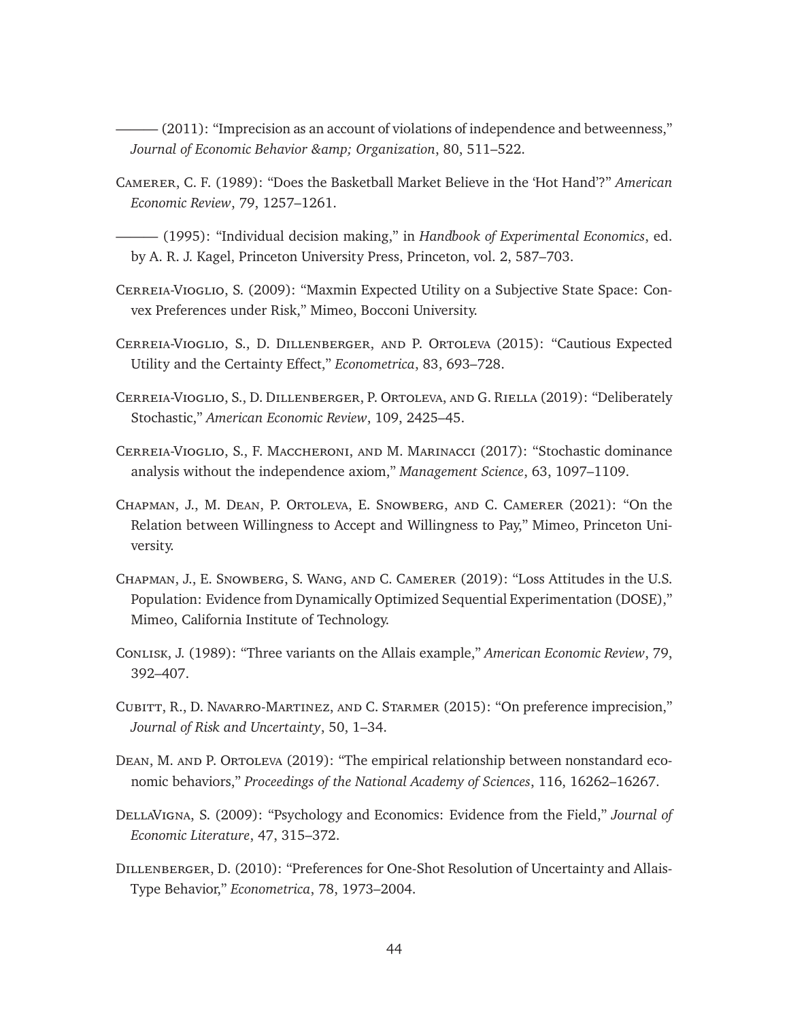<span id="page-44-3"></span>– (2011): "Imprecision as an account of violations of independence and betweenness," *Journal of Economic Behavior & Organization*, 80, 511–522.

<span id="page-44-12"></span>Camerer, C. F. (1989): "Does the Basketball Market Believe in the 'Hot Hand'?" *American Economic Review*, 79, 1257–1261.

<span id="page-44-7"></span>——— (1995): "Individual decision making," in *Handbook of Experimental Economics*, ed. by A. R. J. Kagel, Princeton University Press, Princeton, vol. 2, 587–703.

- <span id="page-44-2"></span>Cerreia-Vioglio, S. (2009): "Maxmin Expected Utility on a Subjective State Space: Convex Preferences under Risk," Mimeo, Bocconi University.
- <span id="page-44-0"></span>Cerreia-Vioglio, S., D. Dillenberger, and P. Ortoleva (2015): "Cautious Expected Utility and the Certainty Effect," *Econometrica*, 83, 693–728.
- <span id="page-44-5"></span>Cerreia-Vioglio, S., D. Dillenberger, P. Ortoleva, and G. Riella (2019): "Deliberately Stochastic," *American Economic Review*, 109, 2425–45.
- <span id="page-44-13"></span>Cerreia-Vioglio, S., F. Maccheroni, and M. Marinacci (2017): "Stochastic dominance analysis without the independence axiom," *Management Science*, 63, 1097–1109.
- <span id="page-44-9"></span>Chapman, J., M. Dean, P. Ortoleva, E. Snowberg, and C. Camerer (2021): "On the Relation between Willingness to Accept and Willingness to Pay," Mimeo, Princeton University.
- <span id="page-44-8"></span>Chapman, J., E. Snowberg, S. Wang, and C. Camerer (2019): "Loss Attitudes in the U.S. Population: Evidence from Dynamically Optimized Sequential Experimentation (DOSE)," Mimeo, California Institute of Technology.
- <span id="page-44-11"></span>Conlisk, J. (1989): "Three variants on the Allais example," *American Economic Review*, 79, 392–407.
- <span id="page-44-4"></span>Cubitt, R., D. Navarro-Martinez, and C. Starmer (2015): "On preference imprecision," *Journal of Risk and Uncertainty*, 50, 1–34.
- <span id="page-44-10"></span>DEAN, M. AND P. ORTOLEVA (2019): "The empirical relationship between nonstandard economic behaviors," *Proceedings of the National Academy of Sciences*, 116, 16262–16267.
- <span id="page-44-6"></span>DellaVigna, S. (2009): "Psychology and Economics: Evidence from the Field," *Journal of Economic Literature*, 47, 315–372.
- <span id="page-44-1"></span>Dillenberger, D. (2010): "Preferences for One-Shot Resolution of Uncertainty and Allais-Type Behavior," *Econometrica*, 78, 1973–2004.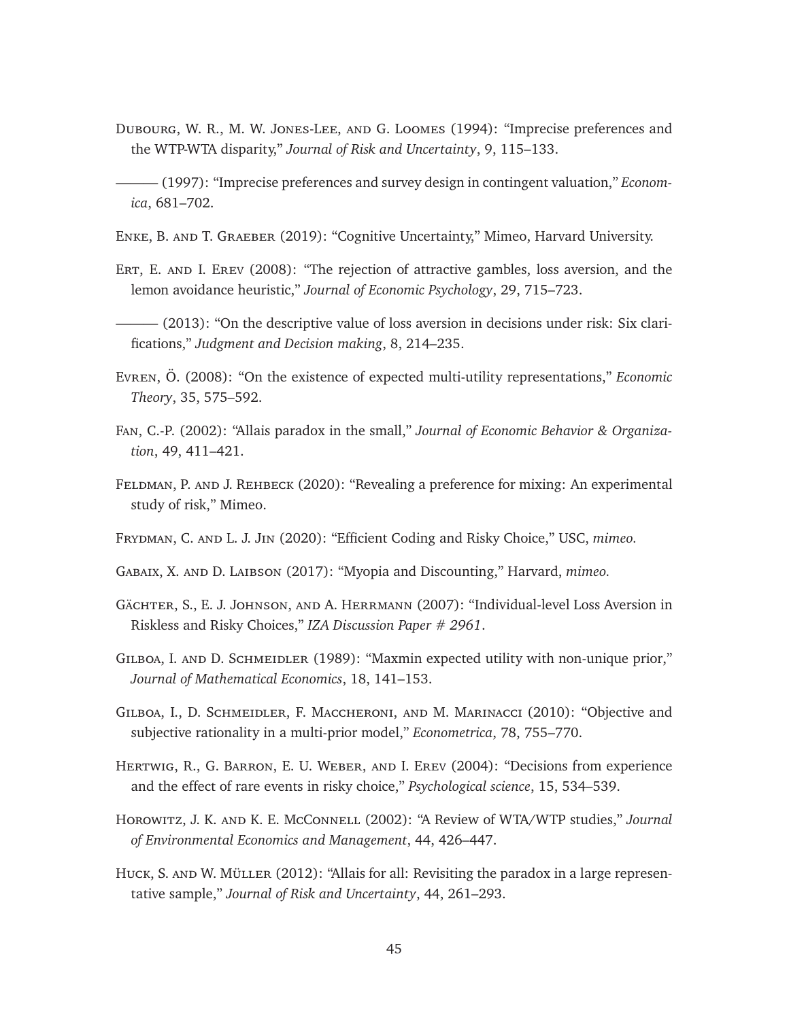- <span id="page-45-2"></span>Dubourg, W. R., M. W. Jones-Lee, and G. Loomes (1994): "Imprecise preferences and the WTP-WTA disparity," *Journal of Risk and Uncertainty*, 9, 115–133.
- <span id="page-45-3"></span>- (1997): "Imprecise preferences and survey design in contingent valuation," *Economica*, 681–702.
- <span id="page-45-6"></span>Enke, B. and T. Graeber (2019): "Cognitive Uncertainty," Mimeo, Harvard University.
- <span id="page-45-8"></span>ERT, E. AND I. EREV (2008): "The rejection of attractive gambles, loss aversion, and the lemon avoidance heuristic," *Journal of Economic Psychology*, 29, 715–723.
- <span id="page-45-9"></span>– (2013): "On the descriptive value of loss aversion in decisions under risk: Six clarifications," *Judgment and Decision making*, 8, 214–235.
- <span id="page-45-15"></span>Evren, Ö. (2008): "On the existence of expected multi-utility representations," *Economic Theory*, 35, 575–592.
- <span id="page-45-12"></span>Fan, C.-P. (2002): "Allais paradox in the small," *Journal of Economic Behavior & Organization*, 49, 411–421.
- <span id="page-45-11"></span>Feldman, P. and J. Rehbeck (2020): "Revealing a preference for mixing: An experimental study of risk," Mimeo.
- <span id="page-45-5"></span>Frydman, C. and L. J. Jin (2020): "Efficient Coding and Risky Choice," USC, *mimeo.*
- <span id="page-45-4"></span>Gabaix, X. and D. Laibson (2017): "Myopia and Discounting," Harvard, *mimeo.*
- <span id="page-45-10"></span>Gächter, S., E. J. Johnson, and A. Herrmann (2007): "Individual-level Loss Aversion in Riskless and Risky Choices," *IZA Discussion Paper # 2961*.
- <span id="page-45-1"></span>GILBOA, I. AND D. SCHMEIDLER (1989): "Maxmin expected utility with non-unique prior," *Journal of Mathematical Economics*, 18, 141–153.
- <span id="page-45-0"></span>Gilboa, I., D. Schmeidler, F. Maccheroni, and M. Marinacci (2010): "Objective and subjective rationality in a multi-prior model," *Econometrica*, 78, 755–770.
- <span id="page-45-14"></span>Hertwig, R., G. Barron, E. U. Weber, and I. Erev (2004): "Decisions from experience and the effect of rare events in risky choice," *Psychological science*, 15, 534–539.
- <span id="page-45-7"></span>Horowitz, J. K. and K. E. McConnell (2002): "A Review of WTA/WTP studies," *Journal of Environmental Economics and Management*, 44, 426–447.
- <span id="page-45-13"></span>Huck, S. and W. Müller (2012): "Allais for all: Revisiting the paradox in a large representative sample," *Journal of Risk and Uncertainty*, 44, 261–293.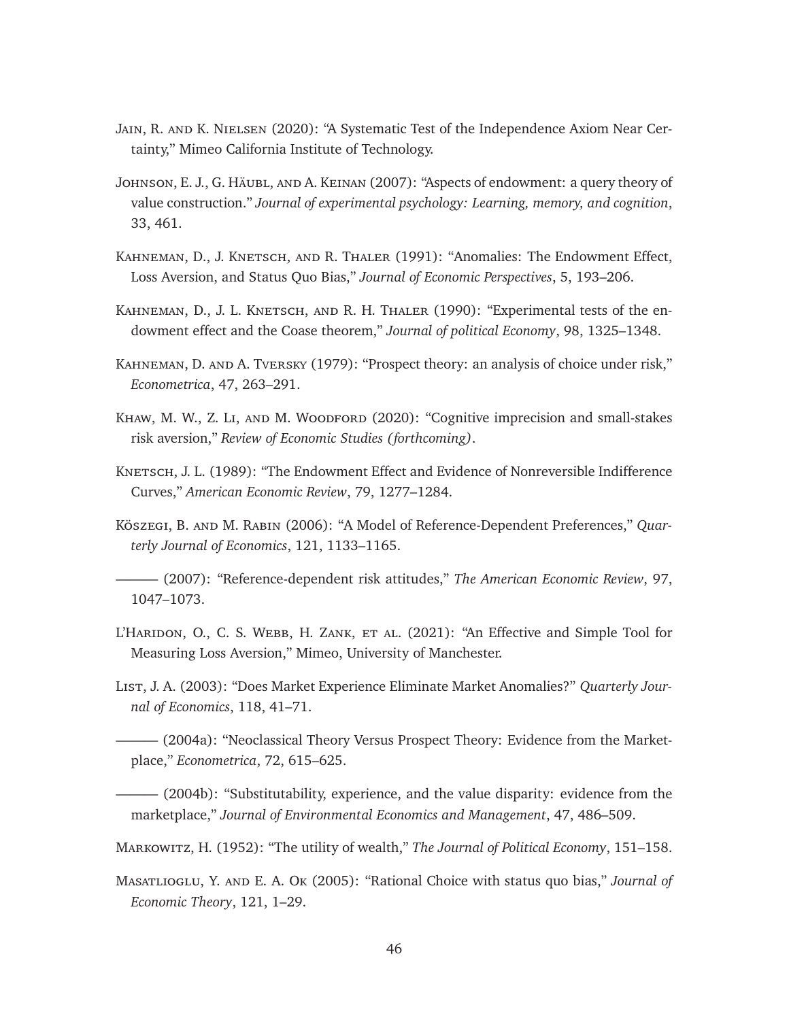- <span id="page-46-14"></span>Jain, R. and K. Nielsen (2020): "A Systematic Test of the Independence Axiom Near Certainty," Mimeo California Institute of Technology.
- <span id="page-46-4"></span>Johnson, E. J., G. Häubl, and A. Keinan (2007): "Aspects of endowment: a query theory of value construction." *Journal of experimental psychology: Learning, memory, and cognition*, 33, 461.
- <span id="page-46-0"></span>KAHNEMAN, D., J. KNETSCH, AND R. THALER (1991): "Anomalies: The Endowment Effect, Loss Aversion, and Status Quo Bias," *Journal of Economic Perspectives*, 5, 193–206.
- <span id="page-46-8"></span>KAHNEMAN, D., J. L. KNETSCH, AND R. H. THALER (1990): "Experimental tests of the endowment effect and the Coase theorem," *Journal of political Economy*, 98, 1325–1348.
- <span id="page-46-1"></span>Kahneman, D. and A. Tversky (1979): "Prospect theory: an analysis of choice under risk," *Econometrica*, 47, 263–291.
- <span id="page-46-3"></span>KHAW, M. W., Z. LI, AND M. WOODFORD (2020): "Cognitive imprecision and small-stakes risk aversion," *Review of Economic Studies (forthcoming)*.
- <span id="page-46-9"></span>KNETSCH, J. L. (1989): "The Endowment Effect and Evidence of Nonreversible Indifference Curves," *American Economic Review*, 79, 1277–1284.
- <span id="page-46-6"></span>Köszegi, B. and M. Rabin (2006): "A Model of Reference-Dependent Preferences," *Quarterly Journal of Economics*, 121, 1133–1165.
- <span id="page-46-7"></span>——— (2007): "Reference-dependent risk attitudes," *The American Economic Review*, 97, 1047–1073.
- <span id="page-46-13"></span>L'HARIDON, O., C. S. WEBB, H. ZANK, ET AL. (2021): "An Effective and Simple Tool for Measuring Loss Aversion," Mimeo, University of Manchester.
- <span id="page-46-11"></span>List, J. A. (2003): "Does Market Experience Eliminate Market Anomalies?" *Quarterly Journal of Economics*, 118, 41–71.
- <span id="page-46-10"></span>——— (2004a): "Neoclassical Theory Versus Prospect Theory: Evidence from the Marketplace," *Econometrica*, 72, 615–625.
- <span id="page-46-12"></span>——— (2004b): "Substitutability, experience, and the value disparity: evidence from the marketplace," *Journal of Environmental Economics and Management*, 47, 486–509.
- <span id="page-46-5"></span>Markowitz, H. (1952): "The utility of wealth," *The Journal of Political Economy*, 151–158.
- <span id="page-46-2"></span>Masatlioglu, Y. and E. A. Ok (2005): "Rational Choice with status quo bias," *Journal of Economic Theory*, 121, 1–29.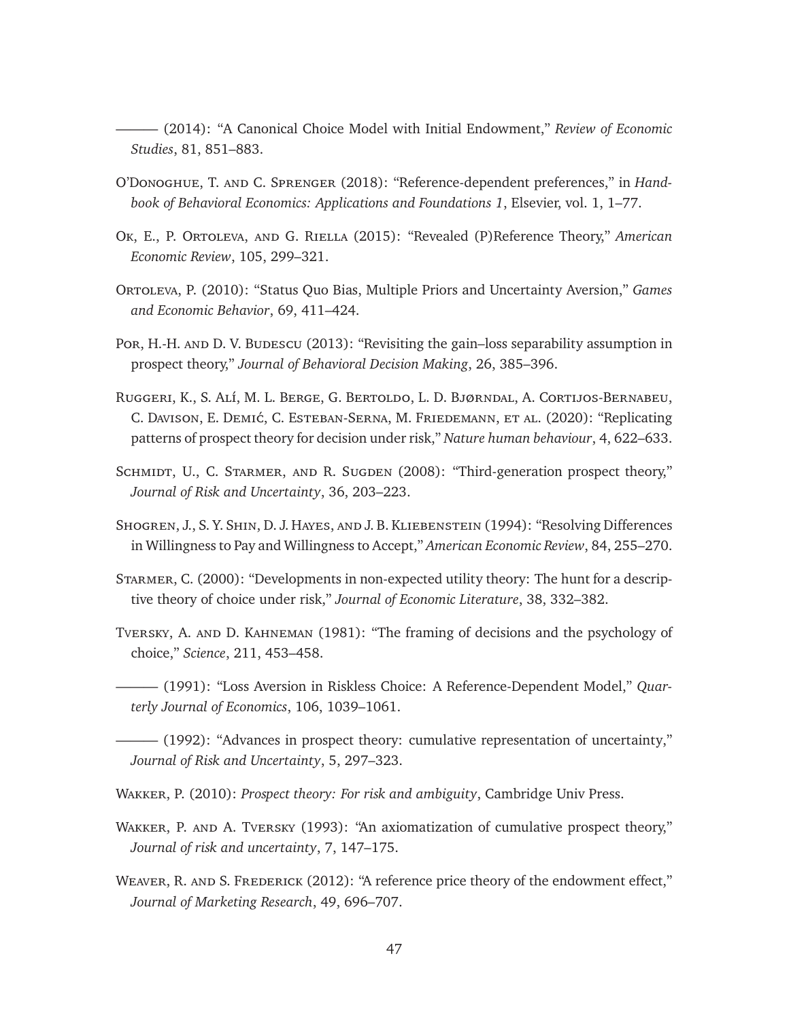<span id="page-47-3"></span>——— (2014): "A Canonical Choice Model with Initial Endowment," *Review of Economic Studies*, 81, 851–883.

- <span id="page-47-10"></span>O'Donoghue, T. and C. Sprenger (2018): "Reference-dependent preferences," in *Handbook of Behavioral Economics: Applications and Foundations 1*, Elsevier, vol. 1, 1–77.
- <span id="page-47-5"></span>Ok, E., P. Ortoleva, and G. Riella (2015): "Revealed (P)Reference Theory," *American Economic Review*, 105, 299–321.
- <span id="page-47-4"></span>Ortoleva, P. (2010): "Status Quo Bias, Multiple Priors and Uncertainty Aversion," *Games and Economic Behavior*, 69, 411–424.
- <span id="page-47-13"></span>Por, H.-H. AND D. V. Budescu (2013): "Revisiting the gain–loss separability assumption in prospect theory," *Journal of Behavioral Decision Making*, 26, 385–396.
- <span id="page-47-14"></span>Ruggeri, K., S. Alí, M. L. Berge, G. Bertoldo, L. D. Bjørndal, A. Cortijos-Bernabeu, C. Davison, E. Demić, C. Esteban-Serna, M. Friedemann, et al. (2020): "Replicating patterns of prospect theory for decision under risk," *Nature human behaviour*, 4, 622–633.
- <span id="page-47-9"></span>SCHMIDT, U., C. STARMER, AND R. SUGDEN (2008): "Third-generation prospect theory," *Journal of Risk and Uncertainty*, 36, 203–223.
- <span id="page-47-11"></span>Shogren, J., S. Y. Shin, D. J. Hayes, and J. B. Kliebenstein (1994): "Resolving Differences in Willingness to Pay and Willingness to Accept," *American Economic Review*, 84, 255–270.
- <span id="page-47-12"></span>Starmer, C. (2000): "Developments in non-expected utility theory: The hunt for a descriptive theory of choice under risk," *Journal of Economic Literature*, 38, 332–382.
- <span id="page-47-7"></span>Tversky, A. and D. Kahneman (1981): "The framing of decisions and the psychology of choice," *Science*, 211, 453–458.
- <span id="page-47-0"></span>——— (1991): "Loss Aversion in Riskless Choice: A Reference-Dependent Model," *Quarterly Journal of Economics*, 106, 1039–1061.

<span id="page-47-1"></span>——— (1992): "Advances in prospect theory: cumulative representation of uncertainty," *Journal of Risk and Uncertainty*, 5, 297–323.

- <span id="page-47-2"></span>Wakker, P. (2010): *Prospect theory: For risk and ambiguity*, Cambridge Univ Press.
- <span id="page-47-8"></span>WAKKER, P. AND A. TVERSKY (1993): "An axiomatization of cumulative prospect theory," *Journal of risk and uncertainty*, 7, 147–175.
- <span id="page-47-6"></span>WEAVER, R. AND S. FREDERICK (2012): "A reference price theory of the endowment effect," *Journal of Marketing Research*, 49, 696–707.